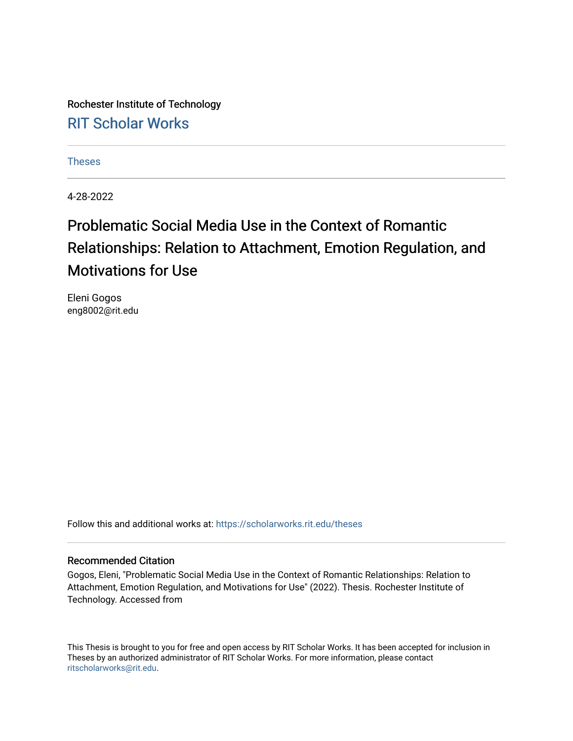Rochester Institute of Technology [RIT Scholar Works](https://scholarworks.rit.edu/)

[Theses](https://scholarworks.rit.edu/theses) 

4-28-2022

# Problematic Social Media Use in the Context of Romantic Relationships: Relation to Attachment, Emotion Regulation, and Motivations for Use

Eleni Gogos eng8002@rit.edu

Follow this and additional works at: [https://scholarworks.rit.edu/theses](https://scholarworks.rit.edu/theses?utm_source=scholarworks.rit.edu%2Ftheses%2F11168&utm_medium=PDF&utm_campaign=PDFCoverPages) 

#### Recommended Citation

Gogos, Eleni, "Problematic Social Media Use in the Context of Romantic Relationships: Relation to Attachment, Emotion Regulation, and Motivations for Use" (2022). Thesis. Rochester Institute of Technology. Accessed from

This Thesis is brought to you for free and open access by RIT Scholar Works. It has been accepted for inclusion in Theses by an authorized administrator of RIT Scholar Works. For more information, please contact [ritscholarworks@rit.edu](mailto:ritscholarworks@rit.edu).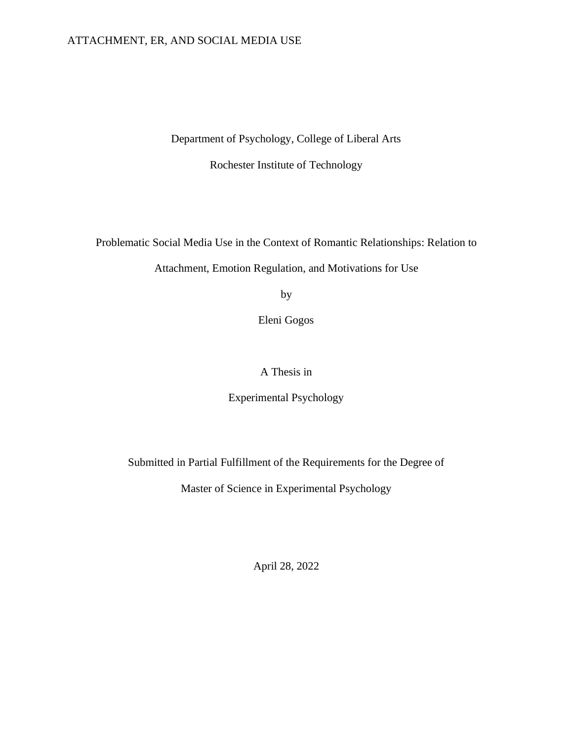#### ATTACHMENT, ER, AND SOCIAL MEDIA USE

Department of Psychology, College of Liberal Arts

Rochester Institute of Technology

Problematic Social Media Use in the Context of Romantic Relationships: Relation to

Attachment, Emotion Regulation, and Motivations for Use

by

Eleni Gogos

A Thesis in

Experimental Psychology

Submitted in Partial Fulfillment of the Requirements for the Degree of

Master of Science in Experimental Psychology

April 28, 2022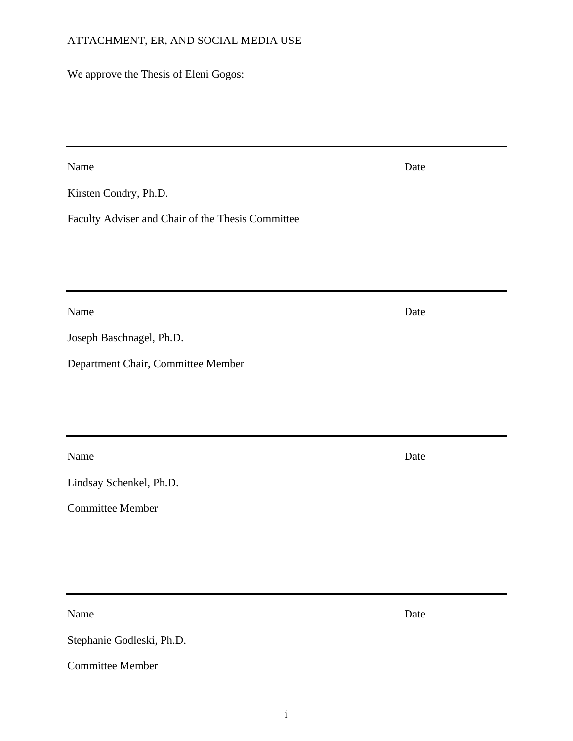### ATTACHMENT, ER, AND SOCIAL MEDIA USE

We approve the Thesis of Eleni Gogos:

Name Date

Kirsten Condry, Ph.D.

Faculty Adviser and Chair of the Thesis Committee

Name Date

Joseph Baschnagel, Ph.D.

Department Chair, Committee Member

Name Date

Lindsay Schenkel, Ph.D.

Committee Member

Name Date

Stephanie Godleski, Ph.D.

<span id="page-2-0"></span>Committee Member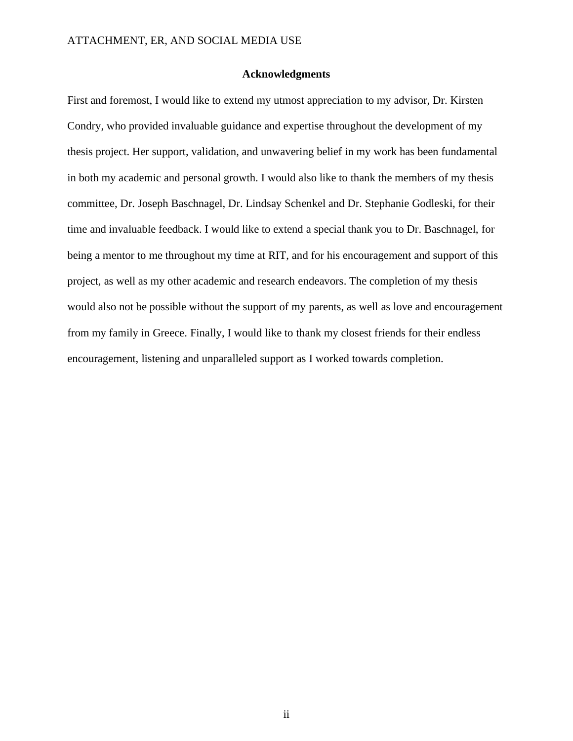#### **Acknowledgments**

First and foremost, I would like to extend my utmost appreciation to my advisor, Dr. Kirsten Condry, who provided invaluable guidance and expertise throughout the development of my thesis project. Her support, validation, and unwavering belief in my work has been fundamental in both my academic and personal growth. I would also like to thank the members of my thesis committee, Dr. Joseph Baschnagel, Dr. Lindsay Schenkel and Dr. Stephanie Godleski, for their time and invaluable feedback. I would like to extend a special thank you to Dr. Baschnagel, for being a mentor to me throughout my time at RIT, and for his encouragement and support of this project, as well as my other academic and research endeavors. The completion of my thesis would also not be possible without the support of my parents, as well as love and encouragement from my family in Greece. Finally, I would like to thank my closest friends for their endless encouragement, listening and unparalleled support as I worked towards completion.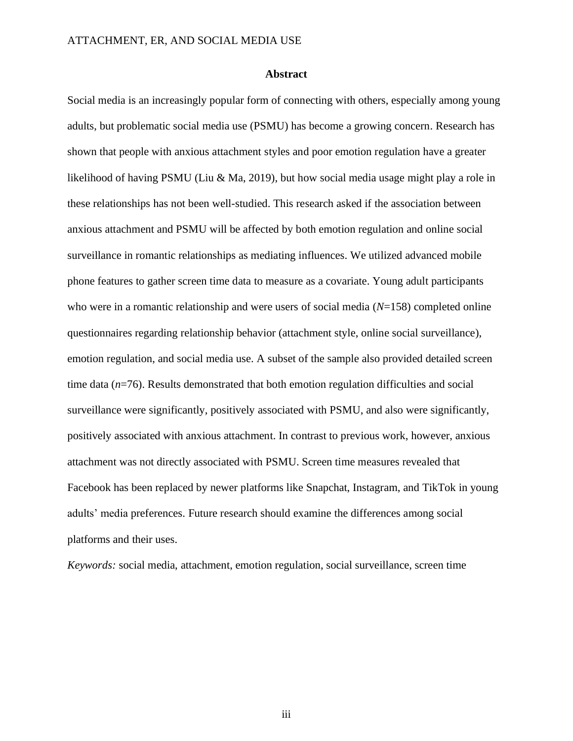#### **Abstract**

<span id="page-4-0"></span>Social media is an increasingly popular form of connecting with others, especially among young adults, but problematic social media use (PSMU) has become a growing concern. Research has shown that people with anxious attachment styles and poor emotion regulation have a greater likelihood of having PSMU (Liu & Ma, 2019), but how social media usage might play a role in these relationships has not been well-studied. This research asked if the association between anxious attachment and PSMU will be affected by both emotion regulation and online social surveillance in romantic relationships as mediating influences. We utilized advanced mobile phone features to gather screen time data to measure as a covariate. Young adult participants who were in a romantic relationship and were users of social media (*N*=158) completed online questionnaires regarding relationship behavior (attachment style, online social surveillance), emotion regulation, and social media use. A subset of the sample also provided detailed screen time data (*n*=76). Results demonstrated that both emotion regulation difficulties and social surveillance were significantly, positively associated with PSMU, and also were significantly, positively associated with anxious attachment. In contrast to previous work, however, anxious attachment was not directly associated with PSMU. Screen time measures revealed that Facebook has been replaced by newer platforms like Snapchat, Instagram, and TikTok in young adults' media preferences. Future research should examine the differences among social platforms and their uses.

<span id="page-4-1"></span>*Keywords:* social media, attachment, emotion regulation, social surveillance, screen time

iii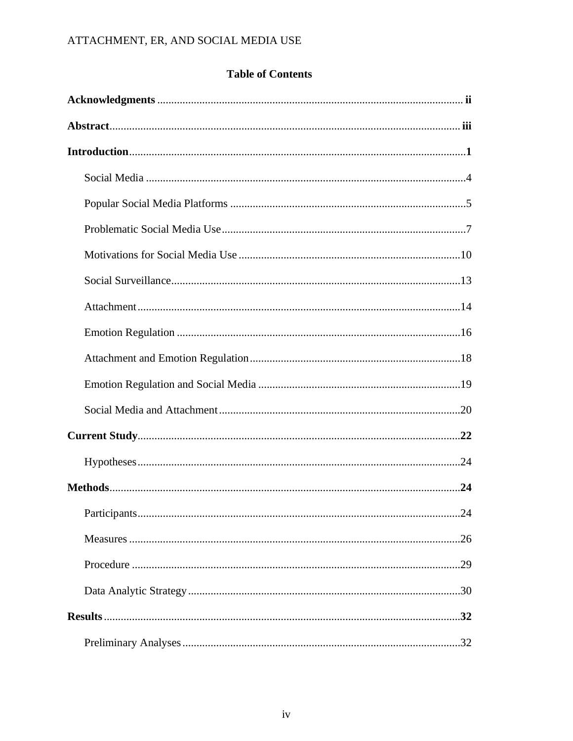### **Table of Contents**

| .24 |  |
|-----|--|
|     |  |
|     |  |
|     |  |
|     |  |
|     |  |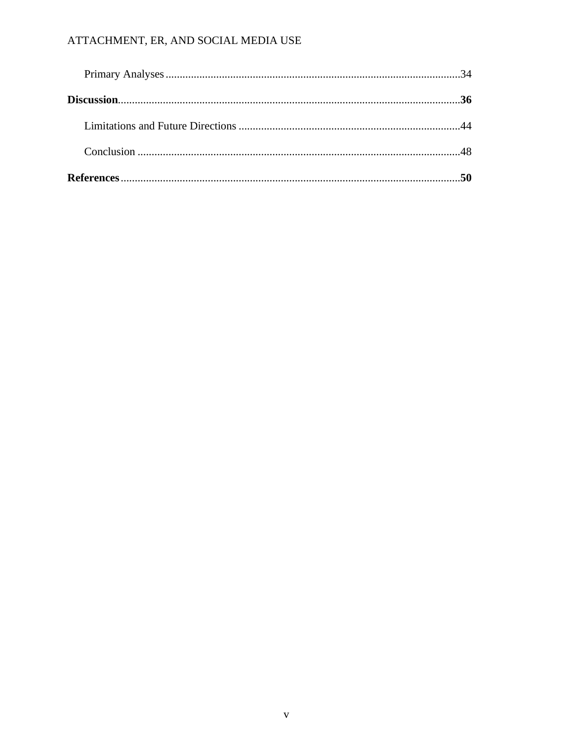### ATTACHMENT, ER, AND SOCIAL MEDIA USE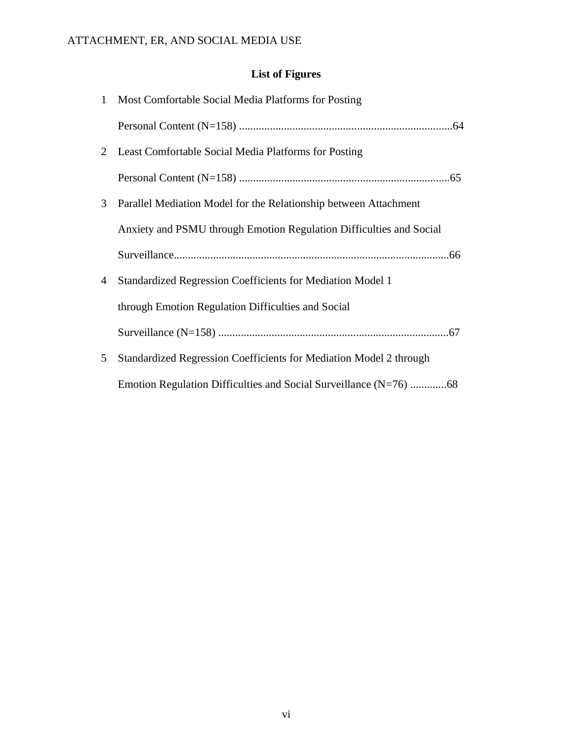### **List of Figures**

| $\mathbf{1}$ | Most Comfortable Social Media Platforms for Posting                 |
|--------------|---------------------------------------------------------------------|
|              |                                                                     |
| 2            | Least Comfortable Social Media Platforms for Posting                |
|              |                                                                     |
| 3            | Parallel Mediation Model for the Relationship between Attachment    |
|              | Anxiety and PSMU through Emotion Regulation Difficulties and Social |
|              |                                                                     |
| 4            | <b>Standardized Regression Coefficients for Mediation Model 1</b>   |
|              | through Emotion Regulation Difficulties and Social                  |
|              |                                                                     |
| 5            | Standardized Regression Coefficients for Mediation Model 2 through  |
|              |                                                                     |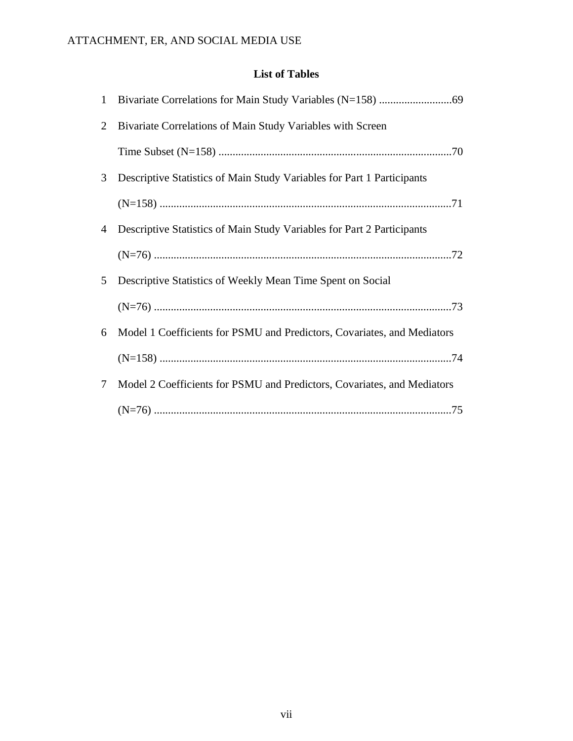### **List of Tables**

| $\mathbf{1}$   |                                                                         |
|----------------|-------------------------------------------------------------------------|
| 2              | Bivariate Correlations of Main Study Variables with Screen              |
|                |                                                                         |
| 3              | Descriptive Statistics of Main Study Variables for Part 1 Participants  |
|                |                                                                         |
| $\overline{4}$ | Descriptive Statistics of Main Study Variables for Part 2 Participants  |
|                |                                                                         |
| 5              | Descriptive Statistics of Weekly Mean Time Spent on Social              |
|                |                                                                         |
| 6              | Model 1 Coefficients for PSMU and Predictors, Covariates, and Mediators |
|                |                                                                         |
| 7              | Model 2 Coefficients for PSMU and Predictors, Covariates, and Mediators |
|                |                                                                         |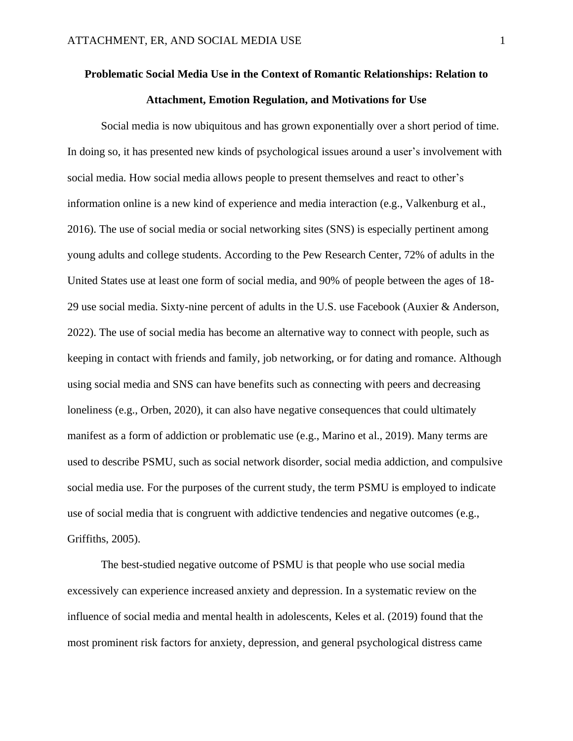## **Problematic Social Media Use in the Context of Romantic Relationships: Relation to Attachment, Emotion Regulation, and Motivations for Use**

Social media is now ubiquitous and has grown exponentially over a short period of time. In doing so, it has presented new kinds of psychological issues around a user's involvement with social media. How social media allows people to present themselves and react to other's information online is a new kind of experience and media interaction (e.g., Valkenburg et al., 2016). The use of social media or social networking sites (SNS) is especially pertinent among young adults and college students. According to the Pew Research Center, 72% of adults in the United States use at least one form of social media, and 90% of people between the ages of 18- 29 use social media. Sixty-nine percent of adults in the U.S. use Facebook (Auxier & Anderson, 2022). The use of social media has become an alternative way to connect with people, such as keeping in contact with friends and family, job networking, or for dating and romance. Although using social media and SNS can have benefits such as connecting with peers and decreasing loneliness (e.g., Orben, 2020), it can also have negative consequences that could ultimately manifest as a form of addiction or problematic use (e.g., Marino et al., 2019). Many terms are used to describe PSMU, such as social network disorder, social media addiction, and compulsive social media use. For the purposes of the current study, the term PSMU is employed to indicate use of social media that is congruent with addictive tendencies and negative outcomes (e.g., Griffiths, 2005).

The best-studied negative outcome of PSMU is that people who use social media excessively can experience increased anxiety and depression. In a systematic review on the influence of social media and mental health in adolescents, Keles et al. (2019) found that the most prominent risk factors for anxiety, depression, and general psychological distress came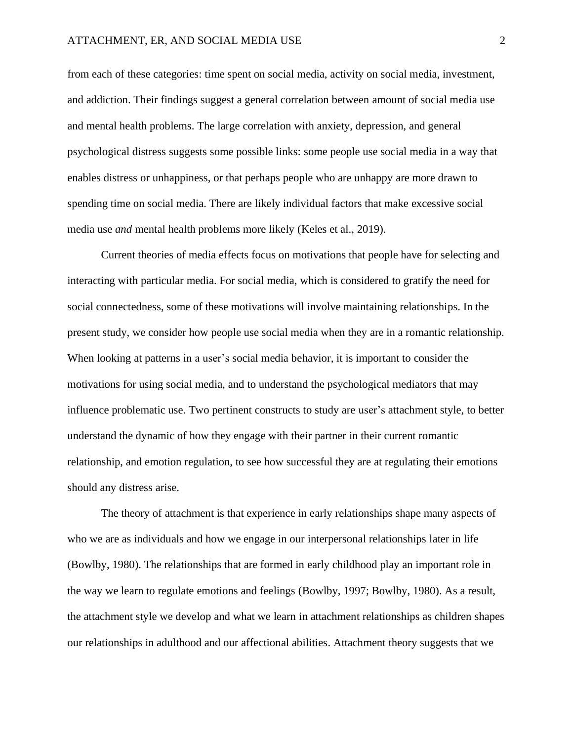from each of these categories: time spent on social media, activity on social media, investment, and addiction. Their findings suggest a general correlation between amount of social media use and mental health problems. The large correlation with anxiety, depression, and general psychological distress suggests some possible links: some people use social media in a way that enables distress or unhappiness, or that perhaps people who are unhappy are more drawn to spending time on social media. There are likely individual factors that make excessive social media use *and* mental health problems more likely (Keles et al., 2019).

Current theories of media effects focus on motivations that people have for selecting and interacting with particular media. For social media, which is considered to gratify the need for social connectedness, some of these motivations will involve maintaining relationships. In the present study, we consider how people use social media when they are in a romantic relationship. When looking at patterns in a user's social media behavior, it is important to consider the motivations for using social media, and to understand the psychological mediators that may influence problematic use. Two pertinent constructs to study are user's attachment style, to better understand the dynamic of how they engage with their partner in their current romantic relationship, and emotion regulation, to see how successful they are at regulating their emotions should any distress arise.

The theory of attachment is that experience in early relationships shape many aspects of who we are as individuals and how we engage in our interpersonal relationships later in life (Bowlby, 1980). The relationships that are formed in early childhood play an important role in the way we learn to regulate emotions and feelings (Bowlby, 1997; Bowlby, 1980). As a result, the attachment style we develop and what we learn in attachment relationships as children shapes our relationships in adulthood and our affectional abilities. Attachment theory suggests that we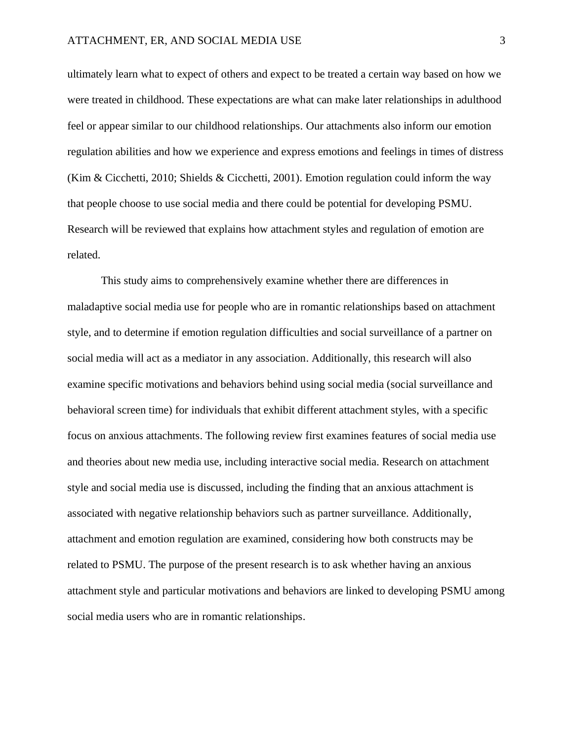ultimately learn what to expect of others and expect to be treated a certain way based on how we were treated in childhood. These expectations are what can make later relationships in adulthood feel or appear similar to our childhood relationships. Our attachments also inform our emotion regulation abilities and how we experience and express emotions and feelings in times of distress (Kim & Cicchetti, 2010; Shields & Cicchetti, 2001). Emotion regulation could inform the way that people choose to use social media and there could be potential for developing PSMU. Research will be reviewed that explains how attachment styles and regulation of emotion are related.

This study aims to comprehensively examine whether there are differences in maladaptive social media use for people who are in romantic relationships based on attachment style, and to determine if emotion regulation difficulties and social surveillance of a partner on social media will act as a mediator in any association. Additionally, this research will also examine specific motivations and behaviors behind using social media (social surveillance and behavioral screen time) for individuals that exhibit different attachment styles, with a specific focus on anxious attachments. The following review first examines features of social media use and theories about new media use, including interactive social media. Research on attachment style and social media use is discussed, including the finding that an anxious attachment is associated with negative relationship behaviors such as partner surveillance. Additionally, attachment and emotion regulation are examined, considering how both constructs may be related to PSMU. The purpose of the present research is to ask whether having an anxious attachment style and particular motivations and behaviors are linked to developing PSMU among social media users who are in romantic relationships.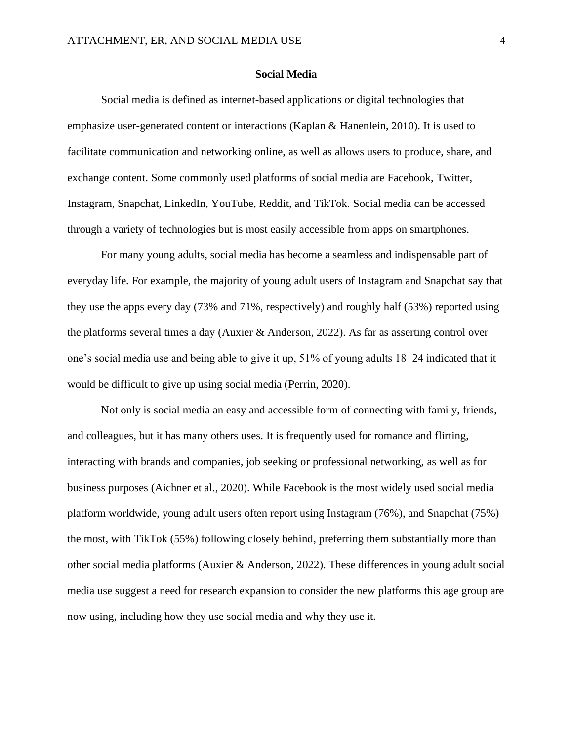#### **Social Media**

<span id="page-12-0"></span>Social media is defined as internet-based applications or digital technologies that emphasize user-generated content or interactions (Kaplan & Hanenlein, 2010). It is used to facilitate communication and networking online, as well as allows users to produce, share, and exchange content. Some commonly used platforms of social media are Facebook, Twitter, Instagram, Snapchat, LinkedIn, YouTube, Reddit, and TikTok. Social media can be accessed through a variety of technologies but is most easily accessible from apps on smartphones.

For many young adults, social media has become a seamless and indispensable part of everyday life. For example, the majority of young adult users of Instagram and Snapchat say that they use the apps every day (73% and 71%, respectively) and roughly half (53%) reported using the platforms several times a day (Auxier & Anderson, 2022). As far as asserting control over one's social media use and being able to give it up, 51% of young adults 18–24 indicated that it would be difficult to give up using social media (Perrin, 2020).

Not only is social media an easy and accessible form of connecting with family, friends, and colleagues, but it has many others uses. It is frequently used for romance and flirting, interacting with brands and companies, job seeking or professional networking, as well as for business purposes (Aichner et al., 2020). While Facebook is the most widely used social media platform worldwide, young adult users often report using Instagram (76%), and Snapchat (75%) the most, with TikTok (55%) following closely behind, preferring them substantially more than other social media platforms (Auxier & Anderson, 2022). These differences in young adult social media use suggest a need for research expansion to consider the new platforms this age group are now using, including how they use social media and why they use it.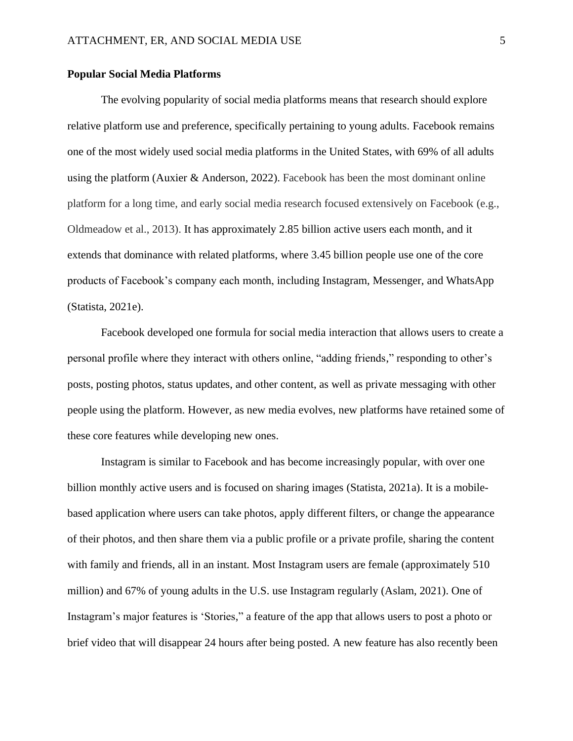#### <span id="page-13-0"></span>**Popular Social Media Platforms**

The evolving popularity of social media platforms means that research should explore relative platform use and preference, specifically pertaining to young adults. Facebook remains one of the most widely used social media platforms in the United States, with 69% of all adults using the platform (Auxier & Anderson, 2022). Facebook has been the most dominant online platform for a long time, and early social media research focused extensively on Facebook (e.g., Oldmeadow et al., 2013). It has approximately 2.85 billion active users each month, and it extends that dominance with related platforms, where 3.45 billion people use one of the core products of Facebook's company each month, including Instagram, Messenger, and WhatsApp (Statista, 2021e).

Facebook developed one formula for social media interaction that allows users to create a personal profile where they interact with others online, "adding friends," responding to other's posts, posting photos, status updates, and other content, as well as private messaging with other people using the platform. However, as new media evolves, new platforms have retained some of these core features while developing new ones.

Instagram is similar to Facebook and has become increasingly popular, with over one billion monthly active users and is focused on sharing images (Statista, 2021a). It is a mobilebased application where users can take photos, apply different filters, or change the appearance of their photos, and then share them via a public profile or a private profile, sharing the content with family and friends, all in an instant. Most Instagram users are female (approximately 510 million) and 67% of young adults in the U.S. use Instagram regularly (Aslam, 2021). One of Instagram's major features is 'Stories," a feature of the app that allows users to post a photo or brief video that will disappear 24 hours after being posted. A new feature has also recently been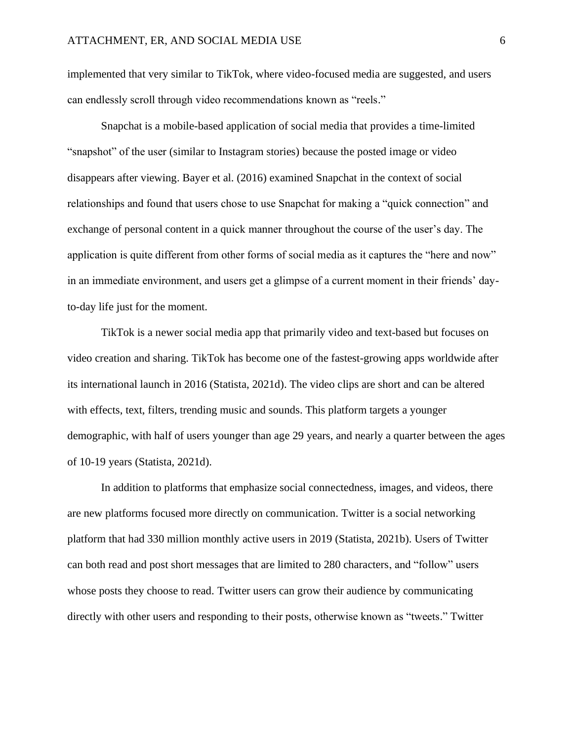implemented that very similar to TikTok, where video-focused media are suggested, and users can endlessly scroll through video recommendations known as "reels."

Snapchat is a mobile-based application of social media that provides a time-limited "snapshot" of the user (similar to Instagram stories) because the posted image or video disappears after viewing. Bayer et al. (2016) examined Snapchat in the context of social relationships and found that users chose to use Snapchat for making a "quick connection" and exchange of personal content in a quick manner throughout the course of the user's day. The application is quite different from other forms of social media as it captures the "here and now" in an immediate environment, and users get a glimpse of a current moment in their friends' dayto-day life just for the moment.

TikTok is a newer social media app that primarily video and text-based but focuses on video creation and sharing. TikTok has become one of the fastest-growing apps worldwide after its international launch in 2016 (Statista, 2021d). The video clips are short and can be altered with effects, text, filters, trending music and sounds. This platform targets a younger demographic, with half of users younger than age 29 years, and nearly a quarter between the ages of 10-19 years (Statista, 2021d).

In addition to platforms that emphasize social connectedness, images, and videos, there are new platforms focused more directly on communication. Twitter is a social networking platform that had 330 million monthly active users in 2019 (Statista, 2021b). Users of Twitter can both read and post short messages that are limited to 280 characters, and "follow" users whose posts they choose to read. Twitter users can grow their audience by communicating directly with other users and responding to their posts, otherwise known as "tweets." Twitter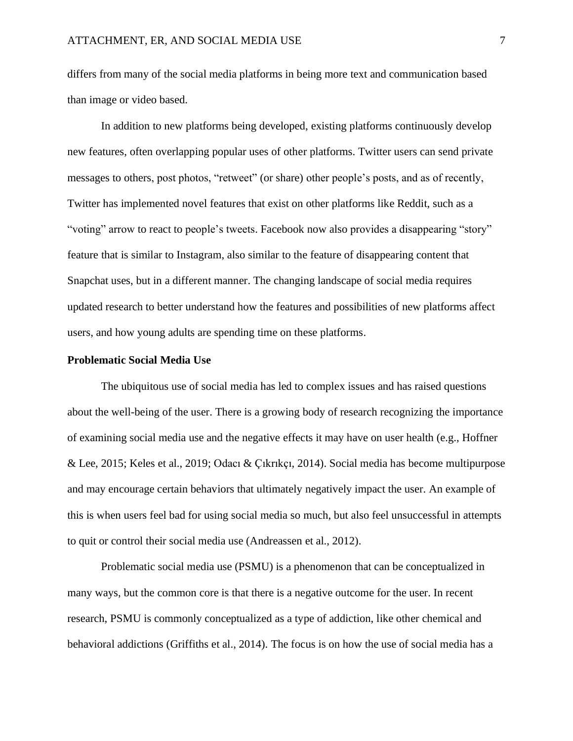differs from many of the social media platforms in being more text and communication based than image or video based.

In addition to new platforms being developed, existing platforms continuously develop new features, often overlapping popular uses of other platforms. Twitter users can send private messages to others, post photos, "retweet" (or share) other people's posts, and as of recently, Twitter has implemented novel features that exist on other platforms like Reddit, such as a "voting" arrow to react to people's tweets. Facebook now also provides a disappearing "story" feature that is similar to Instagram, also similar to the feature of disappearing content that Snapchat uses, but in a different manner. The changing landscape of social media requires updated research to better understand how the features and possibilities of new platforms affect users, and how young adults are spending time on these platforms.

#### <span id="page-15-0"></span>**Problematic Social Media Use**

The ubiquitous use of social media has led to complex issues and has raised questions about the well-being of the user. There is a growing body of research recognizing the importance of examining social media use and the negative effects it may have on user health (e.g., Hoffner & Lee, 2015; Keles et al., 2019; Odacı & Çıkrıkçı, 2014). Social media has become multipurpose and may encourage certain behaviors that ultimately negatively impact the user. An example of this is when users feel bad for using social media so much, but also feel unsuccessful in attempts to quit or control their social media use (Andreassen et al., 2012).

Problematic social media use (PSMU) is a phenomenon that can be conceptualized in many ways, but the common core is that there is a negative outcome for the user. In recent research, PSMU is commonly conceptualized as a type of addiction, like other chemical and behavioral addictions (Griffiths et al., 2014). The focus is on how the use of social media has a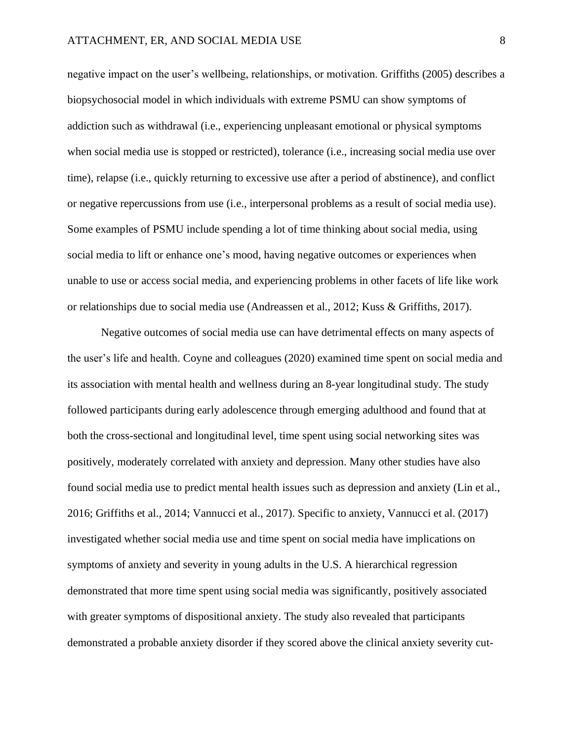negative impact on the user's wellbeing, relationships, or motivation. Griffiths (2005) describes a biopsychosocial model in which individuals with extreme PSMU can show symptoms of addiction such as withdrawal (i.e., experiencing unpleasant emotional or physical symptoms when social media use is stopped or restricted), tolerance (i.e., increasing social media use over time), relapse (i.e., quickly returning to excessive use after a period of abstinence), and conflict or negative repercussions from use (i.e., interpersonal problems as a result of social media use). Some examples of PSMU include spending a lot of time thinking about social media, using social media to lift or enhance one's mood, having negative outcomes or experiences when unable to use or access social media, and experiencing problems in other facets of life like work or relationships due to social media use (Andreassen et al., 2012; Kuss & Griffiths, 2017).

Negative outcomes of social media use can have detrimental effects on many aspects of the user's life and health. Coyne and colleagues (2020) examined time spent on social media and its association with mental health and wellness during an 8-year longitudinal study. The study followed participants during early adolescence through emerging adulthood and found that at both the cross-sectional and longitudinal level, time spent using social networking sites was positively, moderately correlated with anxiety and depression. Many other studies have also found social media use to predict mental health issues such as depression and anxiety (Lin et al., 2016; Griffiths et al., 2014; Vannucci et al., 2017). Specific to anxiety, Vannucci et al. (2017) investigated whether social media use and time spent on social media have implications on symptoms of anxiety and severity in young adults in the U.S. A hierarchical regression demonstrated that more time spent using social media was significantly, positively associated with greater symptoms of dispositional anxiety. The study also revealed that participants demonstrated a probable anxiety disorder if they scored above the clinical anxiety severity cut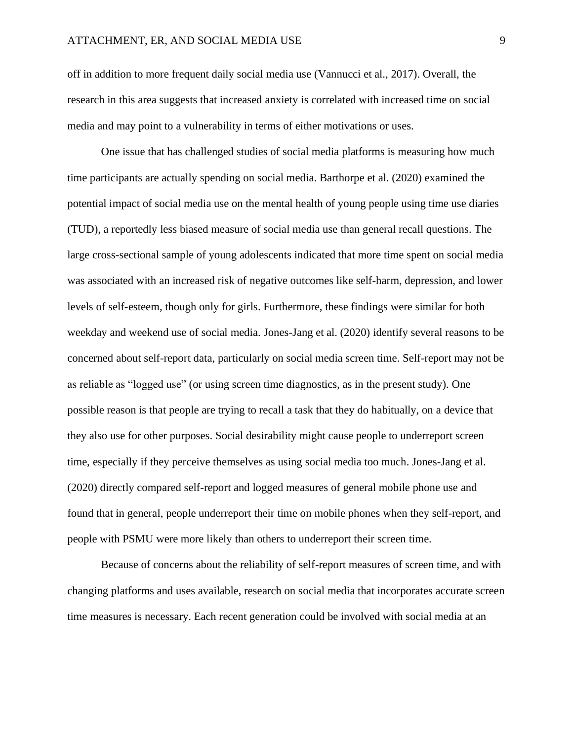off in addition to more frequent daily social media use (Vannucci et al., 2017). Overall, the research in this area suggests that increased anxiety is correlated with increased time on social media and may point to a vulnerability in terms of either motivations or uses.

One issue that has challenged studies of social media platforms is measuring how much time participants are actually spending on social media. Barthorpe et al. (2020) examined the potential impact of social media use on the mental health of young people using time use diaries (TUD), a reportedly less biased measure of social media use than general recall questions. The large cross-sectional sample of young adolescents indicated that more time spent on social media was associated with an increased risk of negative outcomes like self-harm, depression, and lower levels of self-esteem, though only for girls. Furthermore, these findings were similar for both weekday and weekend use of social media. Jones-Jang et al. (2020) identify several reasons to be concerned about self-report data, particularly on social media screen time. Self-report may not be as reliable as "logged use" (or using screen time diagnostics, as in the present study). One possible reason is that people are trying to recall a task that they do habitually, on a device that they also use for other purposes. Social desirability might cause people to underreport screen time, especially if they perceive themselves as using social media too much. Jones-Jang et al. (2020) directly compared self-report and logged measures of general mobile phone use and found that in general, people underreport their time on mobile phones when they self-report, and people with PSMU were more likely than others to underreport their screen time.

Because of concerns about the reliability of self-report measures of screen time, and with changing platforms and uses available, research on social media that incorporates accurate screen time measures is necessary. Each recent generation could be involved with social media at an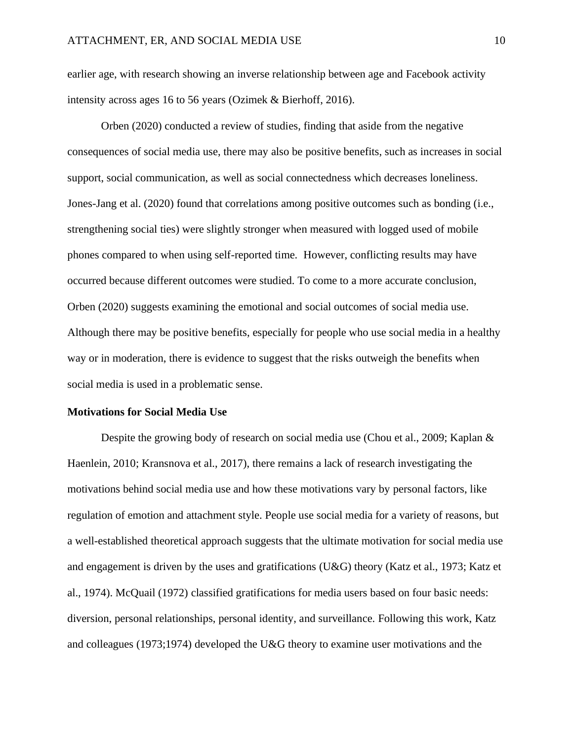earlier age, with research showing an inverse relationship between age and Facebook activity intensity across ages 16 to 56 years (Ozimek & Bierhoff, 2016).

Orben (2020) conducted a review of studies, finding that aside from the negative consequences of social media use, there may also be positive benefits, such as increases in social support, social communication, as well as social connectedness which decreases loneliness. Jones-Jang et al. (2020) found that correlations among positive outcomes such as bonding (i.e., strengthening social ties) were slightly stronger when measured with logged used of mobile phones compared to when using self-reported time. However, conflicting results may have occurred because different outcomes were studied. To come to a more accurate conclusion, Orben (2020) suggests examining the emotional and social outcomes of social media use. Although there may be positive benefits, especially for people who use social media in a healthy way or in moderation, there is evidence to suggest that the risks outweigh the benefits when social media is used in a problematic sense.

#### <span id="page-18-0"></span>**Motivations for Social Media Use**

Despite the growing body of research on social media use (Chou et al., 2009; Kaplan & Haenlein, 2010; Kransnova et al., 2017), there remains a lack of research investigating the motivations behind social media use and how these motivations vary by personal factors, like regulation of emotion and attachment style. People use social media for a variety of reasons, but a well-established theoretical approach suggests that the ultimate motivation for social media use and engagement is driven by the uses and gratifications (U&G) theory (Katz et al., 1973; Katz et al., 1974). McQuail (1972) classified gratifications for media users based on four basic needs: diversion, personal relationships, personal identity, and surveillance. Following this work, Katz and colleagues (1973;1974) developed the U&G theory to examine user motivations and the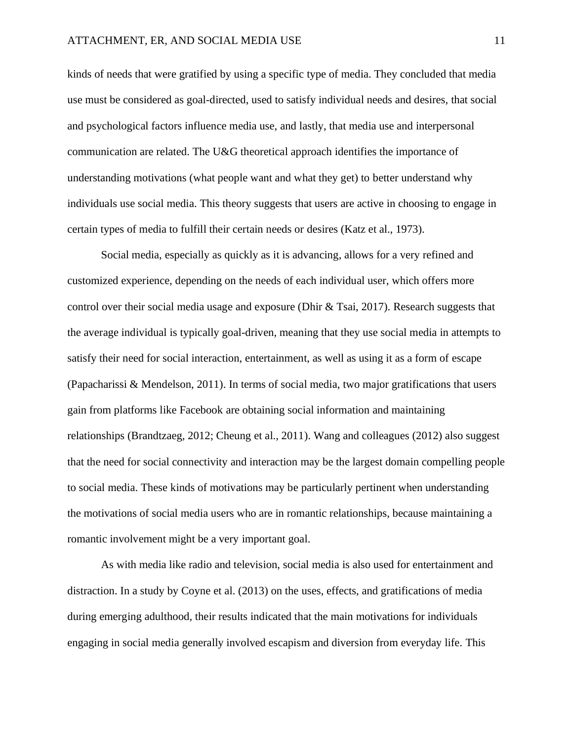kinds of needs that were gratified by using a specific type of media. They concluded that media use must be considered as goal-directed, used to satisfy individual needs and desires, that social and psychological factors influence media use, and lastly, that media use and interpersonal communication are related. The U&G theoretical approach identifies the importance of understanding motivations (what people want and what they get) to better understand why individuals use social media. This theory suggests that users are active in choosing to engage in certain types of media to fulfill their certain needs or desires (Katz et al., 1973).

Social media, especially as quickly as it is advancing, allows for a very refined and customized experience, depending on the needs of each individual user, which offers more control over their social media usage and exposure (Dhir & Tsai, 2017). Research suggests that the average individual is typically goal-driven, meaning that they use social media in attempts to satisfy their need for social interaction, entertainment, as well as using it as a form of escape (Papacharissi & Mendelson, 2011). In terms of social media, two major gratifications that users gain from platforms like Facebook are obtaining social information and maintaining relationships (Brandtzaeg, 2012; Cheung et al., 2011). Wang and colleagues (2012) also suggest that the need for social connectivity and interaction may be the largest domain compelling people to social media. These kinds of motivations may be particularly pertinent when understanding the motivations of social media users who are in romantic relationships, because maintaining a romantic involvement might be a very important goal.

As with media like radio and television, social media is also used for entertainment and distraction. In a study by Coyne et al. (2013) on the uses, effects, and gratifications of media during emerging adulthood, their results indicated that the main motivations for individuals engaging in social media generally involved escapism and diversion from everyday life. This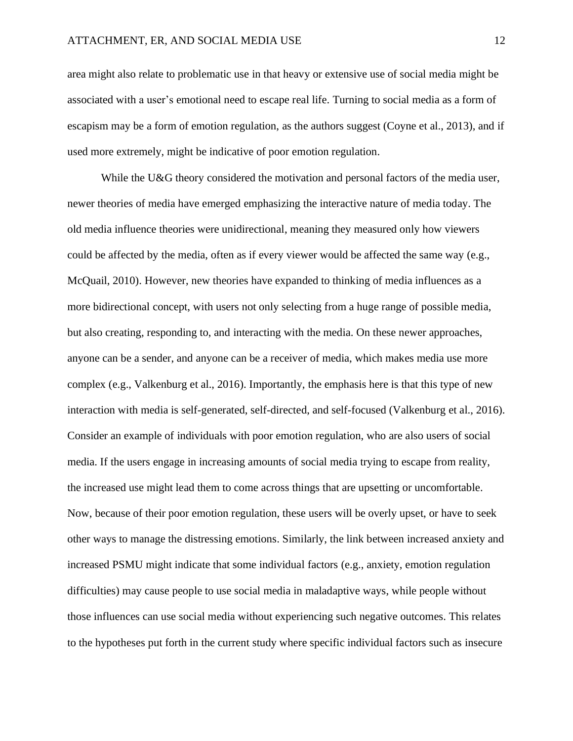area might also relate to problematic use in that heavy or extensive use of social media might be associated with a user's emotional need to escape real life. Turning to social media as a form of escapism may be a form of emotion regulation, as the authors suggest (Coyne et al., 2013), and if used more extremely, might be indicative of poor emotion regulation.

While the U&G theory considered the motivation and personal factors of the media user, newer theories of media have emerged emphasizing the interactive nature of media today. The old media influence theories were unidirectional, meaning they measured only how viewers could be affected by the media, often as if every viewer would be affected the same way (e.g., McQuail, 2010). However, new theories have expanded to thinking of media influences as a more bidirectional concept, with users not only selecting from a huge range of possible media, but also creating, responding to, and interacting with the media. On these newer approaches, anyone can be a sender, and anyone can be a receiver of media, which makes media use more complex (e.g., Valkenburg et al., 2016). Importantly, the emphasis here is that this type of new interaction with media is self-generated, self-directed, and self-focused (Valkenburg et al., 2016). Consider an example of individuals with poor emotion regulation, who are also users of social media. If the users engage in increasing amounts of social media trying to escape from reality, the increased use might lead them to come across things that are upsetting or uncomfortable. Now, because of their poor emotion regulation, these users will be overly upset, or have to seek other ways to manage the distressing emotions. Similarly, the link between increased anxiety and increased PSMU might indicate that some individual factors (e.g., anxiety, emotion regulation difficulties) may cause people to use social media in maladaptive ways, while people without those influences can use social media without experiencing such negative outcomes. This relates to the hypotheses put forth in the current study where specific individual factors such as insecure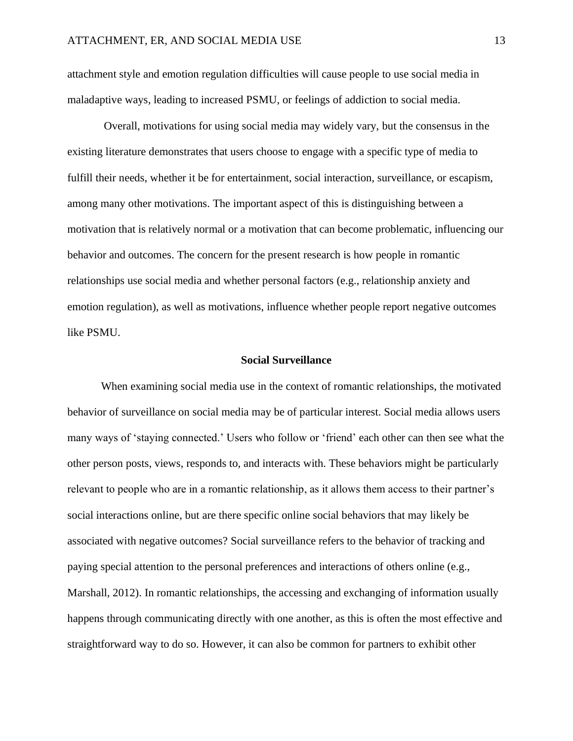attachment style and emotion regulation difficulties will cause people to use social media in maladaptive ways, leading to increased PSMU, or feelings of addiction to social media.

Overall, motivations for using social media may widely vary, but the consensus in the existing literature demonstrates that users choose to engage with a specific type of media to fulfill their needs, whether it be for entertainment, social interaction, surveillance, or escapism, among many other motivations. The important aspect of this is distinguishing between a motivation that is relatively normal or a motivation that can become problematic, influencing our behavior and outcomes. The concern for the present research is how people in romantic relationships use social media and whether personal factors (e.g., relationship anxiety and emotion regulation), as well as motivations, influence whether people report negative outcomes like PSMU.

#### **Social Surveillance**

<span id="page-21-0"></span>When examining social media use in the context of romantic relationships, the motivated behavior of surveillance on social media may be of particular interest. Social media allows users many ways of 'staying connected.' Users who follow or 'friend' each other can then see what the other person posts, views, responds to, and interacts with. These behaviors might be particularly relevant to people who are in a romantic relationship, as it allows them access to their partner's social interactions online, but are there specific online social behaviors that may likely be associated with negative outcomes? Social surveillance refers to the behavior of tracking and paying special attention to the personal preferences and interactions of others online (e.g., Marshall, 2012). In romantic relationships, the accessing and exchanging of information usually happens through communicating directly with one another, as this is often the most effective and straightforward way to do so. However, it can also be common for partners to exhibit other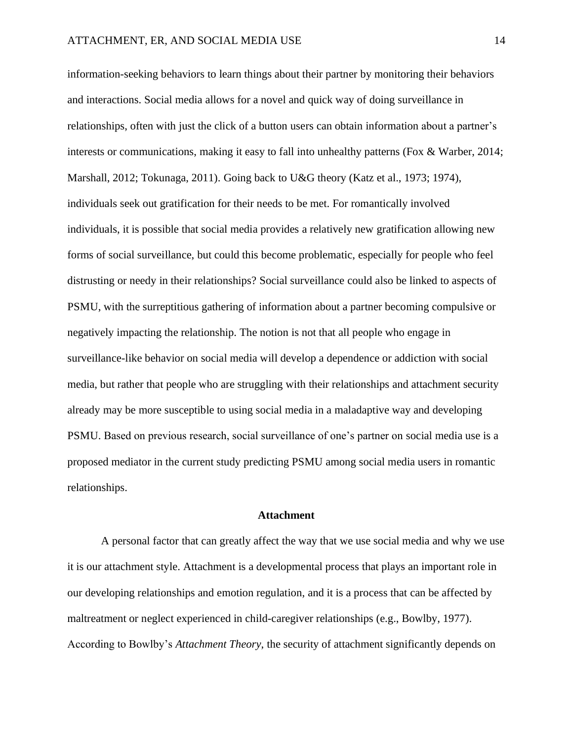information-seeking behaviors to learn things about their partner by monitoring their behaviors and interactions. Social media allows for a novel and quick way of doing surveillance in relationships, often with just the click of a button users can obtain information about a partner's interests or communications, making it easy to fall into unhealthy patterns (Fox & Warber, 2014; Marshall, 2012; Tokunaga, 2011). Going back to U&G theory (Katz et al., 1973; 1974), individuals seek out gratification for their needs to be met. For romantically involved individuals, it is possible that social media provides a relatively new gratification allowing new forms of social surveillance, but could this become problematic, especially for people who feel distrusting or needy in their relationships? Social surveillance could also be linked to aspects of PSMU, with the surreptitious gathering of information about a partner becoming compulsive or negatively impacting the relationship. The notion is not that all people who engage in surveillance-like behavior on social media will develop a dependence or addiction with social media, but rather that people who are struggling with their relationships and attachment security already may be more susceptible to using social media in a maladaptive way and developing PSMU. Based on previous research, social surveillance of one's partner on social media use is a proposed mediator in the current study predicting PSMU among social media users in romantic relationships.

#### **Attachment**

<span id="page-22-0"></span>A personal factor that can greatly affect the way that we use social media and why we use it is our attachment style. Attachment is a developmental process that plays an important role in our developing relationships and emotion regulation, and it is a process that can be affected by maltreatment or neglect experienced in child-caregiver relationships (e.g., Bowlby, 1977). According to Bowlby's *Attachment Theory*, the security of attachment significantly depends on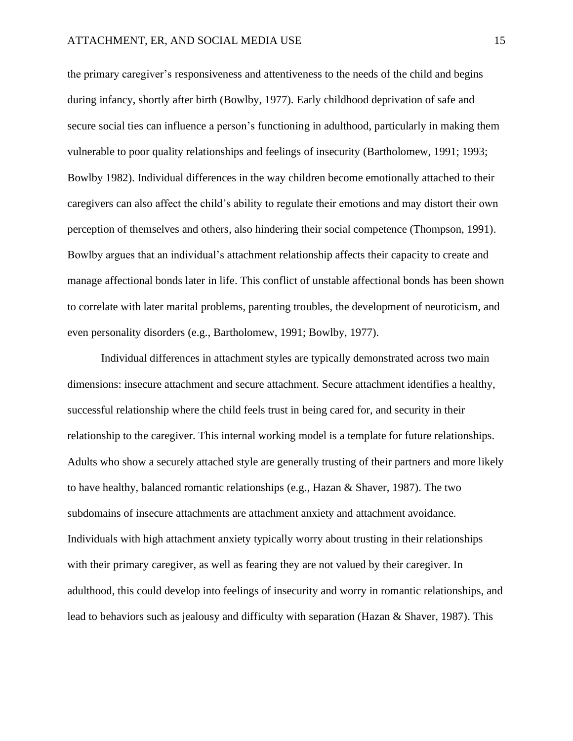the primary caregiver's responsiveness and attentiveness to the needs of the child and begins during infancy, shortly after birth (Bowlby, 1977). Early childhood deprivation of safe and secure social ties can influence a person's functioning in adulthood, particularly in making them vulnerable to poor quality relationships and feelings of insecurity (Bartholomew, 1991; 1993; Bowlby 1982). Individual differences in the way children become emotionally attached to their caregivers can also affect the child's ability to regulate their emotions and may distort their own perception of themselves and others, also hindering their social competence (Thompson, 1991). Bowlby argues that an individual's attachment relationship affects their capacity to create and manage affectional bonds later in life. This conflict of unstable affectional bonds has been shown to correlate with later marital problems, parenting troubles, the development of neuroticism, and even personality disorders (e.g., Bartholomew, 1991; Bowlby, 1977).

Individual differences in attachment styles are typically demonstrated across two main dimensions: insecure attachment and secure attachment. Secure attachment identifies a healthy, successful relationship where the child feels trust in being cared for, and security in their relationship to the caregiver. This internal working model is a template for future relationships. Adults who show a securely attached style are generally trusting of their partners and more likely to have healthy, balanced romantic relationships (e.g., Hazan & Shaver, 1987). The two subdomains of insecure attachments are attachment anxiety and attachment avoidance. Individuals with high attachment anxiety typically worry about trusting in their relationships with their primary caregiver, as well as fearing they are not valued by their caregiver. In adulthood, this could develop into feelings of insecurity and worry in romantic relationships, and lead to behaviors such as jealousy and difficulty with separation (Hazan & Shaver, 1987). This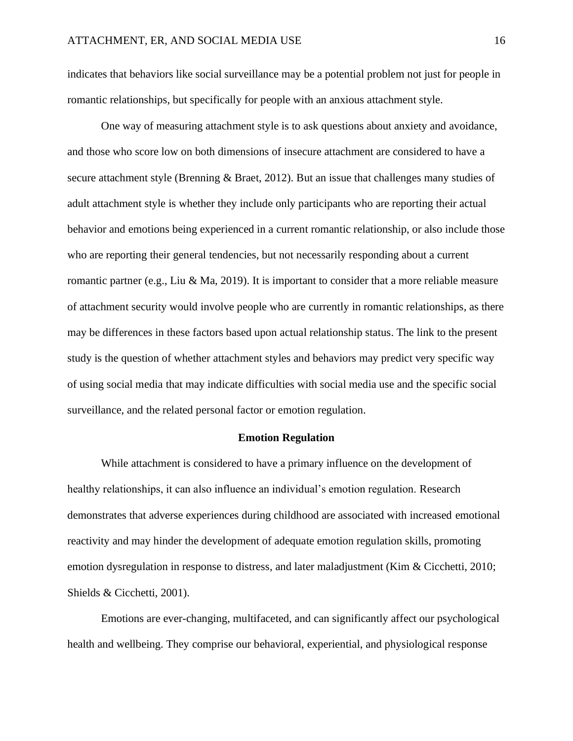indicates that behaviors like social surveillance may be a potential problem not just for people in romantic relationships, but specifically for people with an anxious attachment style.

One way of measuring attachment style is to ask questions about anxiety and avoidance, and those who score low on both dimensions of insecure attachment are considered to have a secure attachment style (Brenning & Braet, 2012). But an issue that challenges many studies of adult attachment style is whether they include only participants who are reporting their actual behavior and emotions being experienced in a current romantic relationship, or also include those who are reporting their general tendencies, but not necessarily responding about a current romantic partner (e.g., Liu & Ma, 2019). It is important to consider that a more reliable measure of attachment security would involve people who are currently in romantic relationships, as there may be differences in these factors based upon actual relationship status. The link to the present study is the question of whether attachment styles and behaviors may predict very specific way of using social media that may indicate difficulties with social media use and the specific social surveillance, and the related personal factor or emotion regulation.

#### **Emotion Regulation**

<span id="page-24-0"></span>While attachment is considered to have a primary influence on the development of healthy relationships, it can also influence an individual's emotion regulation. Research demonstrates that adverse experiences during childhood are associated with increased emotional reactivity and may hinder the development of adequate emotion regulation skills, promoting emotion dysregulation in response to distress, and later maladjustment (Kim & Cicchetti, 2010; Shields & Cicchetti, 2001).

Emotions are ever-changing, multifaceted, and can significantly affect our psychological health and wellbeing. They comprise our behavioral, experiential, and physiological response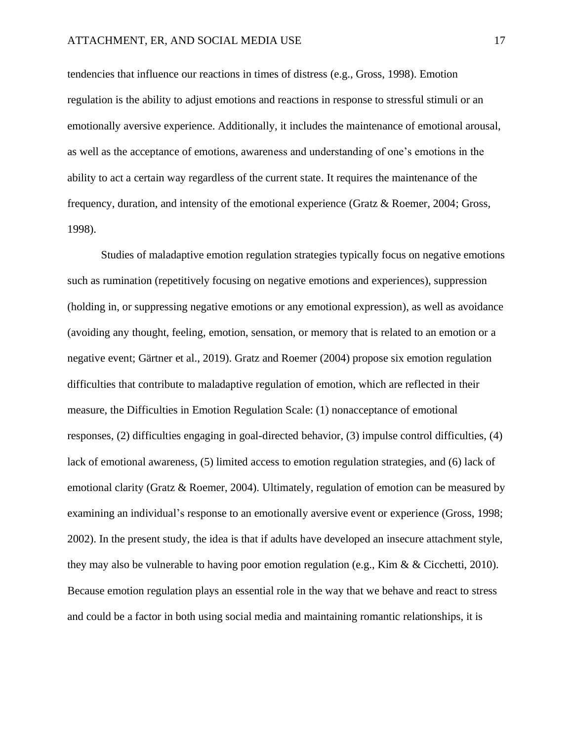tendencies that influence our reactions in times of distress (e.g., Gross, 1998). Emotion regulation is the ability to adjust emotions and reactions in response to stressful stimuli or an emotionally aversive experience. Additionally, it includes the maintenance of emotional arousal, as well as the acceptance of emotions, awareness and understanding of one's emotions in the ability to act a certain way regardless of the current state. It requires the maintenance of the frequency, duration, and intensity of the emotional experience (Gratz & Roemer, 2004; Gross, 1998).

Studies of maladaptive emotion regulation strategies typically focus on negative emotions such as rumination (repetitively focusing on negative emotions and experiences), suppression (holding in, or suppressing negative emotions or any emotional expression), as well as avoidance (avoiding any thought, feeling, emotion, sensation, or memory that is related to an emotion or a negative event; Gärtner et al., 2019). Gratz and Roemer (2004) propose six emotion regulation difficulties that contribute to maladaptive regulation of emotion, which are reflected in their measure, the Difficulties in Emotion Regulation Scale: (1) nonacceptance of emotional responses, (2) difficulties engaging in goal-directed behavior, (3) impulse control difficulties, (4) lack of emotional awareness, (5) limited access to emotion regulation strategies, and (6) lack of emotional clarity (Gratz & Roemer, 2004). Ultimately, regulation of emotion can be measured by examining an individual's response to an emotionally aversive event or experience (Gross, 1998; 2002). In the present study, the idea is that if adults have developed an insecure attachment style, they may also be vulnerable to having poor emotion regulation (e.g., Kim & & Cicchetti, 2010). Because emotion regulation plays an essential role in the way that we behave and react to stress and could be a factor in both using social media and maintaining romantic relationships, it is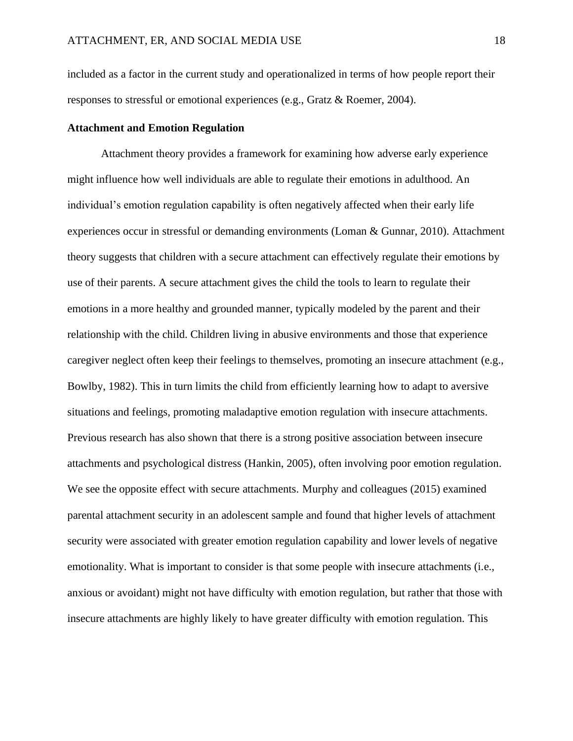included as a factor in the current study and operationalized in terms of how people report their responses to stressful or emotional experiences (e.g., Gratz & Roemer, 2004).

#### <span id="page-26-0"></span>**Attachment and Emotion Regulation**

Attachment theory provides a framework for examining how adverse early experience might influence how well individuals are able to regulate their emotions in adulthood. An individual's emotion regulation capability is often negatively affected when their early life experiences occur in stressful or demanding environments (Loman & Gunnar, 2010). Attachment theory suggests that children with a secure attachment can effectively regulate their emotions by use of their parents. A secure attachment gives the child the tools to learn to regulate their emotions in a more healthy and grounded manner, typically modeled by the parent and their relationship with the child. Children living in abusive environments and those that experience caregiver neglect often keep their feelings to themselves, promoting an insecure attachment (e.g., Bowlby, 1982). This in turn limits the child from efficiently learning how to adapt to aversive situations and feelings, promoting maladaptive emotion regulation with insecure attachments. Previous research has also shown that there is a strong positive association between insecure attachments and psychological distress (Hankin, 2005), often involving poor emotion regulation. We see the opposite effect with secure attachments. Murphy and colleagues (2015) examined parental attachment security in an adolescent sample and found that higher levels of attachment security were associated with greater emotion regulation capability and lower levels of negative emotionality. What is important to consider is that some people with insecure attachments (i.e., anxious or avoidant) might not have difficulty with emotion regulation, but rather that those with insecure attachments are highly likely to have greater difficulty with emotion regulation. This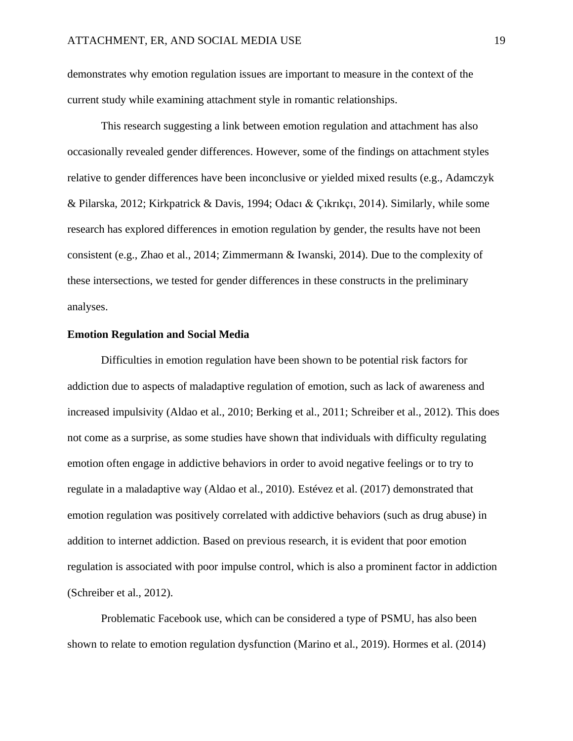demonstrates why emotion regulation issues are important to measure in the context of the current study while examining attachment style in romantic relationships.

This research suggesting a link between emotion regulation and attachment has also occasionally revealed gender differences. However, some of the findings on attachment styles relative to gender differences have been inconclusive or yielded mixed results (e.g., Adamczyk & Pilarska, 2012; Kirkpatrick & Davis, 1994; Odacı & Çıkrıkçı, 2014). Similarly, while some research has explored differences in emotion regulation by gender, the results have not been consistent (e.g., Zhao et al., 2014; Zimmermann & Iwanski, 2014). Due to the complexity of these intersections, we tested for gender differences in these constructs in the preliminary analyses.

#### <span id="page-27-0"></span>**Emotion Regulation and Social Media**

Difficulties in emotion regulation have been shown to be potential risk factors for addiction due to aspects of maladaptive regulation of emotion, such as lack of awareness and increased impulsivity (Aldao et al., 2010; Berking et al., 2011; Schreiber et al., 2012). This does not come as a surprise, as some studies have shown that individuals with difficulty regulating emotion often engage in addictive behaviors in order to avoid negative feelings or to try to regulate in a maladaptive way (Aldao et al., 2010). Estévez et al. (2017) demonstrated that emotion regulation was positively correlated with addictive behaviors (such as drug abuse) in addition to internet addiction. Based on previous research, it is evident that poor emotion regulation is associated with poor impulse control, which is also a prominent factor in addiction (Schreiber et al., 2012).

Problematic Facebook use, which can be considered a type of PSMU, has also been shown to relate to emotion regulation dysfunction (Marino et al., 2019). Hormes et al. (2014)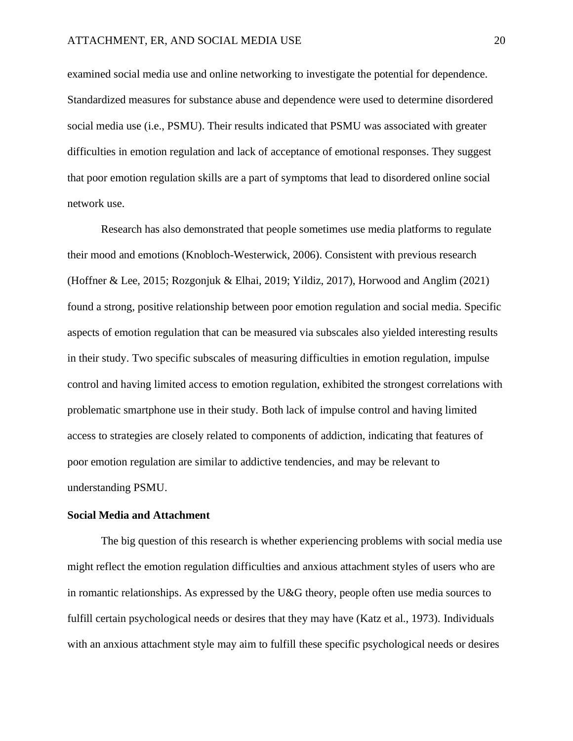examined social media use and online networking to investigate the potential for dependence. Standardized measures for substance abuse and dependence were used to determine disordered social media use (i.e., PSMU). Their results indicated that PSMU was associated with greater difficulties in emotion regulation and lack of acceptance of emotional responses. They suggest that poor emotion regulation skills are a part of symptoms that lead to disordered online social network use.

Research has also demonstrated that people sometimes use media platforms to regulate their mood and emotions (Knobloch-Westerwick, 2006). Consistent with previous research (Hoffner & Lee, 2015; Rozgonjuk & Elhai, 2019; Yildiz, 2017), Horwood and Anglim (2021) found a strong, positive relationship between poor emotion regulation and social media. Specific aspects of emotion regulation that can be measured via subscales also yielded interesting results in their study. Two specific subscales of measuring difficulties in emotion regulation, impulse control and having limited access to emotion regulation, exhibited the strongest correlations with problematic smartphone use in their study. Both lack of impulse control and having limited access to strategies are closely related to components of addiction, indicating that features of poor emotion regulation are similar to addictive tendencies, and may be relevant to understanding PSMU.

#### <span id="page-28-0"></span>**Social Media and Attachment**

The big question of this research is whether experiencing problems with social media use might reflect the emotion regulation difficulties and anxious attachment styles of users who are in romantic relationships. As expressed by the U&G theory, people often use media sources to fulfill certain psychological needs or desires that they may have (Katz et al., 1973). Individuals with an anxious attachment style may aim to fulfill these specific psychological needs or desires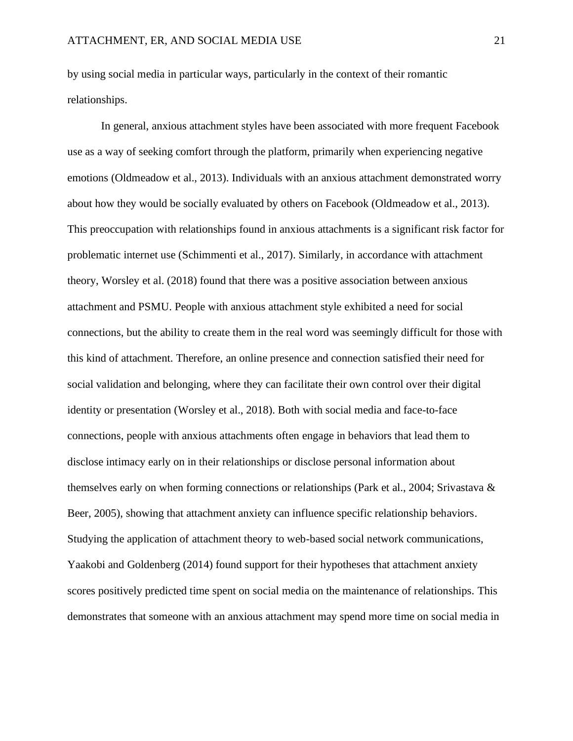by using social media in particular ways, particularly in the context of their romantic relationships.

In general, anxious attachment styles have been associated with more frequent Facebook use as a way of seeking comfort through the platform, primarily when experiencing negative emotions (Oldmeadow et al., 2013). Individuals with an anxious attachment demonstrated worry about how they would be socially evaluated by others on Facebook (Oldmeadow et al., 2013). This preoccupation with relationships found in anxious attachments is a significant risk factor for problematic internet use (Schimmenti et al., 2017). Similarly, in accordance with attachment theory, Worsley et al. (2018) found that there was a positive association between anxious attachment and PSMU. People with anxious attachment style exhibited a need for social connections, but the ability to create them in the real word was seemingly difficult for those with this kind of attachment. Therefore, an online presence and connection satisfied their need for social validation and belonging, where they can facilitate their own control over their digital identity or presentation (Worsley et al., 2018). Both with social media and face-to-face connections, people with anxious attachments often engage in behaviors that lead them to disclose intimacy early on in their relationships or disclose personal information about themselves early on when forming connections or relationships (Park et al., 2004; Srivastava & Beer, 2005), showing that attachment anxiety can influence specific relationship behaviors. Studying the application of attachment theory to web-based social network communications, Yaakobi and Goldenberg (2014) found support for their hypotheses that attachment anxiety scores positively predicted time spent on social media on the maintenance of relationships. This demonstrates that someone with an anxious attachment may spend more time on social media in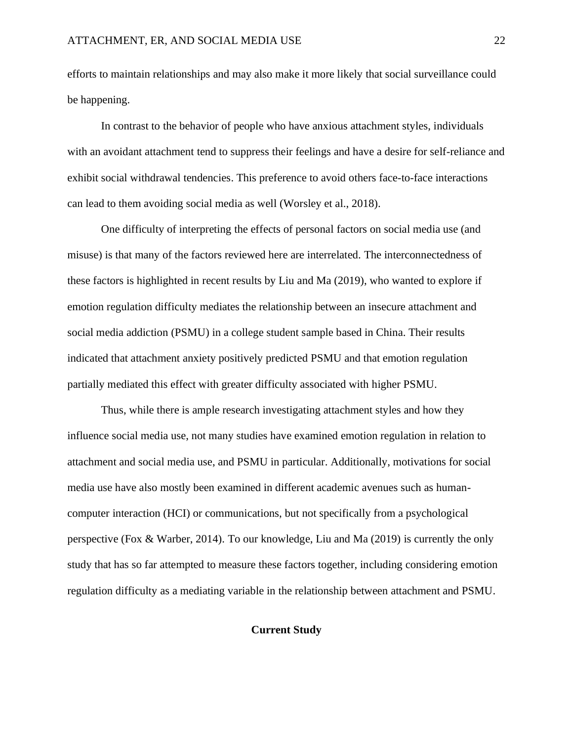efforts to maintain relationships and may also make it more likely that social surveillance could be happening.

In contrast to the behavior of people who have anxious attachment styles, individuals with an avoidant attachment tend to suppress their feelings and have a desire for self-reliance and exhibit social withdrawal tendencies. This preference to avoid others face-to-face interactions can lead to them avoiding social media as well (Worsley et al., 2018).

One difficulty of interpreting the effects of personal factors on social media use (and misuse) is that many of the factors reviewed here are interrelated. The interconnectedness of these factors is highlighted in recent results by Liu and Ma (2019), who wanted to explore if emotion regulation difficulty mediates the relationship between an insecure attachment and social media addiction (PSMU) in a college student sample based in China. Their results indicated that attachment anxiety positively predicted PSMU and that emotion regulation partially mediated this effect with greater difficulty associated with higher PSMU.

Thus, while there is ample research investigating attachment styles and how they influence social media use, not many studies have examined emotion regulation in relation to attachment and social media use, and PSMU in particular. Additionally, motivations for social media use have also mostly been examined in different academic avenues such as humancomputer interaction (HCI) or communications, but not specifically from a psychological perspective (Fox & Warber, 2014). To our knowledge, Liu and Ma (2019) is currently the only study that has so far attempted to measure these factors together, including considering emotion regulation difficulty as a mediating variable in the relationship between attachment and PSMU.

#### <span id="page-30-0"></span>**Current Study**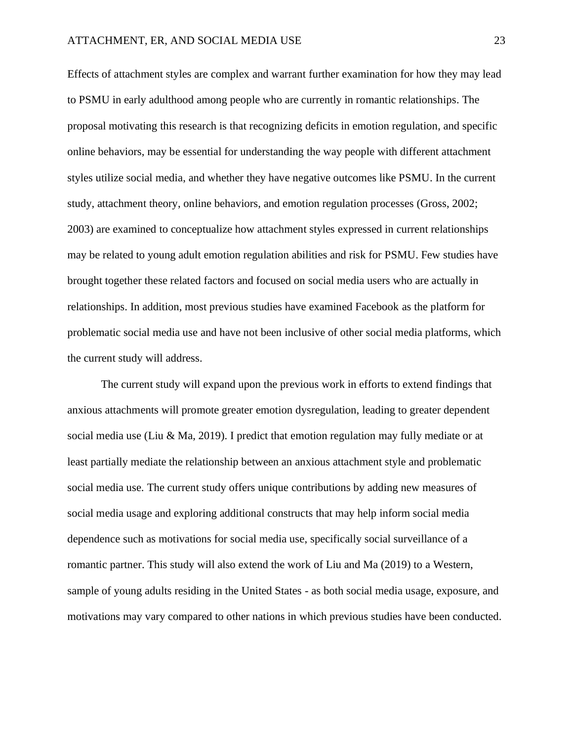Effects of attachment styles are complex and warrant further examination for how they may lead to PSMU in early adulthood among people who are currently in romantic relationships. The proposal motivating this research is that recognizing deficits in emotion regulation, and specific online behaviors, may be essential for understanding the way people with different attachment styles utilize social media, and whether they have negative outcomes like PSMU. In the current study, attachment theory, online behaviors, and emotion regulation processes (Gross, 2002; 2003) are examined to conceptualize how attachment styles expressed in current relationships may be related to young adult emotion regulation abilities and risk for PSMU. Few studies have brought together these related factors and focused on social media users who are actually in relationships. In addition, most previous studies have examined Facebook as the platform for problematic social media use and have not been inclusive of other social media platforms, which the current study will address.

The current study will expand upon the previous work in efforts to extend findings that anxious attachments will promote greater emotion dysregulation, leading to greater dependent social media use (Liu & Ma, 2019). I predict that emotion regulation may fully mediate or at least partially mediate the relationship between an anxious attachment style and problematic social media use. The current study offers unique contributions by adding new measures of social media usage and exploring additional constructs that may help inform social media dependence such as motivations for social media use, specifically social surveillance of a romantic partner. This study will also extend the work of Liu and Ma (2019) to a Western, sample of young adults residing in the United States - as both social media usage, exposure, and motivations may vary compared to other nations in which previous studies have been conducted.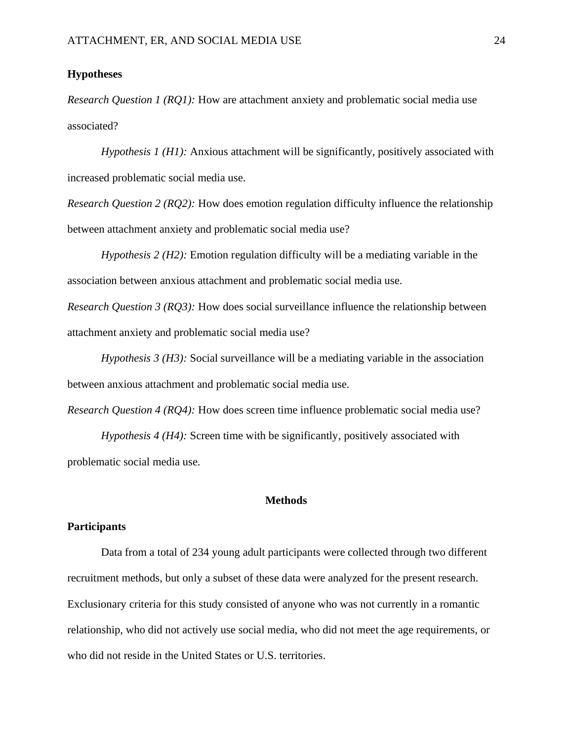#### <span id="page-32-0"></span>**Hypotheses**

*Research Question 1 (RQ1):* How are attachment anxiety and problematic social media use associated?

*Hypothesis 1 (H1):* Anxious attachment will be significantly, positively associated with increased problematic social media use.

*Research Question 2 (RQ2):* How does emotion regulation difficulty influence the relationship between attachment anxiety and problematic social media use?

*Hypothesis 2 (H2):* Emotion regulation difficulty will be a mediating variable in the association between anxious attachment and problematic social media use.

*Research Question 3 (RQ3):* How does social surveillance influence the relationship between attachment anxiety and problematic social media use?

*Hypothesis 3 (H3):* Social surveillance will be a mediating variable in the association between anxious attachment and problematic social media use.

*Research Question 4 (RQ4):* How does screen time influence problematic social media use?

*Hypothesis 4 (H4):* Screen time with be significantly, positively associated with problematic social media use.

#### **Methods**

#### <span id="page-32-2"></span><span id="page-32-1"></span>**Participants**

Data from a total of 234 young adult participants were collected through two different recruitment methods, but only a subset of these data were analyzed for the present research. Exclusionary criteria for this study consisted of anyone who was not currently in a romantic relationship, who did not actively use social media, who did not meet the age requirements, or who did not reside in the United States or U.S. territories.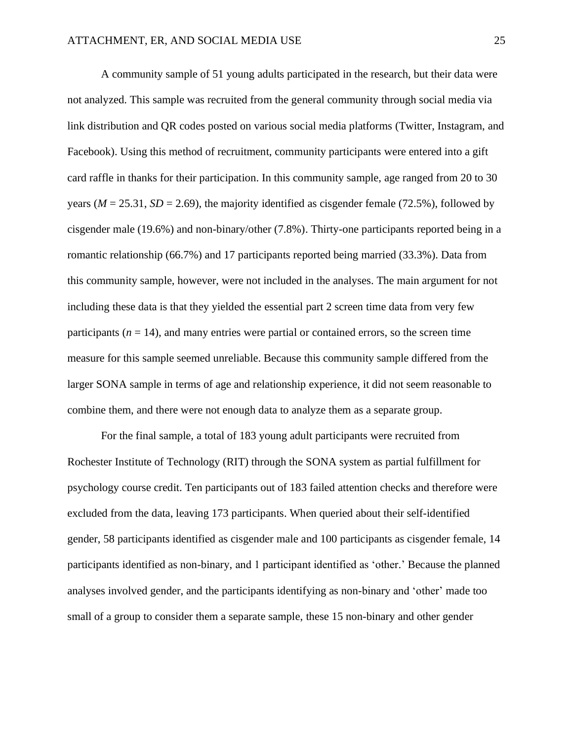A community sample of 51 young adults participated in the research, but their data were not analyzed. This sample was recruited from the general community through social media via link distribution and QR codes posted on various social media platforms (Twitter, Instagram, and Facebook). Using this method of recruitment, community participants were entered into a gift card raffle in thanks for their participation. In this community sample, age ranged from 20 to 30 years ( $M = 25.31$ ,  $SD = 2.69$ ), the majority identified as cisgender female (72.5%), followed by cisgender male (19.6%) and non-binary/other (7.8%). Thirty-one participants reported being in a romantic relationship (66.7%) and 17 participants reported being married (33.3%). Data from this community sample, however, were not included in the analyses. The main argument for not including these data is that they yielded the essential part 2 screen time data from very few participants  $(n = 14)$ , and many entries were partial or contained errors, so the screen time measure for this sample seemed unreliable. Because this community sample differed from the larger SONA sample in terms of age and relationship experience, it did not seem reasonable to combine them, and there were not enough data to analyze them as a separate group.

For the final sample, a total of 183 young adult participants were recruited from Rochester Institute of Technology (RIT) through the SONA system as partial fulfillment for psychology course credit. Ten participants out of 183 failed attention checks and therefore were excluded from the data, leaving 173 participants. When queried about their self-identified gender, 58 participants identified as cisgender male and 100 participants as cisgender female, 14 participants identified as non-binary, and 1 participant identified as 'other.' Because the planned analyses involved gender, and the participants identifying as non-binary and 'other' made too small of a group to consider them a separate sample, these 15 non-binary and other gender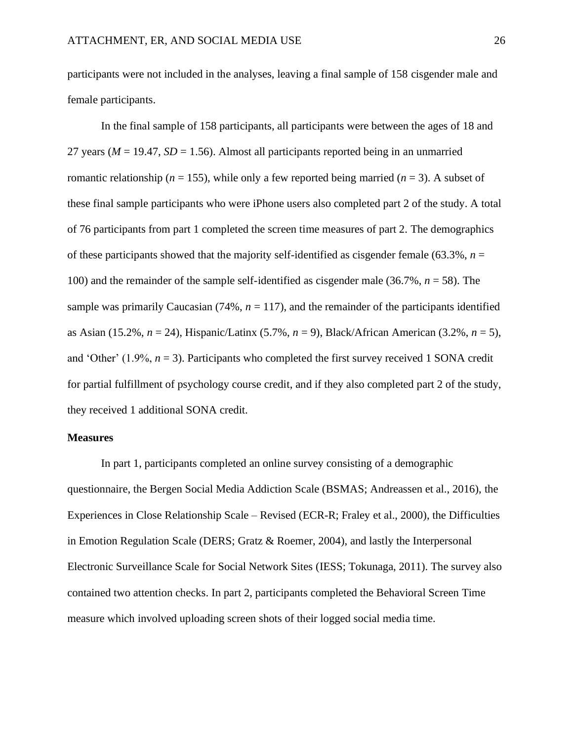participants were not included in the analyses, leaving a final sample of 158 cisgender male and female participants.

In the final sample of 158 participants, all participants were between the ages of 18 and 27 years ( $M = 19.47$ ,  $SD = 1.56$ ). Almost all participants reported being in an unmarried romantic relationship ( $n = 155$ ), while only a few reported being married ( $n = 3$ ). A subset of these final sample participants who were iPhone users also completed part 2 of the study. A total of 76 participants from part 1 completed the screen time measures of part 2. The demographics of these participants showed that the majority self-identified as cisgender female (63.3%,  $n =$ 100) and the remainder of the sample self-identified as cisgender male (36.7%, *n* = 58). The sample was primarily Caucasian  $(74\%, n = 117)$ , and the remainder of the participants identified as Asian (15.2%, *n* = 24), Hispanic/Latinx (5.7%, *n* = 9), Black/African American (3.2%, *n* = 5), and 'Other'  $(1.9\%, n = 3)$ . Participants who completed the first survey received 1 SONA credit for partial fulfillment of psychology course credit, and if they also completed part 2 of the study, they received 1 additional SONA credit.

#### <span id="page-34-0"></span>**Measures**

In part 1, participants completed an online survey consisting of a demographic questionnaire, the Bergen Social Media Addiction Scale (BSMAS; Andreassen et al., 2016), the Experiences in Close Relationship Scale – Revised (ECR-R; Fraley et al., 2000), the Difficulties in Emotion Regulation Scale (DERS; Gratz & Roemer, 2004), and lastly the Interpersonal Electronic Surveillance Scale for Social Network Sites (IESS; Tokunaga, 2011). The survey also contained two attention checks. In part 2, participants completed the Behavioral Screen Time measure which involved uploading screen shots of their logged social media time.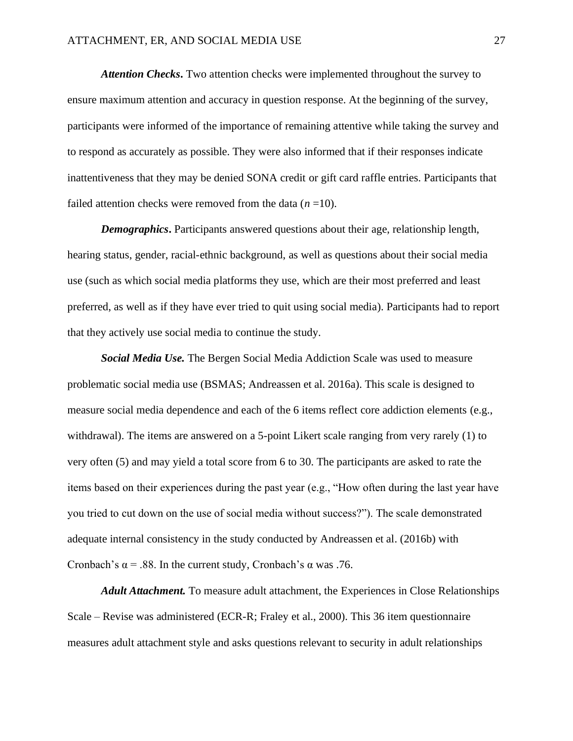*Attention Checks***.** Two attention checks were implemented throughout the survey to ensure maximum attention and accuracy in question response. At the beginning of the survey, participants were informed of the importance of remaining attentive while taking the survey and to respond as accurately as possible. They were also informed that if their responses indicate inattentiveness that they may be denied SONA credit or gift card raffle entries. Participants that failed attention checks were removed from the data  $(n=10)$ .

*Demographics***.** Participants answered questions about their age, relationship length, hearing status, gender, racial-ethnic background, as well as questions about their social media use (such as which social media platforms they use, which are their most preferred and least preferred, as well as if they have ever tried to quit using social media). Participants had to report that they actively use social media to continue the study.

*Social Media Use.* The Bergen Social Media Addiction Scale was used to measure problematic social media use (BSMAS; Andreassen et al. 2016a). This scale is designed to measure social media dependence and each of the 6 items reflect core addiction elements (e.g., withdrawal). The items are answered on a 5-point Likert scale ranging from very rarely (1) to very often (5) and may yield a total score from 6 to 30. The participants are asked to rate the items based on their experiences during the past year (e.g., "How often during the last year have you tried to cut down on the use of social media without success?"). The scale demonstrated adequate internal consistency in the study conducted by Andreassen et al. (2016b) with Cronbach's  $\alpha$  = .88. In the current study, Cronbach's  $\alpha$  was .76.

*Adult Attachment.* To measure adult attachment, the Experiences in Close Relationships Scale – Revise was administered (ECR-R; Fraley et al., 2000). This 36 item questionnaire measures adult attachment style and asks questions relevant to security in adult relationships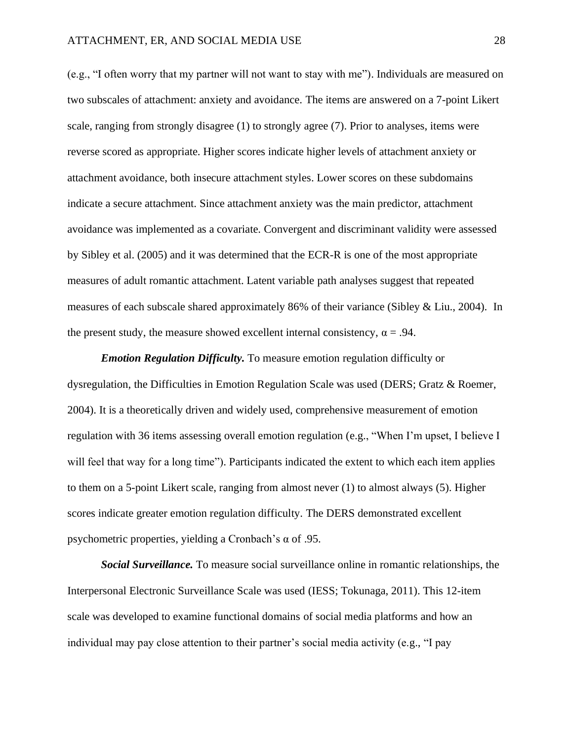(e.g., "I often worry that my partner will not want to stay with me"). Individuals are measured on two subscales of attachment: anxiety and avoidance. The items are answered on a 7-point Likert scale, ranging from strongly disagree (1) to strongly agree (7). Prior to analyses, items were reverse scored as appropriate. Higher scores indicate higher levels of attachment anxiety or attachment avoidance, both insecure attachment styles. Lower scores on these subdomains indicate a secure attachment. Since attachment anxiety was the main predictor, attachment avoidance was implemented as a covariate. Convergent and discriminant validity were assessed by Sibley et al. (2005) and it was determined that the ECR-R is one of the most appropriate measures of adult romantic attachment. Latent variable path analyses suggest that repeated measures of each subscale shared approximately 86% of their variance (Sibley & Liu., 2004). In the present study, the measure showed excellent internal consistency,  $\alpha = .94$ .

*Emotion Regulation Difficulty.* To measure emotion regulation difficulty or dysregulation, the Difficulties in Emotion Regulation Scale was used (DERS; Gratz & Roemer, 2004). It is a theoretically driven and widely used, comprehensive measurement of emotion regulation with 36 items assessing overall emotion regulation (e.g., "When I'm upset, I believe I will feel that way for a long time"). Participants indicated the extent to which each item applies to them on a 5-point Likert scale, ranging from almost never (1) to almost always (5). Higher scores indicate greater emotion regulation difficulty. The DERS demonstrated excellent psychometric properties, yielding a Cronbach's α of .95.

*Social Surveillance.* To measure social surveillance online in romantic relationships, the Interpersonal Electronic Surveillance Scale was used (IESS; Tokunaga, 2011). This 12-item scale was developed to examine functional domains of social media platforms and how an individual may pay close attention to their partner's social media activity (e.g., "I pay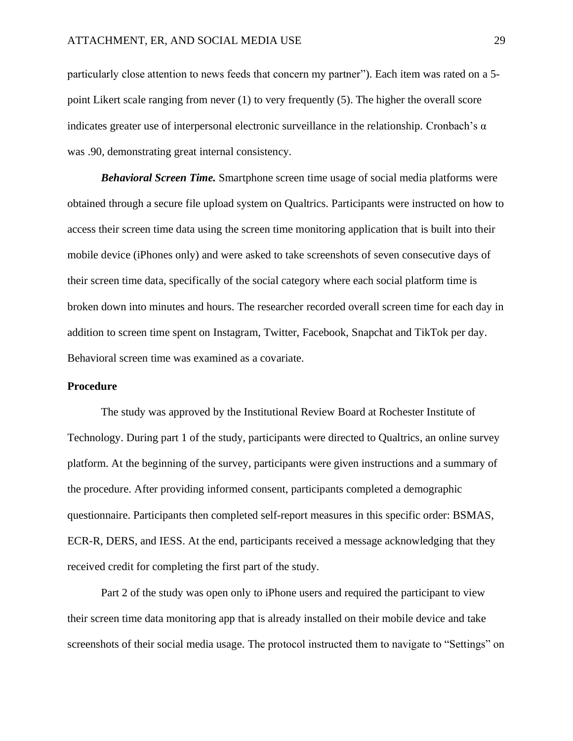particularly close attention to news feeds that concern my partner"). Each item was rated on a 5 point Likert scale ranging from never (1) to very frequently (5). The higher the overall score indicates greater use of interpersonal electronic surveillance in the relationship. Cronbach's  $\alpha$ was .90, demonstrating great internal consistency.

*Behavioral Screen Time.* Smartphone screen time usage of social media platforms were obtained through a secure file upload system on Qualtrics. Participants were instructed on how to access their screen time data using the screen time monitoring application that is built into their mobile device (iPhones only) and were asked to take screenshots of seven consecutive days of their screen time data, specifically of the social category where each social platform time is broken down into minutes and hours. The researcher recorded overall screen time for each day in addition to screen time spent on Instagram, Twitter, Facebook, Snapchat and TikTok per day. Behavioral screen time was examined as a covariate.

## **Procedure**

The study was approved by the Institutional Review Board at Rochester Institute of Technology. During part 1 of the study, participants were directed to Qualtrics, an online survey platform. At the beginning of the survey, participants were given instructions and a summary of the procedure. After providing informed consent, participants completed a demographic questionnaire. Participants then completed self-report measures in this specific order: BSMAS, ECR-R, DERS, and IESS. At the end, participants received a message acknowledging that they received credit for completing the first part of the study.

Part 2 of the study was open only to iPhone users and required the participant to view their screen time data monitoring app that is already installed on their mobile device and take screenshots of their social media usage. The protocol instructed them to navigate to "Settings" on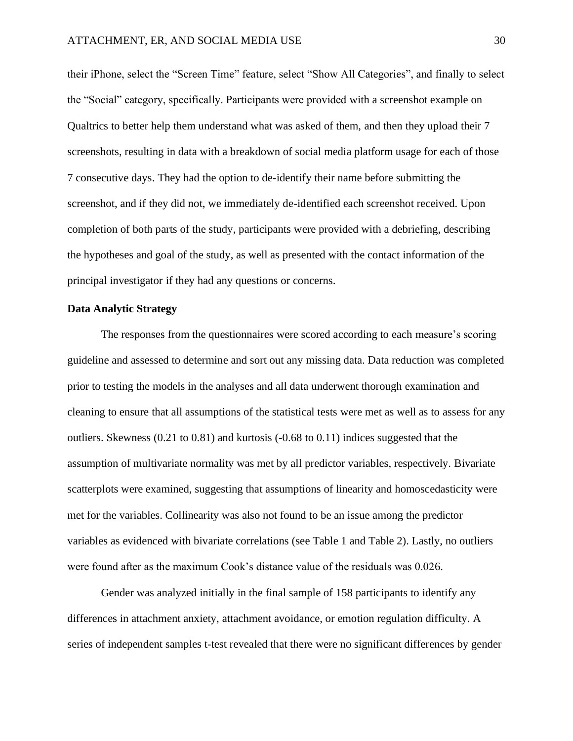their iPhone, select the "Screen Time" feature, select "Show All Categories", and finally to select the "Social" category, specifically. Participants were provided with a screenshot example on Qualtrics to better help them understand what was asked of them, and then they upload their 7 screenshots, resulting in data with a breakdown of social media platform usage for each of those 7 consecutive days. They had the option to de-identify their name before submitting the screenshot, and if they did not, we immediately de-identified each screenshot received. Upon completion of both parts of the study, participants were provided with a debriefing, describing the hypotheses and goal of the study, as well as presented with the contact information of the principal investigator if they had any questions or concerns.

# **Data Analytic Strategy**

The responses from the questionnaires were scored according to each measure's scoring guideline and assessed to determine and sort out any missing data. Data reduction was completed prior to testing the models in the analyses and all data underwent thorough examination and cleaning to ensure that all assumptions of the statistical tests were met as well as to assess for any outliers. Skewness (0.21 to 0.81) and kurtosis (-0.68 to 0.11) indices suggested that the assumption of multivariate normality was met by all predictor variables, respectively. Bivariate scatterplots were examined, suggesting that assumptions of linearity and homoscedasticity were met for the variables. Collinearity was also not found to be an issue among the predictor variables as evidenced with bivariate correlations (see Table 1 and Table 2). Lastly, no outliers were found after as the maximum Cook's distance value of the residuals was 0.026.

Gender was analyzed initially in the final sample of 158 participants to identify any differences in attachment anxiety, attachment avoidance, or emotion regulation difficulty. A series of independent samples t-test revealed that there were no significant differences by gender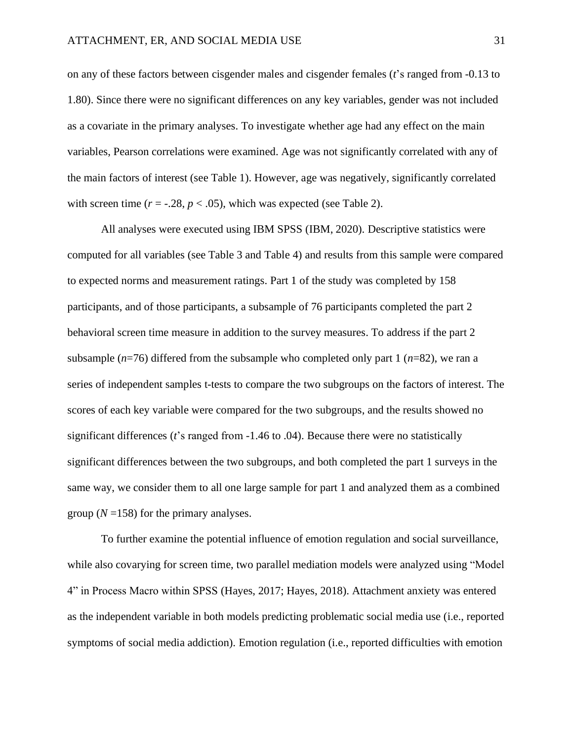on any of these factors between cisgender males and cisgender females (*t*'s ranged from -0.13 to 1.80). Since there were no significant differences on any key variables, gender was not included as a covariate in the primary analyses. To investigate whether age had any effect on the main variables, Pearson correlations were examined. Age was not significantly correlated with any of the main factors of interest (see Table 1). However, age was negatively, significantly correlated with screen time  $(r = -.28, p < .05)$ , which was expected (see Table 2).

All analyses were executed using IBM SPSS (IBM, 2020). Descriptive statistics were computed for all variables (see Table 3 and Table 4) and results from this sample were compared to expected norms and measurement ratings. Part 1 of the study was completed by 158 participants, and of those participants, a subsample of 76 participants completed the part 2 behavioral screen time measure in addition to the survey measures. To address if the part 2 subsample  $(n=76)$  differed from the subsample who completed only part 1  $(n=82)$ , we ran a series of independent samples t-tests to compare the two subgroups on the factors of interest. The scores of each key variable were compared for the two subgroups, and the results showed no significant differences (*t*'s ranged from -1.46 to .04). Because there were no statistically significant differences between the two subgroups, and both completed the part 1 surveys in the same way, we consider them to all one large sample for part 1 and analyzed them as a combined group  $(N=158)$  for the primary analyses.

To further examine the potential influence of emotion regulation and social surveillance, while also covarying for screen time, two parallel mediation models were analyzed using "Model 4" in Process Macro within SPSS (Hayes, 2017; Hayes, 2018). Attachment anxiety was entered as the independent variable in both models predicting problematic social media use (i.e., reported symptoms of social media addiction). Emotion regulation (i.e., reported difficulties with emotion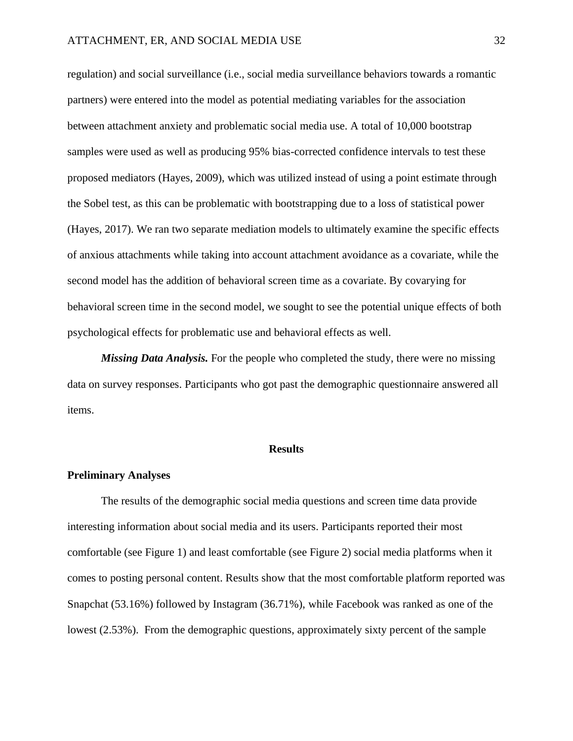regulation) and social surveillance (i.e., social media surveillance behaviors towards a romantic partners) were entered into the model as potential mediating variables for the association between attachment anxiety and problematic social media use. A total of 10,000 bootstrap samples were used as well as producing 95% bias-corrected confidence intervals to test these proposed mediators (Hayes, 2009), which was utilized instead of using a point estimate through the Sobel test, as this can be problematic with bootstrapping due to a loss of statistical power (Hayes, 2017). We ran two separate mediation models to ultimately examine the specific effects of anxious attachments while taking into account attachment avoidance as a covariate, while the second model has the addition of behavioral screen time as a covariate. By covarying for behavioral screen time in the second model, we sought to see the potential unique effects of both psychological effects for problematic use and behavioral effects as well.

*Missing Data Analysis.* For the people who completed the study, there were no missing data on survey responses. Participants who got past the demographic questionnaire answered all items.

#### **Results**

#### **Preliminary Analyses**

The results of the demographic social media questions and screen time data provide interesting information about social media and its users. Participants reported their most comfortable (see Figure 1) and least comfortable (see Figure 2) social media platforms when it comes to posting personal content. Results show that the most comfortable platform reported was Snapchat (53.16%) followed by Instagram (36.71%), while Facebook was ranked as one of the lowest (2.53%). From the demographic questions, approximately sixty percent of the sample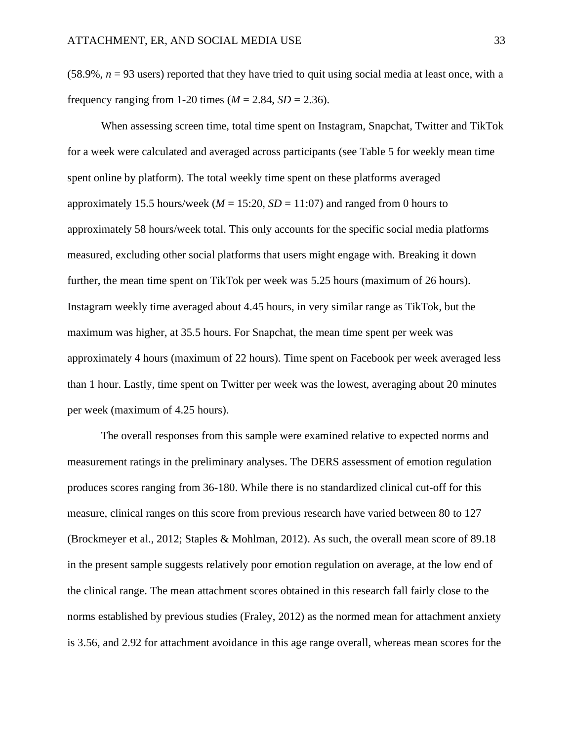$(58.9\%, n = 93$  users) reported that they have tried to quit using social media at least once, with a frequency ranging from 1-20 times ( $M = 2.84$ ,  $SD = 2.36$ ).

When assessing screen time, total time spent on Instagram, Snapchat, Twitter and TikTok for a week were calculated and averaged across participants (see Table 5 for weekly mean time spent online by platform). The total weekly time spent on these platforms averaged approximately 15.5 hours/week ( $M = 15:20$ ,  $SD = 11:07$ ) and ranged from 0 hours to approximately 58 hours/week total. This only accounts for the specific social media platforms measured, excluding other social platforms that users might engage with. Breaking it down further, the mean time spent on TikTok per week was 5.25 hours (maximum of 26 hours). Instagram weekly time averaged about 4.45 hours, in very similar range as TikTok, but the maximum was higher, at 35.5 hours. For Snapchat, the mean time spent per week was approximately 4 hours (maximum of 22 hours). Time spent on Facebook per week averaged less than 1 hour. Lastly, time spent on Twitter per week was the lowest, averaging about 20 minutes per week (maximum of 4.25 hours).

The overall responses from this sample were examined relative to expected norms and measurement ratings in the preliminary analyses. The DERS assessment of emotion regulation produces scores ranging from 36-180. While there is no standardized clinical cut-off for this measure, clinical ranges on this score from previous research have varied between 80 to 127 (Brockmeyer et al., 2012; Staples & Mohlman, 2012). As such, the overall mean score of 89.18 in the present sample suggests relatively poor emotion regulation on average, at the low end of the clinical range. The mean attachment scores obtained in this research fall fairly close to the norms established by previous studies (Fraley, 2012) as the normed mean for attachment anxiety is 3.56, and 2.92 for attachment avoidance in this age range overall, whereas mean scores for the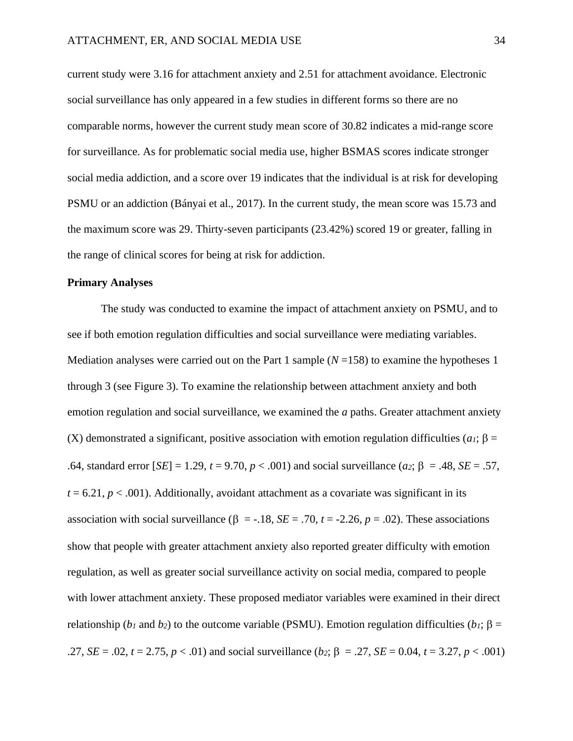current study were 3.16 for attachment anxiety and 2.51 for attachment avoidance. Electronic social surveillance has only appeared in a few studies in different forms so there are no comparable norms, however the current study mean score of 30.82 indicates a mid-range score for surveillance. As for problematic social media use, higher BSMAS scores indicate stronger social media addiction, and a score over 19 indicates that the individual is at risk for developing PSMU or an addiction (Bányai et al., 2017). In the current study, the mean score was 15.73 and the maximum score was 29. Thirty-seven participants (23.42%) scored 19 or greater, falling in the range of clinical scores for being at risk for addiction.

### **Primary Analyses**

The study was conducted to examine the impact of attachment anxiety on PSMU, and to see if both emotion regulation difficulties and social surveillance were mediating variables. Mediation analyses were carried out on the Part 1 sample  $(N=158)$  to examine the hypotheses 1 through 3 (see Figure 3). To examine the relationship between attachment anxiety and both emotion regulation and social surveillance, we examined the *a* paths. Greater attachment anxiety (X) demonstrated a significant, positive association with emotion regulation difficulties ( $a_1$ ;  $\beta$  = .64, standard error  $[SE] = 1.29$ ,  $t = 9.70$ ,  $p < .001$ ) and social surveillance (*a*<sub>2</sub>;  $\beta = .48$ ,  $SE = .57$ ,  $t = 6.21$ ,  $p < .001$ ). Additionally, avoidant attachment as a covariate was significant in its association with social surveillance ( $\beta$  = -.18, *SE* = .70, *t* = -2.26, *p* = .02). These associations show that people with greater attachment anxiety also reported greater difficulty with emotion regulation, as well as greater social surveillance activity on social media, compared to people with lower attachment anxiety. These proposed mediator variables were examined in their direct relationship (*b<sub>1</sub>* and *b*<sub>2</sub>) to the outcome variable (PSMU). Emotion regulation difficulties (*b<sub>1</sub>*;  $\beta$  = .27, *SE* = .02, *t* = 2.75, *p* < .01) and social surveillance (*b*<sub>2</sub>;  $\beta$  = .27, *SE* = 0.04, *t* = 3.27, *p* < .001)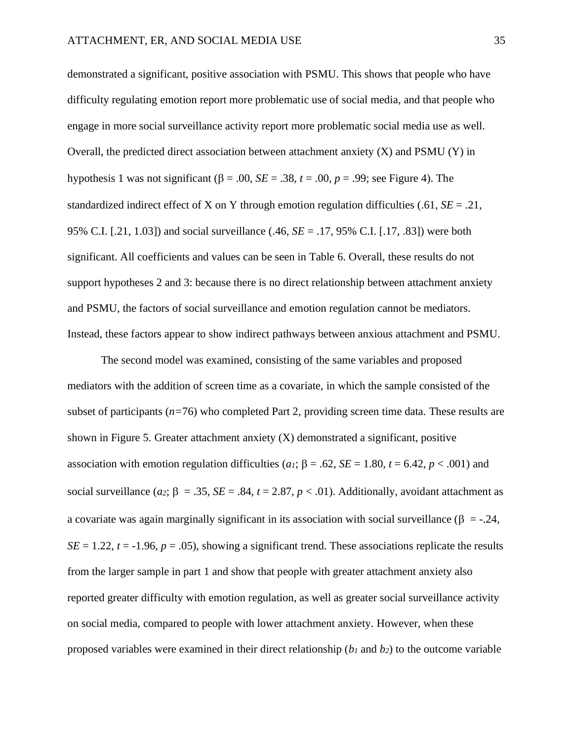demonstrated a significant, positive association with PSMU. This shows that people who have difficulty regulating emotion report more problematic use of social media, and that people who engage in more social surveillance activity report more problematic social media use as well. Overall, the predicted direct association between attachment anxiety  $(X)$  and PSMU  $(Y)$  in hypothesis 1 was not significant ( $\beta$  = .00, *SE* = .38, *t* = .00, *p* = .99; see Figure 4). The standardized indirect effect of X on Y through emotion regulation difficulties (.61,  $SE = .21$ , 95% C.I. [.21, 1.03]) and social surveillance (.46, *SE* = .17, 95% C.I. [.17, .83]) were both significant. All coefficients and values can be seen in Table 6. Overall, these results do not support hypotheses 2 and 3: because there is no direct relationship between attachment anxiety and PSMU, the factors of social surveillance and emotion regulation cannot be mediators. Instead, these factors appear to show indirect pathways between anxious attachment and PSMU.

The second model was examined, consisting of the same variables and proposed mediators with the addition of screen time as a covariate, in which the sample consisted of the subset of participants (*n=*76) who completed Part 2, providing screen time data. These results are shown in Figure 5. Greater attachment anxiety  $(X)$  demonstrated a significant, positive association with emotion regulation difficulties (*a<sub>1</sub>*;  $\beta = .62$ ,  $SE = 1.80$ ,  $t = 6.42$ ,  $p < .001$ ) and social surveillance (*a*<sup>2</sup>;  $\beta = .35$ ,  $SE = .84$ ,  $t = 2.87$ ,  $p < .01$ ). Additionally, avoidant attachment as a covariate was again marginally significant in its association with social surveillance ( $\beta = -0.24$ ,  $SE = 1.22$ ,  $t = -1.96$ ,  $p = .05$ ), showing a significant trend. These associations replicate the results from the larger sample in part 1 and show that people with greater attachment anxiety also reported greater difficulty with emotion regulation, as well as greater social surveillance activity on social media, compared to people with lower attachment anxiety. However, when these proposed variables were examined in their direct relationship (*b<sup>1</sup>* and *b2*) to the outcome variable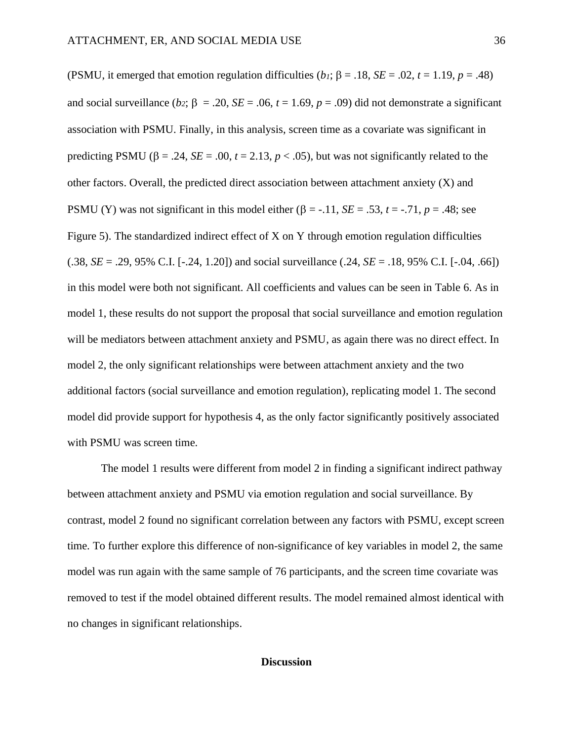(PSMU, it emerged that emotion regulation difficulties (*b<sub>1</sub>*;  $\beta = .18$ ,  $SE = .02$ ,  $t = 1.19$ ,  $p = .48$ ) and social surveillance (*b*<sub>2</sub>;  $\beta = 0.20$ ,  $SE = 0.06$ ,  $t = 1.69$ ,  $p = 0.09$ ) did not demonstrate a significant association with PSMU. Finally, in this analysis, screen time as a covariate was significant in predicting PSMU ( $\beta$  = .24, *SE* = .00,  $t$  = 2.13,  $p$  < .05), but was not significantly related to the other factors. Overall, the predicted direct association between attachment anxiety  $(X)$  and PSMU (Y) was not significant in this model either ( $\beta$  = -.11, *SE* = .53, *t* = -.71, *p* = .48; see Figure 5). The standardized indirect effect of X on Y through emotion regulation difficulties (.38, *SE* = .29, 95% C.I. [-.24, 1.20]) and social surveillance (.24, *SE* = .18, 95% C.I. [-.04, .66]) in this model were both not significant. All coefficients and values can be seen in Table 6. As in model 1, these results do not support the proposal that social surveillance and emotion regulation will be mediators between attachment anxiety and PSMU, as again there was no direct effect. In model 2, the only significant relationships were between attachment anxiety and the two additional factors (social surveillance and emotion regulation), replicating model 1. The second model did provide support for hypothesis 4, as the only factor significantly positively associated with PSMU was screen time.

The model 1 results were different from model 2 in finding a significant indirect pathway between attachment anxiety and PSMU via emotion regulation and social surveillance. By contrast, model 2 found no significant correlation between any factors with PSMU, except screen time. To further explore this difference of non-significance of key variables in model 2, the same model was run again with the same sample of 76 participants, and the screen time covariate was removed to test if the model obtained different results. The model remained almost identical with no changes in significant relationships.

#### **Discussion**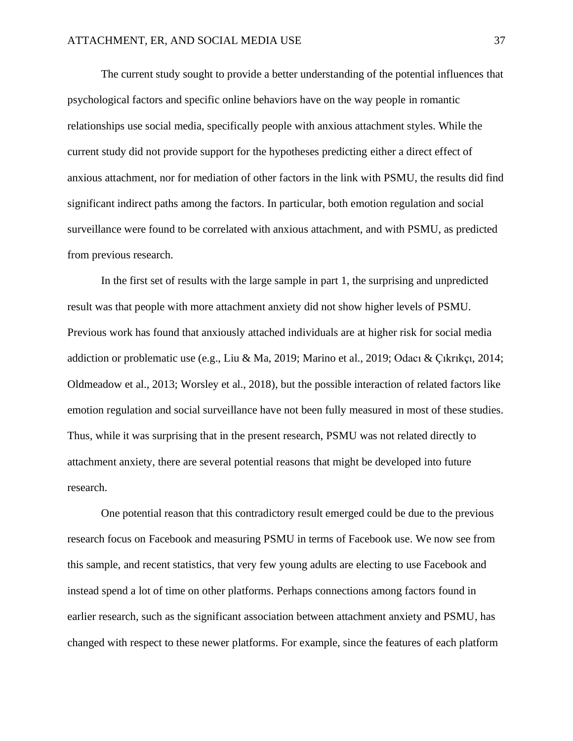The current study sought to provide a better understanding of the potential influences that psychological factors and specific online behaviors have on the way people in romantic relationships use social media, specifically people with anxious attachment styles. While the current study did not provide support for the hypotheses predicting either a direct effect of anxious attachment, nor for mediation of other factors in the link with PSMU, the results did find significant indirect paths among the factors. In particular, both emotion regulation and social surveillance were found to be correlated with anxious attachment, and with PSMU, as predicted from previous research.

In the first set of results with the large sample in part 1, the surprising and unpredicted result was that people with more attachment anxiety did not show higher levels of PSMU. Previous work has found that anxiously attached individuals are at higher risk for social media addiction or problematic use (e.g., Liu & Ma, 2019; Marino et al., 2019; Odacı & Çıkrıkçı, 2014; Oldmeadow et al., 2013; Worsley et al., 2018), but the possible interaction of related factors like emotion regulation and social surveillance have not been fully measured in most of these studies. Thus, while it was surprising that in the present research, PSMU was not related directly to attachment anxiety, there are several potential reasons that might be developed into future research.

One potential reason that this contradictory result emerged could be due to the previous research focus on Facebook and measuring PSMU in terms of Facebook use. We now see from this sample, and recent statistics, that very few young adults are electing to use Facebook and instead spend a lot of time on other platforms. Perhaps connections among factors found in earlier research, such as the significant association between attachment anxiety and PSMU, has changed with respect to these newer platforms. For example, since the features of each platform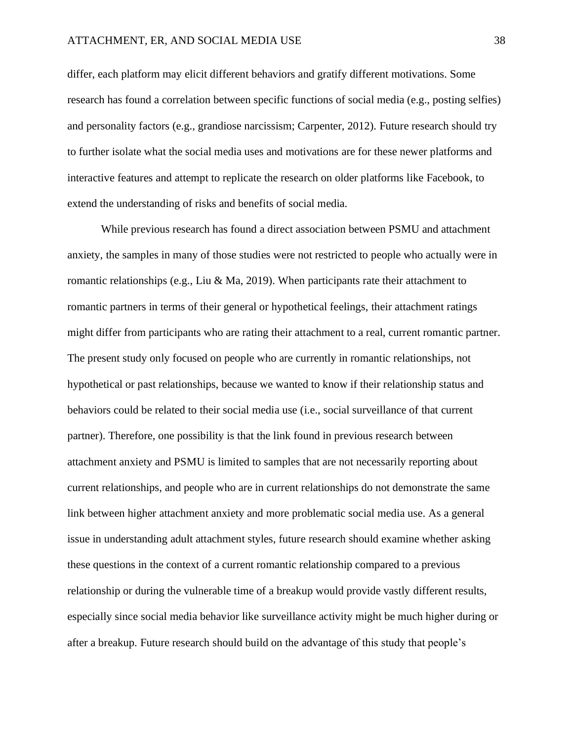differ, each platform may elicit different behaviors and gratify different motivations. Some research has found a correlation between specific functions of social media (e.g., posting selfies) and personality factors (e.g., grandiose narcissism; Carpenter, 2012). Future research should try to further isolate what the social media uses and motivations are for these newer platforms and interactive features and attempt to replicate the research on older platforms like Facebook, to extend the understanding of risks and benefits of social media.

While previous research has found a direct association between PSMU and attachment anxiety, the samples in many of those studies were not restricted to people who actually were in romantic relationships (e.g., Liu & Ma, 2019). When participants rate their attachment to romantic partners in terms of their general or hypothetical feelings, their attachment ratings might differ from participants who are rating their attachment to a real, current romantic partner. The present study only focused on people who are currently in romantic relationships, not hypothetical or past relationships, because we wanted to know if their relationship status and behaviors could be related to their social media use (i.e., social surveillance of that current partner). Therefore, one possibility is that the link found in previous research between attachment anxiety and PSMU is limited to samples that are not necessarily reporting about current relationships, and people who are in current relationships do not demonstrate the same link between higher attachment anxiety and more problematic social media use. As a general issue in understanding adult attachment styles, future research should examine whether asking these questions in the context of a current romantic relationship compared to a previous relationship or during the vulnerable time of a breakup would provide vastly different results, especially since social media behavior like surveillance activity might be much higher during or after a breakup. Future research should build on the advantage of this study that people's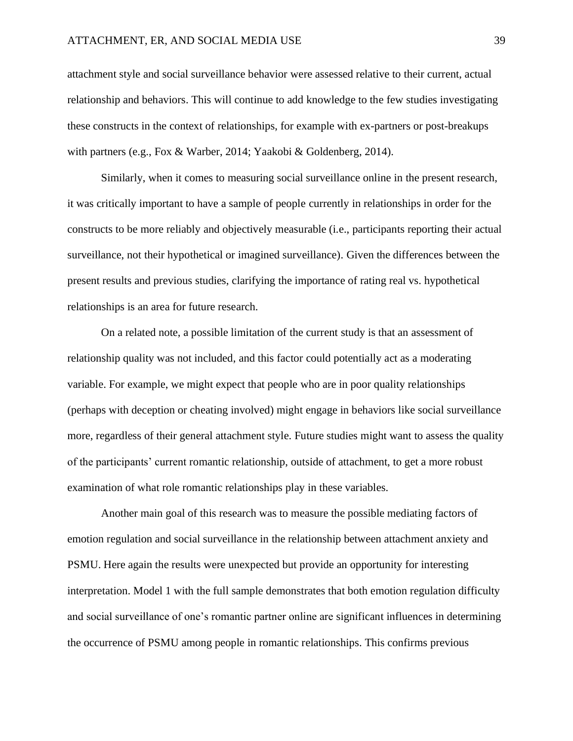attachment style and social surveillance behavior were assessed relative to their current, actual relationship and behaviors. This will continue to add knowledge to the few studies investigating these constructs in the context of relationships, for example with ex-partners or post-breakups with partners (e.g., Fox & Warber, 2014; Yaakobi & Goldenberg, 2014).

Similarly, when it comes to measuring social surveillance online in the present research, it was critically important to have a sample of people currently in relationships in order for the constructs to be more reliably and objectively measurable (i.e., participants reporting their actual surveillance, not their hypothetical or imagined surveillance). Given the differences between the present results and previous studies, clarifying the importance of rating real vs. hypothetical relationships is an area for future research.

On a related note, a possible limitation of the current study is that an assessment of relationship quality was not included, and this factor could potentially act as a moderating variable. For example, we might expect that people who are in poor quality relationships (perhaps with deception or cheating involved) might engage in behaviors like social surveillance more, regardless of their general attachment style. Future studies might want to assess the quality of the participants' current romantic relationship, outside of attachment, to get a more robust examination of what role romantic relationships play in these variables.

Another main goal of this research was to measure the possible mediating factors of emotion regulation and social surveillance in the relationship between attachment anxiety and PSMU. Here again the results were unexpected but provide an opportunity for interesting interpretation. Model 1 with the full sample demonstrates that both emotion regulation difficulty and social surveillance of one's romantic partner online are significant influences in determining the occurrence of PSMU among people in romantic relationships. This confirms previous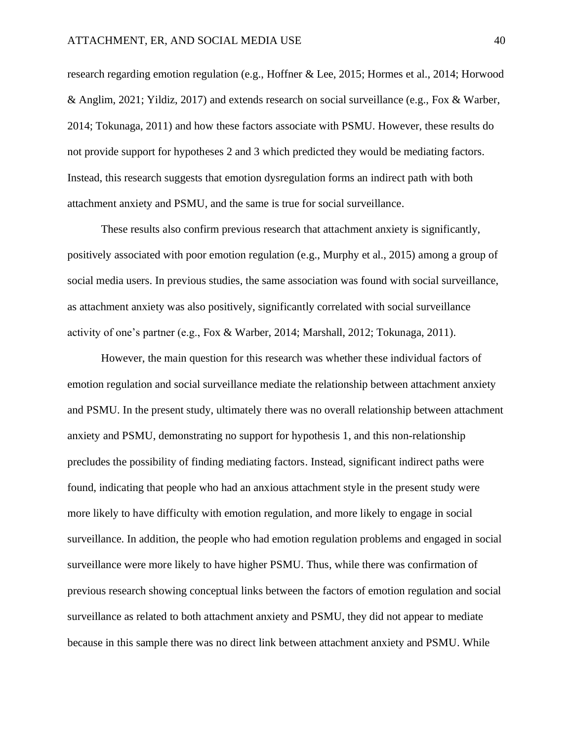research regarding emotion regulation (e.g., Hoffner & Lee, 2015; Hormes et al., 2014; Horwood & Anglim, 2021; Yildiz, 2017) and extends research on social surveillance (e.g., Fox & Warber, 2014; Tokunaga, 2011) and how these factors associate with PSMU. However, these results do not provide support for hypotheses 2 and 3 which predicted they would be mediating factors. Instead, this research suggests that emotion dysregulation forms an indirect path with both attachment anxiety and PSMU, and the same is true for social surveillance.

These results also confirm previous research that attachment anxiety is significantly, positively associated with poor emotion regulation (e.g., Murphy et al., 2015) among a group of social media users. In previous studies, the same association was found with social surveillance, as attachment anxiety was also positively, significantly correlated with social surveillance activity of one's partner (e.g., Fox & Warber, 2014; Marshall, 2012; Tokunaga, 2011).

However, the main question for this research was whether these individual factors of emotion regulation and social surveillance mediate the relationship between attachment anxiety and PSMU. In the present study, ultimately there was no overall relationship between attachment anxiety and PSMU, demonstrating no support for hypothesis 1, and this non-relationship precludes the possibility of finding mediating factors. Instead, significant indirect paths were found, indicating that people who had an anxious attachment style in the present study were more likely to have difficulty with emotion regulation, and more likely to engage in social surveillance. In addition, the people who had emotion regulation problems and engaged in social surveillance were more likely to have higher PSMU. Thus, while there was confirmation of previous research showing conceptual links between the factors of emotion regulation and social surveillance as related to both attachment anxiety and PSMU, they did not appear to mediate because in this sample there was no direct link between attachment anxiety and PSMU. While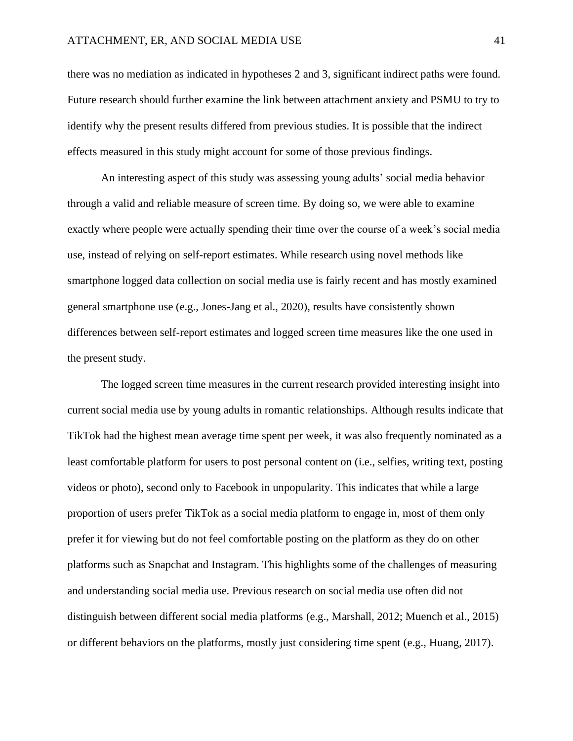there was no mediation as indicated in hypotheses 2 and 3, significant indirect paths were found. Future research should further examine the link between attachment anxiety and PSMU to try to identify why the present results differed from previous studies. It is possible that the indirect effects measured in this study might account for some of those previous findings.

An interesting aspect of this study was assessing young adults' social media behavior through a valid and reliable measure of screen time. By doing so, we were able to examine exactly where people were actually spending their time over the course of a week's social media use, instead of relying on self-report estimates. While research using novel methods like smartphone logged data collection on social media use is fairly recent and has mostly examined general smartphone use (e.g., Jones-Jang et al., 2020), results have consistently shown differences between self-report estimates and logged screen time measures like the one used in the present study.

The logged screen time measures in the current research provided interesting insight into current social media use by young adults in romantic relationships. Although results indicate that TikTok had the highest mean average time spent per week, it was also frequently nominated as a least comfortable platform for users to post personal content on (i.e., selfies, writing text, posting videos or photo), second only to Facebook in unpopularity. This indicates that while a large proportion of users prefer TikTok as a social media platform to engage in, most of them only prefer it for viewing but do not feel comfortable posting on the platform as they do on other platforms such as Snapchat and Instagram. This highlights some of the challenges of measuring and understanding social media use. Previous research on social media use often did not distinguish between different social media platforms (e.g., Marshall, 2012; Muench et al., 2015) or different behaviors on the platforms, mostly just considering time spent (e.g., Huang, 2017).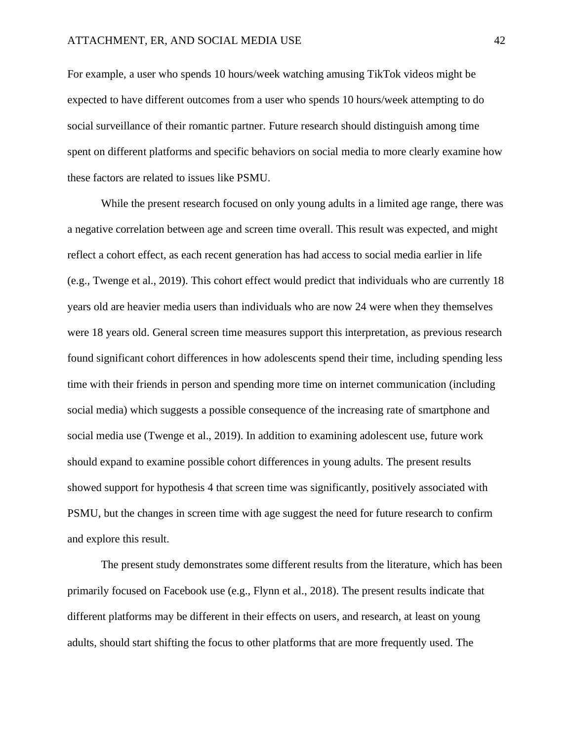For example, a user who spends 10 hours/week watching amusing TikTok videos might be expected to have different outcomes from a user who spends 10 hours/week attempting to do social surveillance of their romantic partner. Future research should distinguish among time spent on different platforms and specific behaviors on social media to more clearly examine how these factors are related to issues like PSMU.

While the present research focused on only young adults in a limited age range, there was a negative correlation between age and screen time overall. This result was expected, and might reflect a cohort effect, as each recent generation has had access to social media earlier in life (e.g., Twenge et al., 2019). This cohort effect would predict that individuals who are currently 18 years old are heavier media users than individuals who are now 24 were when they themselves were 18 years old. General screen time measures support this interpretation, as previous research found significant cohort differences in how adolescents spend their time, including spending less time with their friends in person and spending more time on internet communication (including social media) which suggests a possible consequence of the increasing rate of smartphone and social media use (Twenge et al., 2019). In addition to examining adolescent use, future work should expand to examine possible cohort differences in young adults. The present results showed support for hypothesis 4 that screen time was significantly, positively associated with PSMU, but the changes in screen time with age suggest the need for future research to confirm and explore this result.

The present study demonstrates some different results from the literature, which has been primarily focused on Facebook use (e.g., Flynn et al., 2018). The present results indicate that different platforms may be different in their effects on users, and research, at least on young adults, should start shifting the focus to other platforms that are more frequently used. The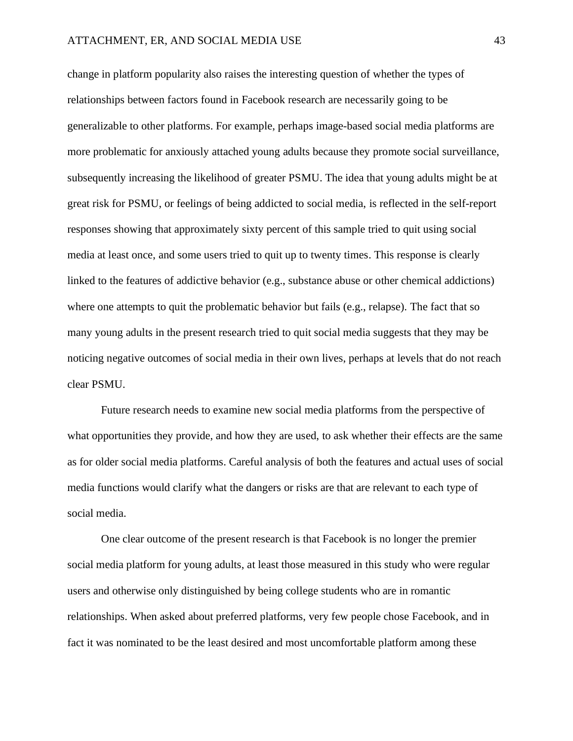change in platform popularity also raises the interesting question of whether the types of relationships between factors found in Facebook research are necessarily going to be generalizable to other platforms. For example, perhaps image-based social media platforms are more problematic for anxiously attached young adults because they promote social surveillance, subsequently increasing the likelihood of greater PSMU. The idea that young adults might be at great risk for PSMU, or feelings of being addicted to social media, is reflected in the self-report responses showing that approximately sixty percent of this sample tried to quit using social media at least once, and some users tried to quit up to twenty times. This response is clearly linked to the features of addictive behavior (e.g., substance abuse or other chemical addictions) where one attempts to quit the problematic behavior but fails (e.g., relapse). The fact that so many young adults in the present research tried to quit social media suggests that they may be noticing negative outcomes of social media in their own lives, perhaps at levels that do not reach clear PSMU.

Future research needs to examine new social media platforms from the perspective of what opportunities they provide, and how they are used, to ask whether their effects are the same as for older social media platforms. Careful analysis of both the features and actual uses of social media functions would clarify what the dangers or risks are that are relevant to each type of social media.

One clear outcome of the present research is that Facebook is no longer the premier social media platform for young adults, at least those measured in this study who were regular users and otherwise only distinguished by being college students who are in romantic relationships. When asked about preferred platforms, very few people chose Facebook, and in fact it was nominated to be the least desired and most uncomfortable platform among these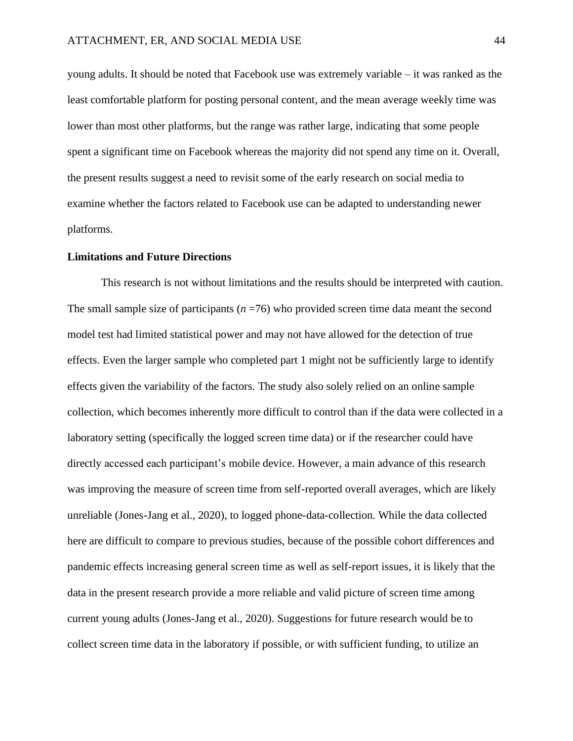young adults. It should be noted that Facebook use was extremely variable – it was ranked as the least comfortable platform for posting personal content, and the mean average weekly time was lower than most other platforms, but the range was rather large, indicating that some people spent a significant time on Facebook whereas the majority did not spend any time on it. Overall, the present results suggest a need to revisit some of the early research on social media to examine whether the factors related to Facebook use can be adapted to understanding newer platforms.

#### **Limitations and Future Directions**

This research is not without limitations and the results should be interpreted with caution. The small sample size of participants  $(n=76)$  who provided screen time data meant the second model test had limited statistical power and may not have allowed for the detection of true effects. Even the larger sample who completed part 1 might not be sufficiently large to identify effects given the variability of the factors. The study also solely relied on an online sample collection, which becomes inherently more difficult to control than if the data were collected in a laboratory setting (specifically the logged screen time data) or if the researcher could have directly accessed each participant's mobile device. However, a main advance of this research was improving the measure of screen time from self-reported overall averages, which are likely unreliable (Jones-Jang et al., 2020), to logged phone-data-collection. While the data collected here are difficult to compare to previous studies, because of the possible cohort differences and pandemic effects increasing general screen time as well as self-report issues, it is likely that the data in the present research provide a more reliable and valid picture of screen time among current young adults (Jones-Jang et al., 2020). Suggestions for future research would be to collect screen time data in the laboratory if possible, or with sufficient funding, to utilize an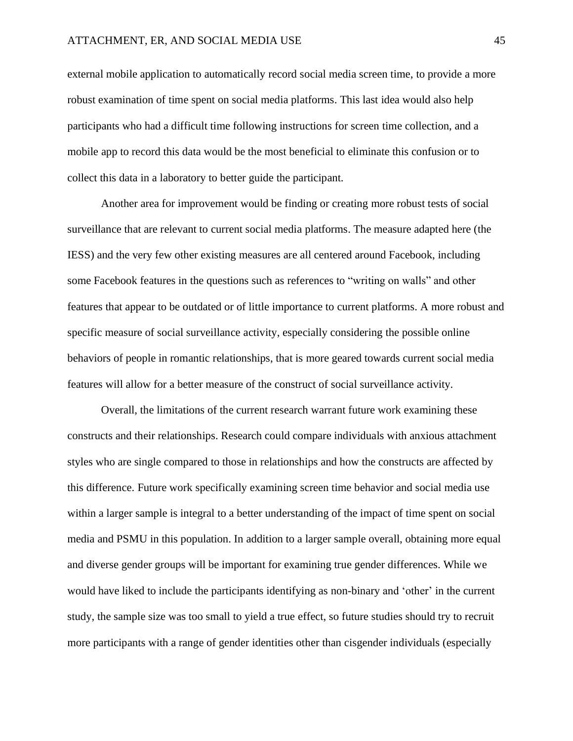external mobile application to automatically record social media screen time, to provide a more robust examination of time spent on social media platforms. This last idea would also help participants who had a difficult time following instructions for screen time collection, and a mobile app to record this data would be the most beneficial to eliminate this confusion or to collect this data in a laboratory to better guide the participant.

Another area for improvement would be finding or creating more robust tests of social surveillance that are relevant to current social media platforms. The measure adapted here (the IESS) and the very few other existing measures are all centered around Facebook, including some Facebook features in the questions such as references to "writing on walls" and other features that appear to be outdated or of little importance to current platforms. A more robust and specific measure of social surveillance activity, especially considering the possible online behaviors of people in romantic relationships, that is more geared towards current social media features will allow for a better measure of the construct of social surveillance activity.

Overall, the limitations of the current research warrant future work examining these constructs and their relationships. Research could compare individuals with anxious attachment styles who are single compared to those in relationships and how the constructs are affected by this difference. Future work specifically examining screen time behavior and social media use within a larger sample is integral to a better understanding of the impact of time spent on social media and PSMU in this population. In addition to a larger sample overall, obtaining more equal and diverse gender groups will be important for examining true gender differences. While we would have liked to include the participants identifying as non-binary and 'other' in the current study, the sample size was too small to yield a true effect, so future studies should try to recruit more participants with a range of gender identities other than cisgender individuals (especially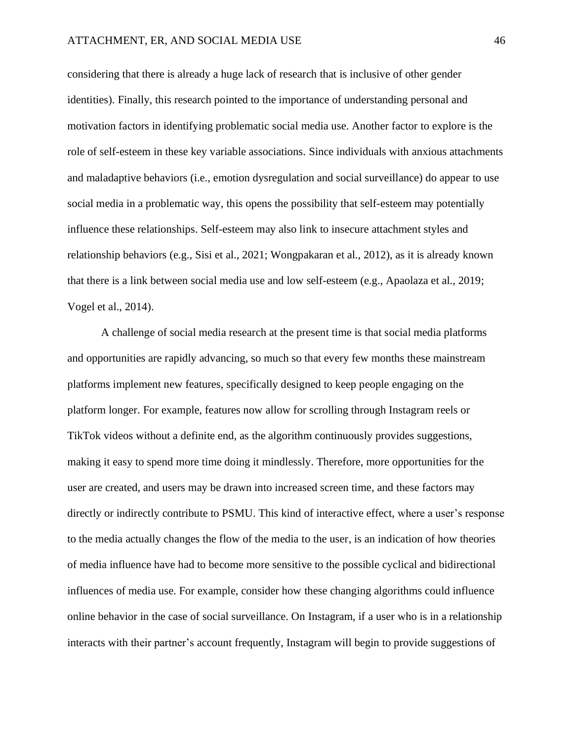considering that there is already a huge lack of research that is inclusive of other gender identities). Finally, this research pointed to the importance of understanding personal and motivation factors in identifying problematic social media use. Another factor to explore is the role of self-esteem in these key variable associations. Since individuals with anxious attachments and maladaptive behaviors (i.e., emotion dysregulation and social surveillance) do appear to use social media in a problematic way, this opens the possibility that self-esteem may potentially influence these relationships. Self-esteem may also link to insecure attachment styles and relationship behaviors (e.g., Sisi et al., 2021; Wongpakaran et al., 2012), as it is already known that there is a link between social media use and low self-esteem (e.g., Apaolaza et al., 2019; Vogel et al., 2014).

A challenge of social media research at the present time is that social media platforms and opportunities are rapidly advancing, so much so that every few months these mainstream platforms implement new features, specifically designed to keep people engaging on the platform longer. For example, features now allow for scrolling through Instagram reels or TikTok videos without a definite end, as the algorithm continuously provides suggestions, making it easy to spend more time doing it mindlessly. Therefore, more opportunities for the user are created, and users may be drawn into increased screen time, and these factors may directly or indirectly contribute to PSMU. This kind of interactive effect, where a user's response to the media actually changes the flow of the media to the user, is an indication of how theories of media influence have had to become more sensitive to the possible cyclical and bidirectional influences of media use. For example, consider how these changing algorithms could influence online behavior in the case of social surveillance. On Instagram, if a user who is in a relationship interacts with their partner's account frequently, Instagram will begin to provide suggestions of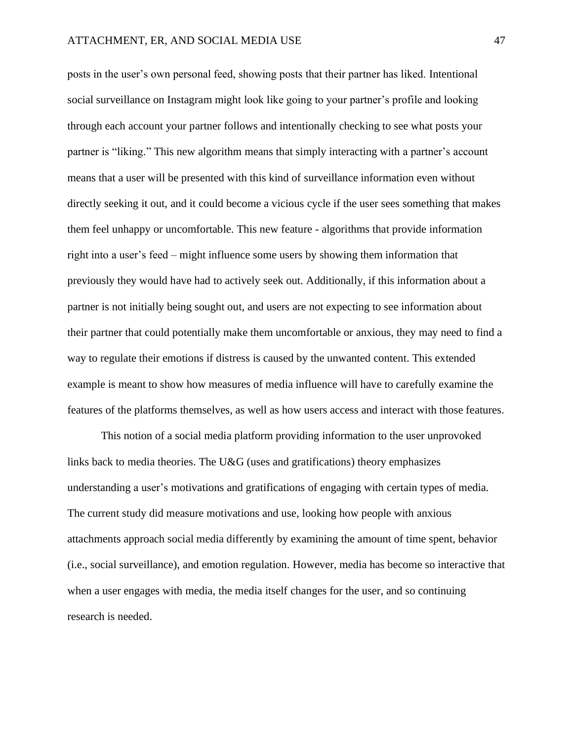posts in the user's own personal feed, showing posts that their partner has liked. Intentional social surveillance on Instagram might look like going to your partner's profile and looking through each account your partner follows and intentionally checking to see what posts your partner is "liking." This new algorithm means that simply interacting with a partner's account means that a user will be presented with this kind of surveillance information even without directly seeking it out, and it could become a vicious cycle if the user sees something that makes them feel unhappy or uncomfortable. This new feature - algorithms that provide information right into a user's feed – might influence some users by showing them information that previously they would have had to actively seek out. Additionally, if this information about a partner is not initially being sought out, and users are not expecting to see information about their partner that could potentially make them uncomfortable or anxious, they may need to find a way to regulate their emotions if distress is caused by the unwanted content. This extended example is meant to show how measures of media influence will have to carefully examine the features of the platforms themselves, as well as how users access and interact with those features.

This notion of a social media platform providing information to the user unprovoked links back to media theories. The U&G (uses and gratifications) theory emphasizes understanding a user's motivations and gratifications of engaging with certain types of media. The current study did measure motivations and use, looking how people with anxious attachments approach social media differently by examining the amount of time spent, behavior (i.e., social surveillance), and emotion regulation. However, media has become so interactive that when a user engages with media, the media itself changes for the user, and so continuing research is needed.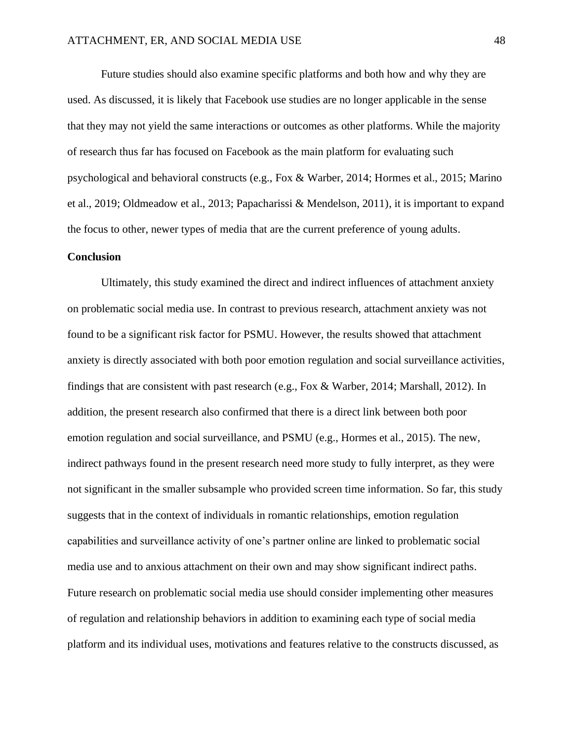Future studies should also examine specific platforms and both how and why they are used. As discussed, it is likely that Facebook use studies are no longer applicable in the sense that they may not yield the same interactions or outcomes as other platforms. While the majority of research thus far has focused on Facebook as the main platform for evaluating such psychological and behavioral constructs (e.g., Fox & Warber, 2014; Hormes et al., 2015; Marino et al., 2019; Oldmeadow et al., 2013; Papacharissi & Mendelson, 2011), it is important to expand the focus to other, newer types of media that are the current preference of young adults.

### **Conclusion**

Ultimately, this study examined the direct and indirect influences of attachment anxiety on problematic social media use. In contrast to previous research, attachment anxiety was not found to be a significant risk factor for PSMU. However, the results showed that attachment anxiety is directly associated with both poor emotion regulation and social surveillance activities, findings that are consistent with past research (e.g., Fox & Warber, 2014; Marshall, 2012). In addition, the present research also confirmed that there is a direct link between both poor emotion regulation and social surveillance, and PSMU (e.g., Hormes et al., 2015). The new, indirect pathways found in the present research need more study to fully interpret, as they were not significant in the smaller subsample who provided screen time information. So far, this study suggests that in the context of individuals in romantic relationships, emotion regulation capabilities and surveillance activity of one's partner online are linked to problematic social media use and to anxious attachment on their own and may show significant indirect paths. Future research on problematic social media use should consider implementing other measures of regulation and relationship behaviors in addition to examining each type of social media platform and its individual uses, motivations and features relative to the constructs discussed, as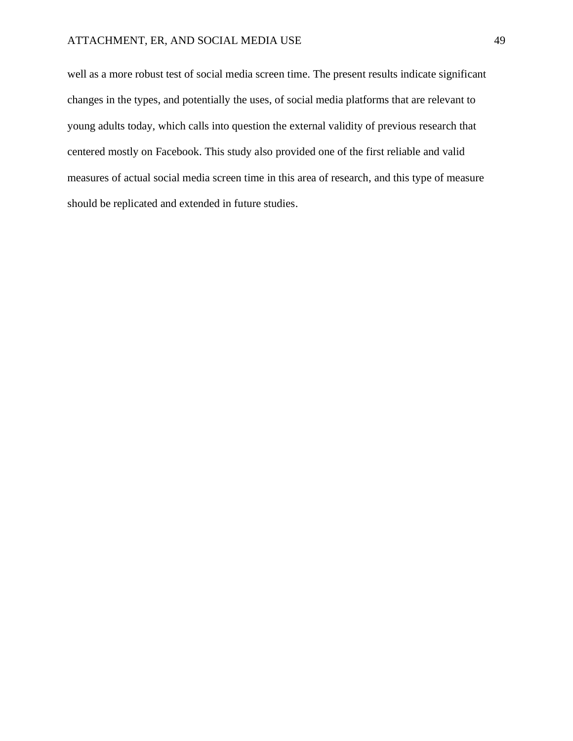well as a more robust test of social media screen time. The present results indicate significant changes in the types, and potentially the uses, of social media platforms that are relevant to young adults today, which calls into question the external validity of previous research that centered mostly on Facebook. This study also provided one of the first reliable and valid measures of actual social media screen time in this area of research, and this type of measure should be replicated and extended in future studies.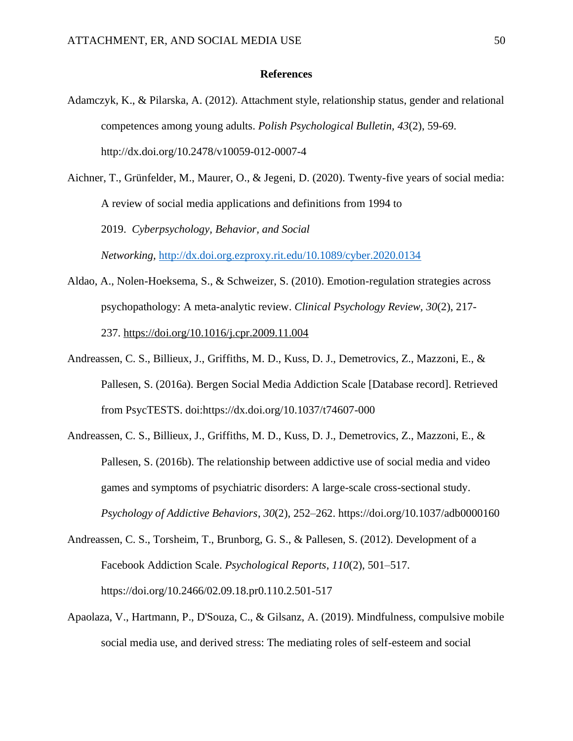### **References**

- Adamczyk, K., & Pilarska, A. (2012). Attachment style, relationship status, gender and relational competences among young adults. *Polish Psychological Bulletin, 43*(2), 59-69. http://dx.doi.org/10.2478/v10059-012-0007-4
- Aichner, T., Grünfelder, M., Maurer, O., & Jegeni, D. (2020). Twenty-five years of social media: A review of social media applications and definitions from 1994 to 2019. *Cyberpsychology, Behavior, and Social Networking,* <http://dx.doi.org.ezproxy.rit.edu/10.1089/cyber.2020.0134>
- Aldao, A., Nolen-Hoeksema, S., & Schweizer, S. (2010). Emotion-regulation strategies across psychopathology: A meta-analytic review. *Clinical Psychology Review, 30*(2), 217- 237. <https://doi.org/10.1016/j.cpr.2009.11.004>
- Andreassen, C. S., Billieux, J., Griffiths, M. D., Kuss, D. J., Demetrovics, Z., Mazzoni, E., & Pallesen, S. (2016a). Bergen Social Media Addiction Scale [Database record]. Retrieved from PsycTESTS. doi:https://dx.doi.org/10.1037/t74607-000
- Andreassen, C. S., Billieux, J., Griffiths, M. D., Kuss, D. J., Demetrovics, Z., Mazzoni, E., & Pallesen, S. (2016b). The relationship between addictive use of social media and video games and symptoms of psychiatric disorders: A large-scale cross-sectional study. *Psychology of Addictive Behaviors*, *30*(2), 252–262. https://doi.org/10.1037/adb0000160
- Andreassen, C. S., Torsheim, T., Brunborg, G. S., & Pallesen, S. (2012). Development of a Facebook Addiction Scale. *Psychological Reports*, *110*(2), 501–517. https://doi.org/10.2466/02.09.18.pr0.110.2.501-517
- Apaolaza, V., Hartmann, P., D'Souza, C., & Gilsanz, A. (2019). Mindfulness, compulsive mobile social media use, and derived stress: The mediating roles of self-esteem and social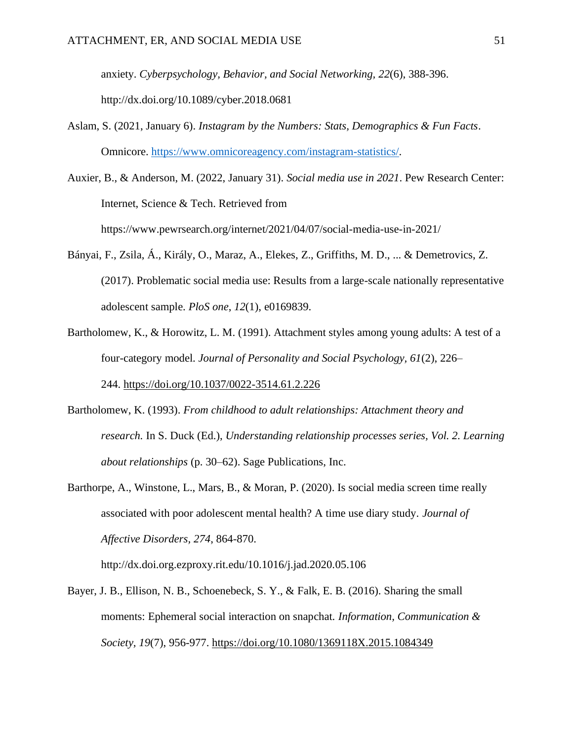anxiety. *Cyberpsychology, Behavior, and Social Networking, 22*(6), 388-396. http://dx.doi.org/10.1089/cyber.2018.0681

Aslam, S. (2021, January 6). *Instagram by the Numbers: Stats, Demographics & Fun Facts*. Omnicore. [https://www.omnicoreagency.com/instagram-statistics/.](https://www.omnicoreagency.com/instagram-statistics/)

Auxier, B., & Anderson, M. (2022, January 31). *Social media use in 2021*. Pew Research Center: Internet, Science & Tech. Retrieved from <https://www.pewrsearch.org/internet/2021/04/07/social-media-use-in-2021/>

- Bányai, F., Zsila, Á., Király, O., Maraz, A., Elekes, Z., Griffiths, M. D., ... & Demetrovics, Z. (2017). Problematic social media use: Results from a large-scale nationally representative adolescent sample. *PloS one*, *12*(1), e0169839.
- Bartholomew, K., & Horowitz, L. M. (1991). Attachment styles among young adults: A test of a four-category model. *Journal of Personality and Social Psychology, 61*(2), 226– 244. [https://doi.org/10.1037/0022-3514.61.2.226](https://psycnet.apa.org/doi/10.1037/0022-3514.61.2.226)
- Bartholomew, K. (1993). *From childhood to adult relationships: Attachment theory and research.* In S. Duck (Ed.), *Understanding relationship processes series, Vol. 2. Learning about relationships* (p. 30–62). Sage Publications, Inc.
- Barthorpe, A., Winstone, L., Mars, B., & Moran, P. (2020). Is social media screen time really associated with poor adolescent mental health? A time use diary study. *Journal of Affective Disorders, 274*, 864-870.

http://dx.doi.org.ezproxy.rit.edu/10.1016/j.jad.2020.05.106

Bayer, J. B., Ellison, N. B., Schoenebeck, S. Y., & Falk, E. B. (2016). Sharing the small moments: Ephemeral social interaction on snapchat. *Information, Communication & Society, 19*(7), 956-977. <https://doi.org/10.1080/1369118X.2015.1084349>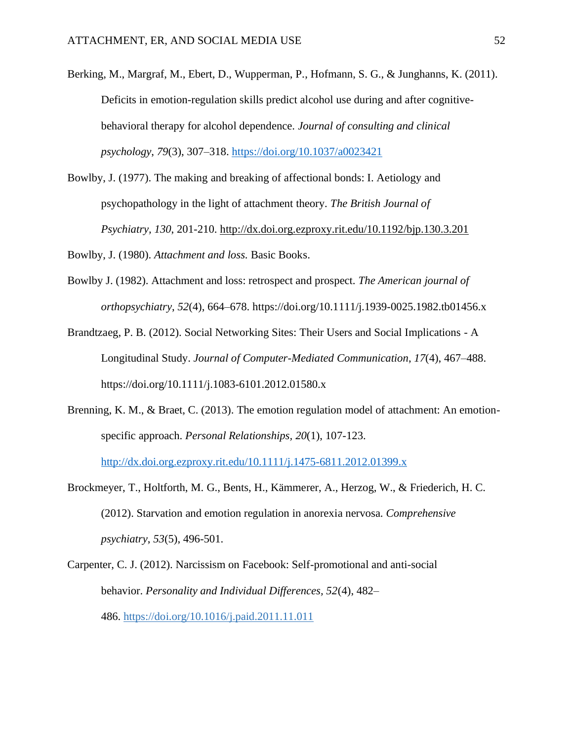Berking, M., Margraf, M., Ebert, D., Wupperman, P., Hofmann, S. G., & Junghanns, K. (2011). Deficits in emotion-regulation skills predict alcohol use during and after cognitivebehavioral therapy for alcohol dependence. *Journal of consulting and clinical psychology*, *79*(3), 307–318.<https://doi.org/10.1037/a0023421>

Bowlby, J. (1977). The making and breaking of affectional bonds: I. Aetiology and psychopathology in the light of attachment theory. *The British Journal of Psychiatry, 130*, 201-210.<http://dx.doi.org.ezproxy.rit.edu/10.1192/bjp.130.3.201>

Bowlby, J. (1980). *Attachment and loss.* Basic Books.

- Bowlby J. (1982). Attachment and loss: retrospect and prospect. *The American journal of orthopsychiatry*, *52*(4), 664–678. https://doi.org/10.1111/j.1939-0025.1982.tb01456.x
- Brandtzaeg, P. B. (2012). Social Networking Sites: Their Users and Social Implications A Longitudinal Study. *Journal of Computer-Mediated Communication*, *17*(4), 467–488. https://doi.org/10.1111/j.1083-6101.2012.01580.x
- Brenning, K. M., & Braet, C. (2013). The emotion regulation model of attachment: An emotionspecific approach. *Personal Relationships, 20*(1), 107-123.

<http://dx.doi.org.ezproxy.rit.edu/10.1111/j.1475-6811.2012.01399.x>

Brockmeyer, T., Holtforth, M. G., Bents, H., Kämmerer, A., Herzog, W., & Friederich, H. C. (2012). Starvation and emotion regulation in anorexia nervosa. *Comprehensive psychiatry*, *53*(5), 496-501.

Carpenter, C. J. (2012). Narcissism on Facebook: Self-promotional and anti-social behavior. *Personality and Individual Differences, 52*(4), 482– 486. [https://doi.org/10.1016/j.paid.2011.11.011](https://psycnet.apa.org/doi/10.1016/j.paid.2011.11.011)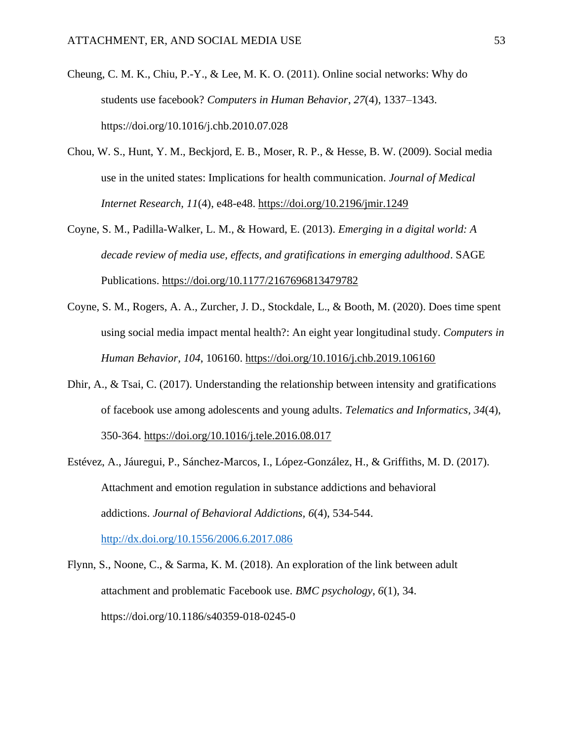- Cheung, C. M. K., Chiu, P.-Y., & Lee, M. K. O. (2011). Online social networks: Why do students use facebook? *Computers in Human Behavior*, *27*(4), 1337–1343. https://doi.org/10.1016/j.chb.2010.07.028
- Chou, W. S., Hunt, Y. M., Beckjord, E. B., Moser, R. P., & Hesse, B. W. (2009). Social media use in the united states: Implications for health communication. *Journal of Medical Internet Research, 11*(4), e48-e48. <https://doi.org/10.2196/jmir.1249>
- Coyne, S. M., Padilla-Walker, L. M., & Howard, E. (2013). *Emerging in a digital world: A decade review of media use, effects, and gratifications in emerging adulthood*. SAGE Publications. <https://doi.org/10.1177/2167696813479782>
- Coyne, S. M., Rogers, A. A., Zurcher, J. D., Stockdale, L., & Booth, M. (2020). Does time spent using social media impact mental health?: An eight year longitudinal study. *Computers in Human Behavior, 104*, 106160. <https://doi.org/10.1016/j.chb.2019.106160>
- Dhir, A., & Tsai, C. (2017). Understanding the relationship between intensity and gratifications of facebook use among adolescents and young adults. *Telematics and Informatics, 34*(4), 350-364. <https://doi.org/10.1016/j.tele.2016.08.017>
- Estévez, A., Jáuregui, P., Sánchez-Marcos, I., López-González, H., & Griffiths, M. D. (2017). Attachment and emotion regulation in substance addictions and behavioral addictions. *Journal of Behavioral Addictions, 6*(4), 534-544. <http://dx.doi.org/10.1556/2006.6.2017.086>
- Flynn, S., Noone, C., & Sarma, K. M. (2018). An exploration of the link between adult attachment and problematic Facebook use. *BMC psychology*, *6*(1), 34. https://doi.org/10.1186/s40359-018-0245-0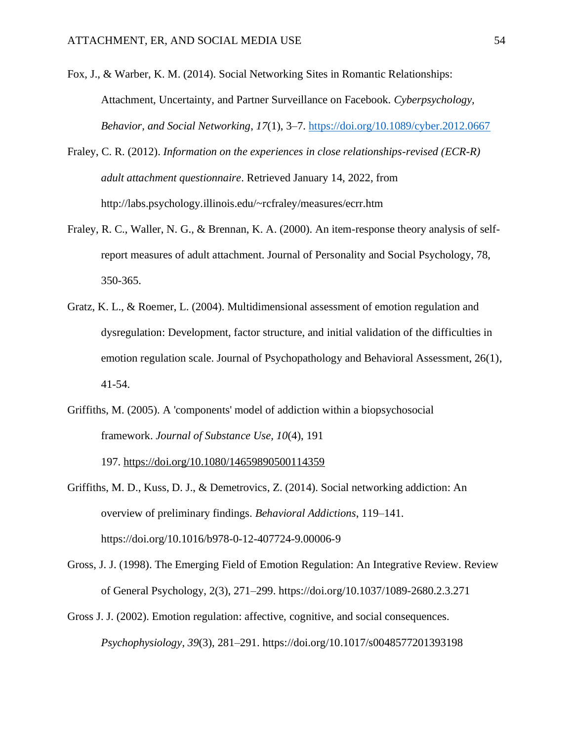- Fox, J., & Warber, K. M. (2014). Social Networking Sites in Romantic Relationships: Attachment, Uncertainty, and Partner Surveillance on Facebook. *Cyberpsychology, Behavior, and Social Networking*, *17*(1), 3–7.<https://doi.org/10.1089/cyber.2012.0667>
- Fraley, C. R. (2012). *Information on the experiences in close relationships-revised (ECR-R) adult attachment questionnaire*. Retrieved January 14, 2022, from http://labs.psychology.illinois.edu/~rcfraley/measures/ecrr.htm
- Fraley, R. C., Waller, N. G., & Brennan, K. A. (2000). An item-response theory analysis of selfreport measures of adult attachment. Journal of Personality and Social Psychology, 78, 350-365.
- Gratz, K. L., & Roemer, L. (2004). Multidimensional assessment of emotion regulation and dysregulation: Development, factor structure, and initial validation of the difficulties in emotion regulation scale. Journal of Psychopathology and Behavioral Assessment, 26(1), 41-54.
- Griffiths, M. (2005). A 'components' model of addiction within a biopsychosocial framework. *Journal of Substance Use, 10*(4), 191

197. [https://doi.org/10.1080/14659890500114359](https://psycnet.apa.org/doi/10.1080/14659890500114359)

- Griffiths, M. D., Kuss, D. J., & Demetrovics, Z. (2014). Social networking addiction: An overview of preliminary findings. *Behavioral Addictions*, 119–141. https://doi.org/10.1016/b978-0-12-407724-9.00006-9
- Gross, J. J. (1998). The Emerging Field of Emotion Regulation: An Integrative Review. Review of General Psychology, 2(3), 271–299. https://doi.org/10.1037/1089-2680.2.3.271
- Gross J. J. (2002). Emotion regulation: affective, cognitive, and social consequences. *Psychophysiology*, *39*(3), 281–291. https://doi.org/10.1017/s0048577201393198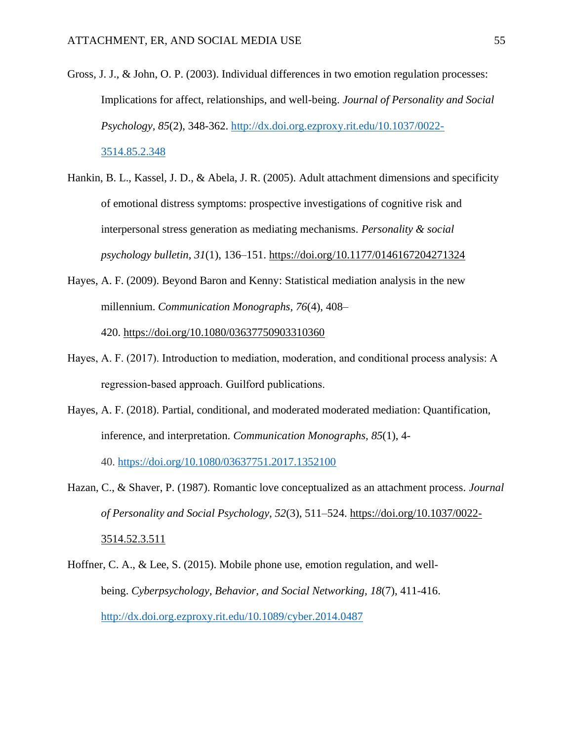- Gross, J. J., & John, O. P. (2003). Individual differences in two emotion regulation processes: Implications for affect, relationships, and well-being. *Journal of Personality and Social Psychology, 85*(2), 348-362. [http://dx.doi.org.ezproxy.rit.edu/10.1037/0022-](http://dx.doi.org.ezproxy.rit.edu/10.1037/0022-3514.85.2.348) [3514.85.2.348](http://dx.doi.org.ezproxy.rit.edu/10.1037/0022-3514.85.2.348)
- Hankin, B. L., Kassel, J. D., & Abela, J. R. (2005). Adult attachment dimensions and specificity of emotional distress symptoms: prospective investigations of cognitive risk and interpersonal stress generation as mediating mechanisms. *Personality & social psychology bulletin*, *31*(1), 136–151.<https://doi.org/10.1177/0146167204271324>
- Hayes, A. F. (2009). Beyond Baron and Kenny: Statistical mediation analysis in the new millennium. *Communication Monographs, 76*(4), 408–

420. [https://doi.org/10.1080/03637750903310360](https://psycnet.apa.org/doi/10.1080/03637750903310360)

- Hayes, A. F. (2017). Introduction to mediation, moderation, and conditional process analysis: A regression-based approach. Guilford publications.
- Hayes, A. F. (2018). Partial, conditional, and moderated moderated mediation: Quantification, inference, and interpretation. *Communication Monographs, 85*(1), 4-

40. <https://doi.org/10.1080/03637751.2017.1352100>

- Hazan, C., & Shaver, P. (1987). Romantic love conceptualized as an attachment process. *Journal of Personality and Social Psychology, 52*(3), 511–524. [https://doi.org/10.1037/0022-](https://psycnet.apa.org/doi/10.1037/0022-3514.52.3.511) [3514.52.3.511](https://psycnet.apa.org/doi/10.1037/0022-3514.52.3.511)
- Hoffner, C. A., & Lee, S. (2015). Mobile phone use, emotion regulation, and wellbeing. *Cyberpsychology, Behavior, and Social Networking, 18*(7), 411-416. <http://dx.doi.org.ezproxy.rit.edu/10.1089/cyber.2014.0487>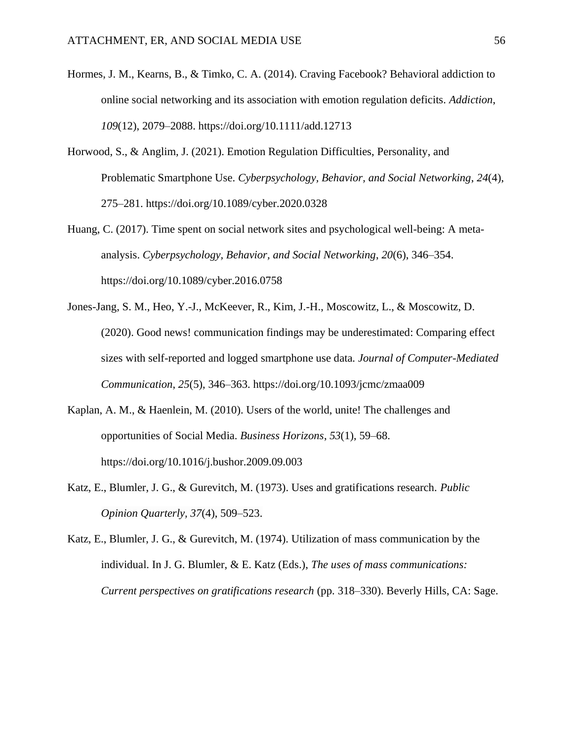- Hormes, J. M., Kearns, B., & Timko, C. A. (2014). Craving Facebook? Behavioral addiction to online social networking and its association with emotion regulation deficits. *Addiction*, *109*(12), 2079–2088. https://doi.org/10.1111/add.12713
- Horwood, S., & Anglim, J. (2021). Emotion Regulation Difficulties, Personality, and Problematic Smartphone Use. *Cyberpsychology, Behavior, and Social Networking*, *24*(4), 275–281. https://doi.org/10.1089/cyber.2020.0328
- Huang, C. (2017). Time spent on social network sites and psychological well-being: A metaanalysis. *Cyberpsychology, Behavior, and Social Networking*, *20*(6), 346–354. https://doi.org/10.1089/cyber.2016.0758
- Jones-Jang, S. M., Heo, Y.-J., McKeever, R., Kim, J.-H., Moscowitz, L., & Moscowitz, D. (2020). Good news! communication findings may be underestimated: Comparing effect sizes with self-reported and logged smartphone use data. *Journal of Computer-Mediated Communication*, *25*(5), 346–363. https://doi.org/10.1093/jcmc/zmaa009
- Kaplan, A. M., & Haenlein, M. (2010). Users of the world, unite! The challenges and opportunities of Social Media. *Business Horizons*, *53*(1), 59–68. https://doi.org/10.1016/j.bushor.2009.09.003
- Katz, E., Blumler, J. G., & Gurevitch, M. (1973). Uses and gratifications research. *Public Opinion Quarterly, 37*(4), 509–523.

Katz, E., Blumler, J. G., & Gurevitch, M. (1974). Utilization of mass communication by the individual. In J. G. Blumler, & E. Katz (Eds.), *The uses of mass communications: Current perspectives on gratifications research* (pp. 318–330). Beverly Hills, CA: Sage.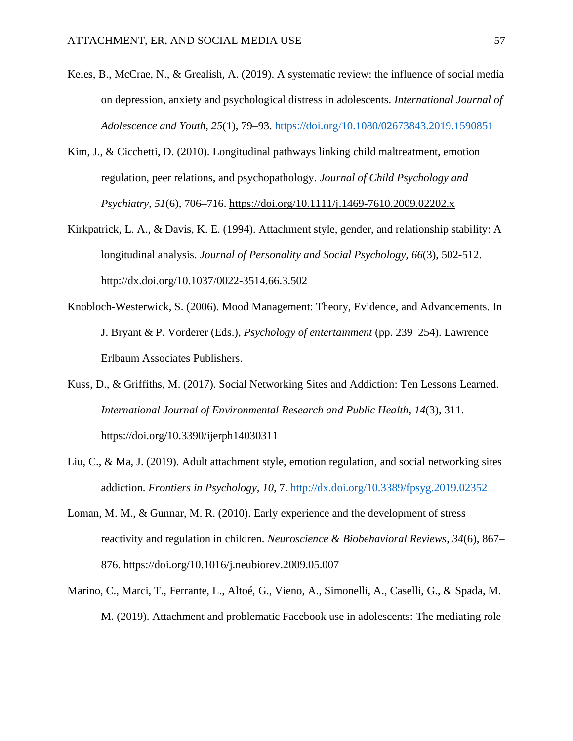- Keles, B., McCrae, N., & Grealish, A. (2019). A systematic review: the influence of social media on depression, anxiety and psychological distress in adolescents. *International Journal of Adolescence and Youth*, *25*(1), 79–93.<https://doi.org/10.1080/02673843.2019.1590851>
- Kim, J., & Cicchetti, D. (2010). Longitudinal pathways linking child maltreatment, emotion regulation, peer relations, and psychopathology. *Journal of Child Psychology and Psychiatry, 51*(6), 706–716. [https://doi.org/10.1111/j.1469-7610.2009.02202.x](https://psycnet.apa.org/doi/10.1111/j.1469-7610.2009.02202.x)
- Kirkpatrick, L. A., & Davis, K. E. (1994). Attachment style, gender, and relationship stability: A longitudinal analysis. *Journal of Personality and Social Psychology, 66*(3), 502-512. http://dx.doi.org/10.1037/0022-3514.66.3.502
- Knobloch-Westerwick, S. (2006). Mood Management: Theory, Evidence, and Advancements. In J. Bryant & P. Vorderer (Eds.), *Psychology of entertainment* (pp. 239–254). Lawrence Erlbaum Associates Publishers.
- Kuss, D., & Griffiths, M. (2017). Social Networking Sites and Addiction: Ten Lessons Learned. *International Journal of Environmental Research and Public Health*, *14*(3), 311. https://doi.org/10.3390/ijerph14030311
- Liu, C., & Ma, J. (2019). Adult attachment style, emotion regulation, and social networking sites addiction. *Frontiers in Psychology, 10*, 7.<http://dx.doi.org/10.3389/fpsyg.2019.02352>
- Loman, M. M., & Gunnar, M. R. (2010). Early experience and the development of stress reactivity and regulation in children. *Neuroscience & Biobehavioral Reviews*, *34*(6), 867– 876. https://doi.org/10.1016/j.neubiorev.2009.05.007
- Marino, C., Marci, T., Ferrante, L., Altoé, G., Vieno, A., Simonelli, A., Caselli, G., & Spada, M. M. (2019). Attachment and problematic Facebook use in adolescents: The mediating role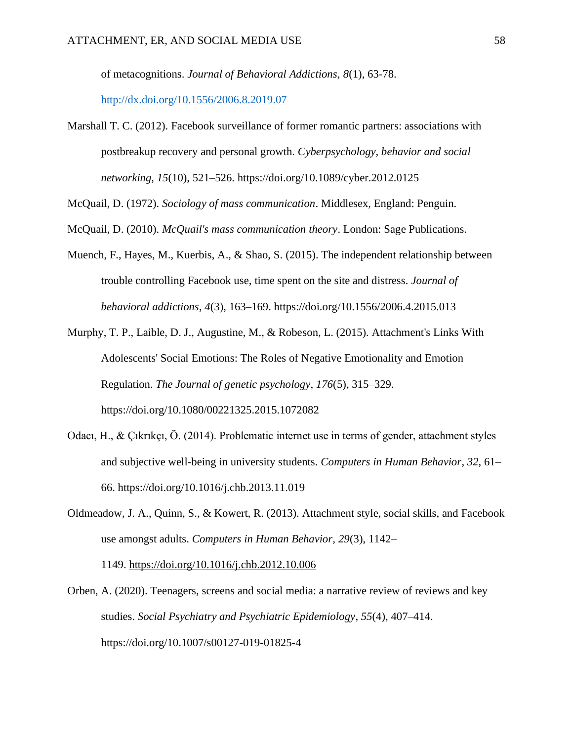of metacognitions. *Journal of Behavioral Addictions, 8*(1), 63-78.

<http://dx.doi.org/10.1556/2006.8.2019.07>

Marshall T. C. (2012). Facebook surveillance of former romantic partners: associations with postbreakup recovery and personal growth. *Cyberpsychology, behavior and social networking*, *15*(10), 521–526. https://doi.org/10.1089/cyber.2012.0125

McQuail, D. (1972). *Sociology of mass communication*. Middlesex, England: Penguin.

- McQuail, D. (2010). *McQuail's mass communication theory*. London: Sage Publications.
- Muench, F., Hayes, M., Kuerbis, A., & Shao, S. (2015). The independent relationship between trouble controlling Facebook use, time spent on the site and distress. *Journal of behavioral addictions*, *4*(3), 163–169. https://doi.org/10.1556/2006.4.2015.013
- Murphy, T. P., Laible, D. J., Augustine, M., & Robeson, L. (2015). Attachment's Links With Adolescents' Social Emotions: The Roles of Negative Emotionality and Emotion Regulation. *The Journal of genetic psychology*, *176*(5), 315–329. https://doi.org/10.1080/00221325.2015.1072082
- Odacı, H., & Çıkrıkçı, Ö. (2014). Problematic internet use in terms of gender, attachment styles and subjective well-being in university students. *Computers in Human Behavior*, *32*, 61– 66. https://doi.org/10.1016/j.chb.2013.11.019
- Oldmeadow, J. A., Quinn, S., & Kowert, R. (2013). Attachment style, social skills, and Facebook use amongst adults. *Computers in Human Behavior, 29*(3), 1142– 1149. [https://doi.org/10.1016/j.chb.2012.10.006](https://psycnet.apa.org/doi/10.1016/j.chb.2012.10.006)
- Orben, A. (2020). Teenagers, screens and social media: a narrative review of reviews and key studies. *Social Psychiatry and Psychiatric Epidemiology*, *55*(4), 407–414. https://doi.org/10.1007/s00127-019-01825-4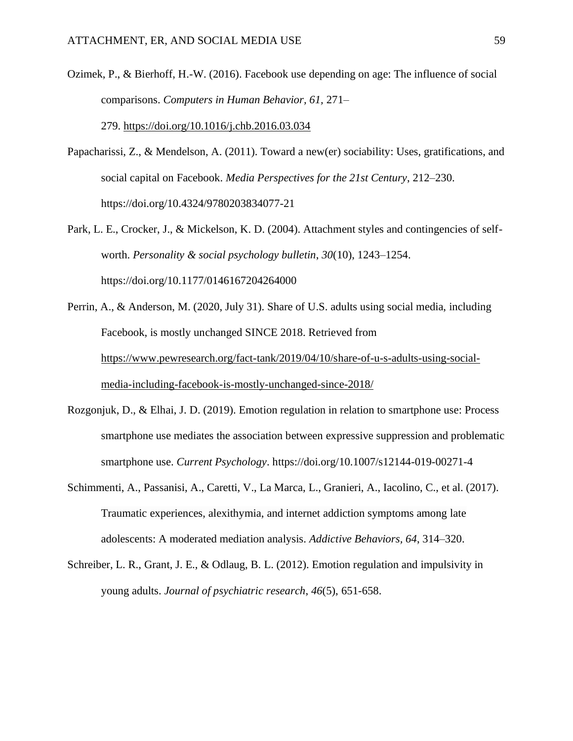Ozimek, P., & Bierhoff, H.-W. (2016). Facebook use depending on age: The influence of social comparisons. *Computers in Human Behavior, 61,* 271–

279. [https://doi.org/10.1016/j.chb.2016.03.034](https://psycnet.apa.org/doi/10.1016/j.chb.2016.03.034)

- Papacharissi, Z., & Mendelson, A. (2011). Toward a new(er) sociability: Uses, gratifications, and social capital on Facebook. *Media Perspectives for the 21st Century*, 212–230. https://doi.org/10.4324/9780203834077-21
- Park, L. E., Crocker, J., & Mickelson, K. D. (2004). Attachment styles and contingencies of selfworth. *Personality & social psychology bulletin*, *30*(10), 1243–1254. https://doi.org/10.1177/0146167204264000
- Perrin, A., & Anderson, M. (2020, July 31). Share of U.S. adults using social media, including Facebook, is mostly unchanged SINCE 2018. Retrieved from [https://www.pewresearch.org/fact-tank/2019/04/10/share-of-u-s-adults-using-social](https://www.pewresearch.org/fact-tank/2019/04/10/share-of-u-s-adults-using-social-media-including-facebook-is-mostly-unchanged-since-2018/)[media-including-facebook-is-mostly-unchanged-since-2018/](https://www.pewresearch.org/fact-tank/2019/04/10/share-of-u-s-adults-using-social-media-including-facebook-is-mostly-unchanged-since-2018/)
- Rozgonjuk, D., & Elhai, J. D. (2019). Emotion regulation in relation to smartphone use: Process smartphone use mediates the association between expressive suppression and problematic smartphone use. *Current Psychology*. https://doi.org/10.1007/s12144-019-00271-4
- Schimmenti, A., Passanisi, A., Caretti, V., La Marca, L., Granieri, A., Iacolino, C., et al. (2017). Traumatic experiences, alexithymia, and internet addiction symptoms among late adolescents: A moderated mediation analysis. *Addictive Behaviors, 64*, 314–320.
- Schreiber, L. R., Grant, J. E., & Odlaug, B. L. (2012). Emotion regulation and impulsivity in young adults. *Journal of psychiatric research*, *46*(5), 651-658.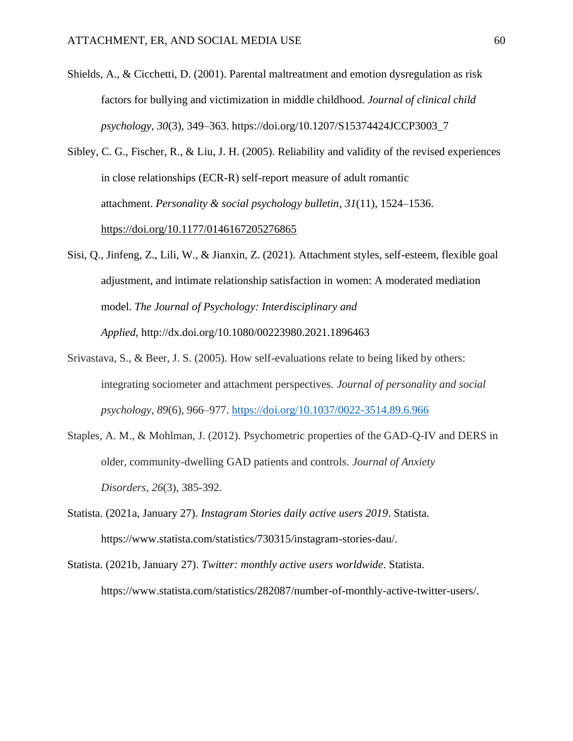- Shields, A., & Cicchetti, D. (2001). Parental maltreatment and emotion dysregulation as risk factors for bullying and victimization in middle childhood. *Journal of clinical child psychology*, *30*(3), 349–363. https://doi.org/10.1207/S15374424JCCP3003\_7
- Sibley, C. G., Fischer, R., & Liu, J. H. (2005). Reliability and validity of the revised experiences in close relationships (ECR-R) self-report measure of adult romantic attachment. *Personality & social psychology bulletin*, *31*(11), 1524–1536. <https://doi.org/10.1177/0146167205276865>
- Sisi, Q., Jinfeng, Z., Lili, W., & Jianxin, Z. (2021). Attachment styles, self-esteem, flexible goal adjustment, and intimate relationship satisfaction in women: A moderated mediation model. *The Journal of Psychology: Interdisciplinary and Applied,* http://dx.doi.org/10.1080/00223980.2021.1896463
- Srivastava, S., & Beer, J. S. (2005). How self-evaluations relate to being liked by others: integrating sociometer and attachment perspectives. *Journal of personality and social psychology*, *89*(6), 966–977.<https://doi.org/10.1037/0022-3514.89.6.966>
- Staples, A. M., & Mohlman, J. (2012). Psychometric properties of the GAD-Q-IV and DERS in older, community-dwelling GAD patients and controls. *Journal of Anxiety Disorders*, *26*(3), 385-392.
- Statista. (2021a, January 27). *Instagram Stories daily active users 2019*. Statista. https://www.statista.com/statistics/730315/instagram-stories-dau/.
- Statista. (2021b, January 27). *Twitter: monthly active users worldwide*. Statista. https://www.statista.com/statistics/282087/number-of-monthly-active-twitter-users/.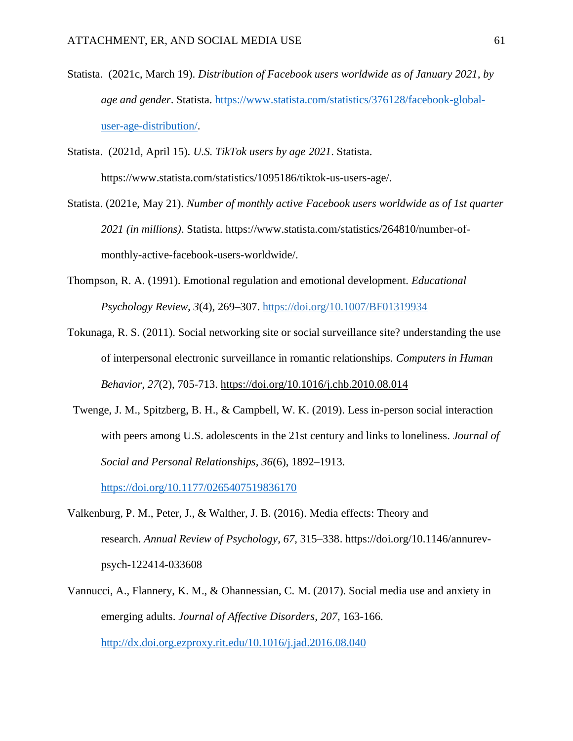Statista. (2021c, March 19). *Distribution of Facebook users worldwide as of January 2021, by age and gender*. Statista. [https://www.statista.com/statistics/376128/facebook-global](https://www.statista.com/statistics/376128/facebook-global-user-age-distribution/)[user-age-distribution/.](https://www.statista.com/statistics/376128/facebook-global-user-age-distribution/)

Statista. (2021d, April 15). *U.S. TikTok users by age 2021*. Statista. https://www.statista.com/statistics/1095186/tiktok-us-users-age/.

- Statista. (2021e, May 21). *Number of monthly active Facebook users worldwide as of 1st quarter 2021 (in millions)*. Statista. https://www.statista.com/statistics/264810/number-ofmonthly-active-facebook-users-worldwide/.
- Thompson, R. A. (1991). Emotional regulation and emotional development. *Educational Psychology Review, 3*(4), 269–307. [https://doi.org/10.1007/BF01319934](https://psycnet.apa.org/doi/10.1007/BF01319934)
- Tokunaga, R. S. (2011). Social networking site or social surveillance site? understanding the use of interpersonal electronic surveillance in romantic relationships. *Computers in Human Behavior, 27*(2), 705-713. <https://doi.org/10.1016/j.chb.2010.08.014>
- Twenge, J. M., Spitzberg, B. H., & Campbell, W. K. (2019). Less in-person social interaction with peers among U.S. adolescents in the 21st century and links to loneliness. *Journal of Social and Personal Relationships, 36*(6), 1892–1913.

<https://doi.org/10.1177/0265407519836170>

- Valkenburg, P. M., Peter, J., & Walther, J. B. (2016). Media effects: Theory and research. *Annual Review of Psychology*, *67*, 315–338. https://doi.org/10.1146/annurevpsych-122414-033608
- Vannucci, A., Flannery, K. M., & Ohannessian, C. M. (2017). Social media use and anxiety in emerging adults. *Journal of Affective Disorders, 207*, 163-166. <http://dx.doi.org.ezproxy.rit.edu/10.1016/j.jad.2016.08.040>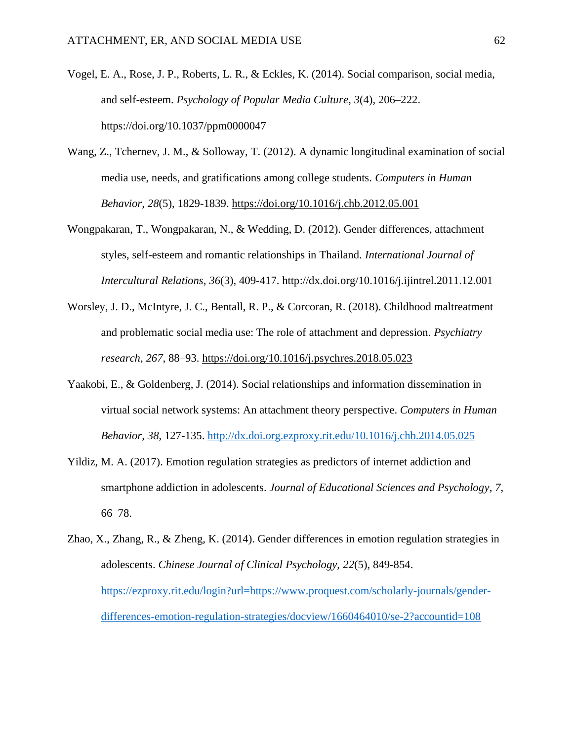- Vogel, E. A., Rose, J. P., Roberts, L. R., & Eckles, K. (2014). Social comparison, social media, and self-esteem. *Psychology of Popular Media Culture*, *3*(4), 206–222. https://doi.org/10.1037/ppm0000047
- Wang, Z., Tchernev, J. M., & Solloway, T. (2012). A dynamic longitudinal examination of social media use, needs, and gratifications among college students. *Computers in Human Behavior, 28*(5), 1829-1839. <https://doi.org/10.1016/j.chb.2012.05.001>
- Wongpakaran, T., Wongpakaran, N., & Wedding, D. (2012). Gender differences, attachment styles, self-esteem and romantic relationships in Thailand. *International Journal of Intercultural Relations, 36*(3), 409-417. http://dx.doi.org/10.1016/j.ijintrel.2011.12.001
- Worsley, J. D., McIntyre, J. C., Bentall, R. P., & Corcoran, R. (2018). Childhood maltreatment and problematic social media use: The role of attachment and depression. *Psychiatry research*, *267*, 88–93.<https://doi.org/10.1016/j.psychres.2018.05.023>
- Yaakobi, E., & Goldenberg, J. (2014). Social relationships and information dissemination in virtual social network systems: An attachment theory perspective. *Computers in Human Behavior, 38*, 127-135.<http://dx.doi.org.ezproxy.rit.edu/10.1016/j.chb.2014.05.025>
- Yildiz, M. A. (2017). Emotion regulation strategies as predictors of internet addiction and smartphone addiction in adolescents. *Journal of Educational Sciences and Psychology*, *7*, 66–78.
- Zhao, X., Zhang, R., & Zheng, K. (2014). Gender differences in emotion regulation strategies in adolescents. *Chinese Journal of Clinical Psychology, 22*(5), 849-854. [https://ezproxy.rit.edu/login?url=https://www.proquest.com/scholarly-journals/gender](https://ezproxy.rit.edu/login?url=https://www.proquest.com/scholarly-journals/gender-differences-emotion-regulation-strategies/docview/1660464010/se-2?accountid=108)[differences-emotion-regulation-strategies/docview/1660464010/se-2?accountid=108](https://ezproxy.rit.edu/login?url=https://www.proquest.com/scholarly-journals/gender-differences-emotion-regulation-strategies/docview/1660464010/se-2?accountid=108)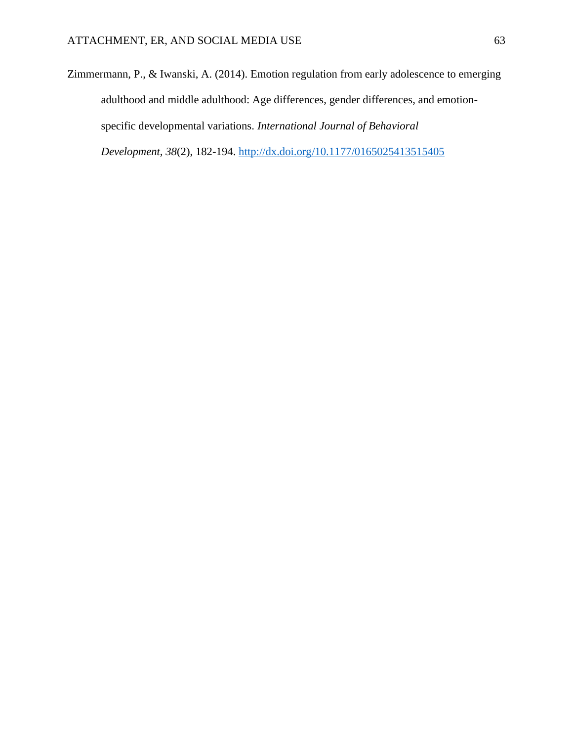Zimmermann, P., & Iwanski, A. (2014). Emotion regulation from early adolescence to emerging adulthood and middle adulthood: Age differences, gender differences, and emotionspecific developmental variations. *International Journal of Behavioral Development, 38*(2), 182-194.<http://dx.doi.org/10.1177/0165025413515405>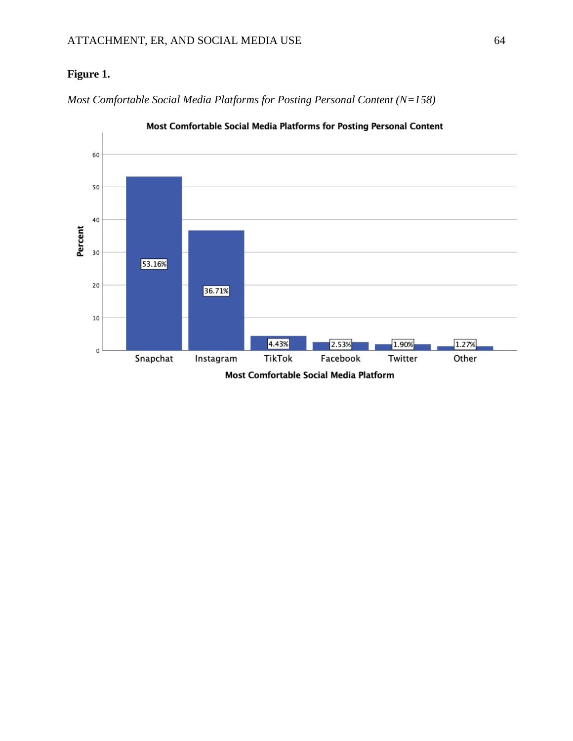# **Figure 1.**

*Most Comfortable Social Media Platforms for Posting Personal Content (N=158)*



Most Comfortable Social Media Platforms for Posting Personal Content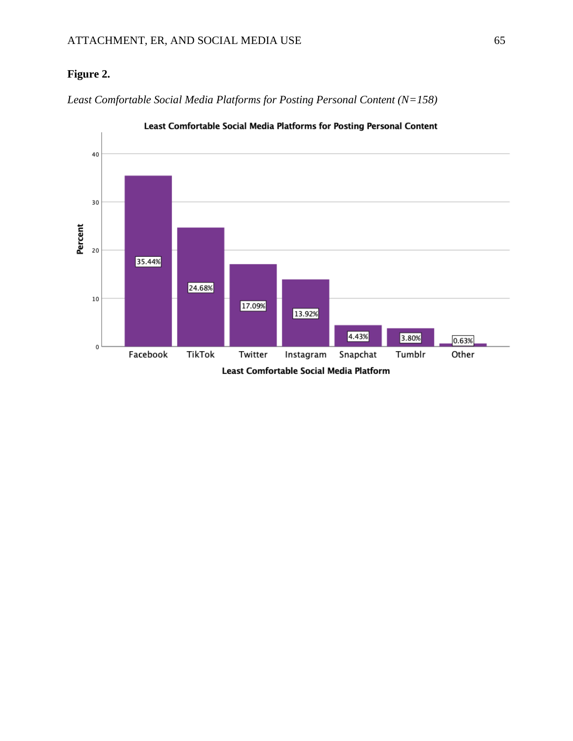# **Figure 2.**

*Least Comfortable Social Media Platforms for Posting Personal Content (N=158)*



Least Comfortable Social Media Platforms for Posting Personal Content

Least Comfortable Social Media Platform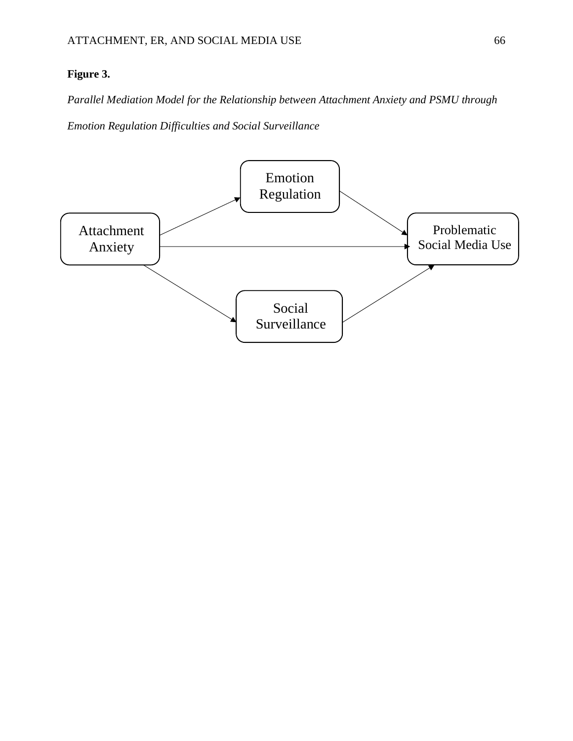# **Figure 3.**

*Parallel Mediation Model for the Relationship between Attachment Anxiety and PSMU through* 

*Emotion Regulation Difficulties and Social Surveillance*

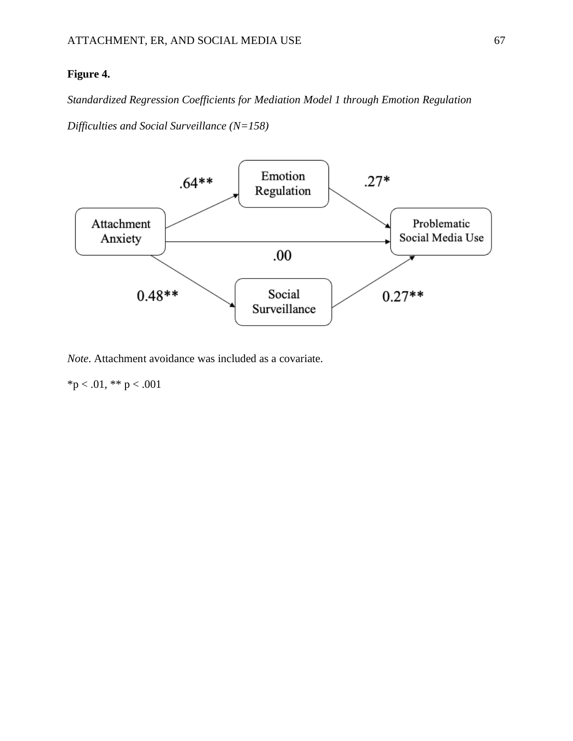### **Figure 4.**

*Standardized Regression Coefficients for Mediation Model 1 through Emotion Regulation* 

*Difficulties and Social Surveillance (N=158)*



*Note*. Attachment avoidance was included as a covariate.

 $*p < .01, ** p < .001$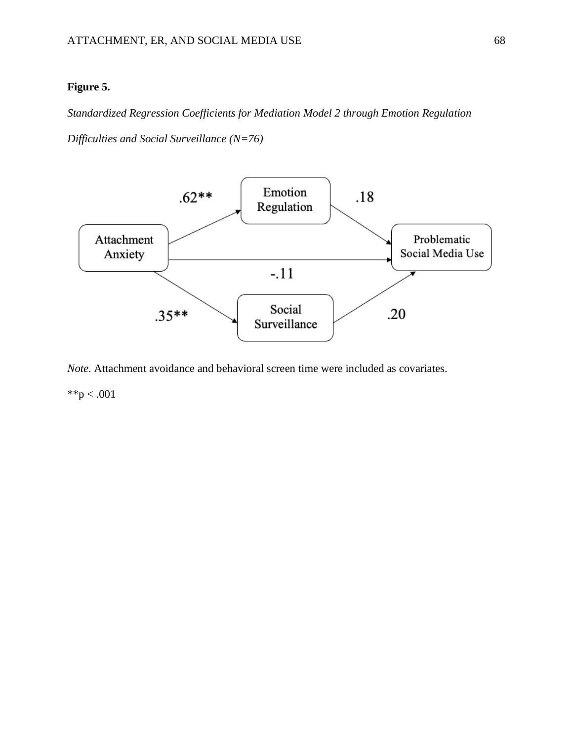#### **Figure 5.**

*Standardized Regression Coefficients for Mediation Model 2 through Emotion Regulation* 

*Difficulties and Social Surveillance (N=76)*



*Note*. Attachment avoidance and behavioral screen time were included as covariates.

\*\*p  $< .001$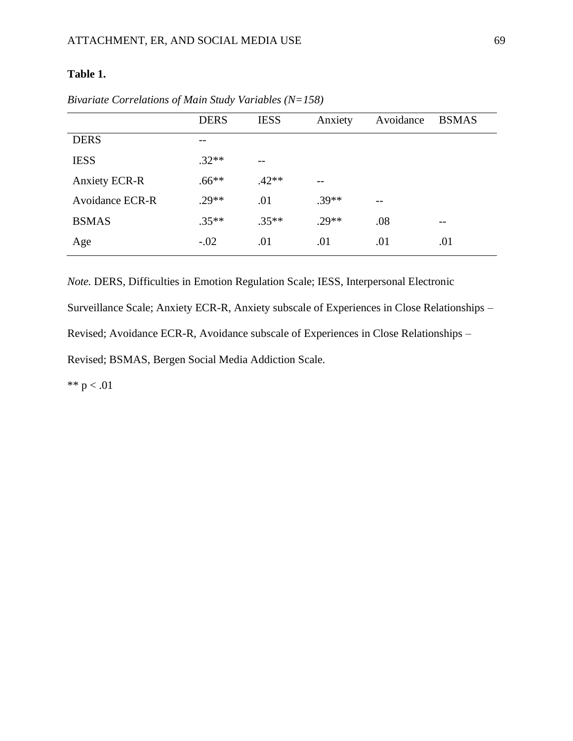### **Table 1.**

|                        | <b>DERS</b> | <b>IESS</b> | Anxiety | Avoidance | <b>BSMAS</b> |
|------------------------|-------------|-------------|---------|-----------|--------------|
| <b>DERS</b>            |             |             |         |           |              |
| <b>IESS</b>            | $.32**$     | $- -$       |         |           |              |
| <b>Anxiety ECR-R</b>   | $.66**$     | $.42**$     |         |           |              |
| <b>Avoidance ECR-R</b> | $.29**$     | .01         | $.39**$ | --        |              |
| <b>BSMAS</b>           | $.35**$     | $.35**$     | $.29**$ | .08       | $- -$        |
| Age                    | $-.02$      | .01         | .01     | .01       | .01          |

*Bivariate Correlations of Main Study Variables (N=158)*

*Note.* DERS, Difficulties in Emotion Regulation Scale; IESS, Interpersonal Electronic Surveillance Scale; Anxiety ECR-R, Anxiety subscale of Experiences in Close Relationships – Revised; Avoidance ECR-R, Avoidance subscale of Experiences in Close Relationships – Revised; BSMAS, Bergen Social Media Addiction Scale.

\*\*  $p < .01$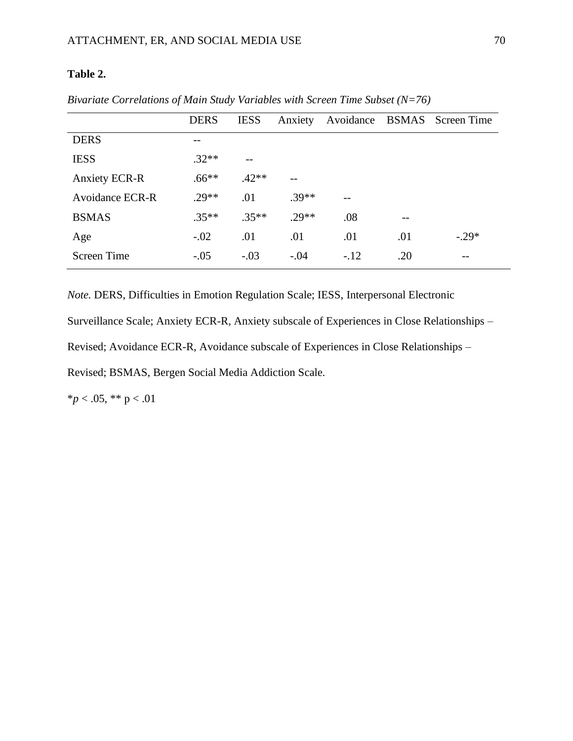#### **Table 2.**

|                      | <b>DERS</b> | <b>IESS</b> | Anxiety |        |     | Avoidance BSMAS Screen Time |
|----------------------|-------------|-------------|---------|--------|-----|-----------------------------|
| <b>DERS</b>          | --          |             |         |        |     |                             |
| <b>IESS</b>          | $.32**$     | $- -$       |         |        |     |                             |
| <b>Anxiety ECR-R</b> | $.66**$     | $.42**$     |         |        |     |                             |
| Avoidance ECR-R      | $.29**$     | .01         | $.39**$ |        |     |                             |
| <b>BSMAS</b>         | $.35**$     | $.35**$     | $.29**$ | .08    |     |                             |
| Age                  | $-.02$      | .01         | .01     | .01    | .01 | $-.29*$                     |
| <b>Screen Time</b>   | $-.05$      | $-.03$      | $-.04$  | $-.12$ | .20 | --                          |

*Bivariate Correlations of Main Study Variables with Screen Time Subset (N=76)*

*Note.* DERS, Difficulties in Emotion Regulation Scale; IESS, Interpersonal Electronic

Surveillance Scale; Anxiety ECR-R, Anxiety subscale of Experiences in Close Relationships –

Revised; Avoidance ECR-R, Avoidance subscale of Experiences in Close Relationships –

Revised; BSMAS, Bergen Social Media Addiction Scale.

 $**p* < .05, ** *p* < .01$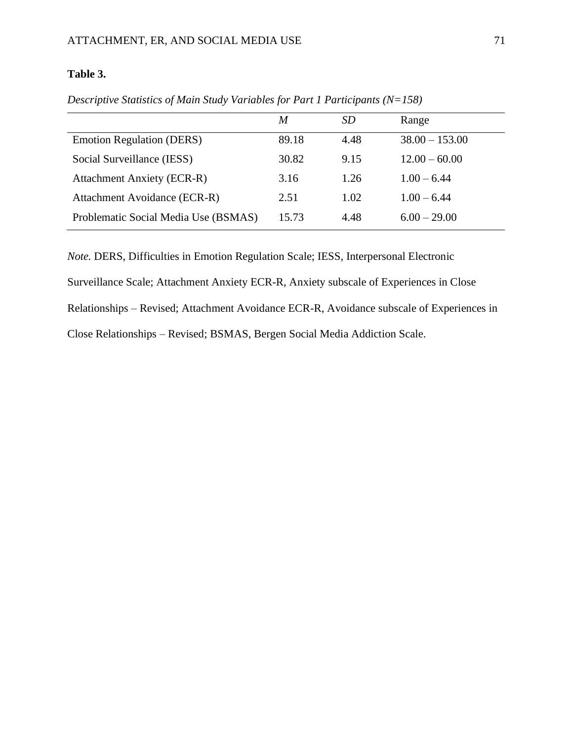### **Table 3.**

|                                      | M     | <i>SD</i> | Range            |
|--------------------------------------|-------|-----------|------------------|
| <b>Emotion Regulation (DERS)</b>     | 89.18 | 4.48      | $38.00 - 153.00$ |
| Social Surveillance (IESS)           | 30.82 | 9.15      | $12.00 - 60.00$  |
| <b>Attachment Anxiety (ECR-R)</b>    | 3.16  | 1.26      | $1.00 - 6.44$    |
| Attachment Avoidance (ECR-R)         | 2.51  | 1.02      | $1.00 - 6.44$    |
| Problematic Social Media Use (BSMAS) | 15.73 | 4.48      | $6.00 - 29.00$   |

*Descriptive Statistics of Main Study Variables for Part 1 Participants (N=158)*

*Note.* DERS, Difficulties in Emotion Regulation Scale; IESS, Interpersonal Electronic Surveillance Scale; Attachment Anxiety ECR-R, Anxiety subscale of Experiences in Close Relationships – Revised; Attachment Avoidance ECR-R, Avoidance subscale of Experiences in Close Relationships – Revised; BSMAS, Bergen Social Media Addiction Scale.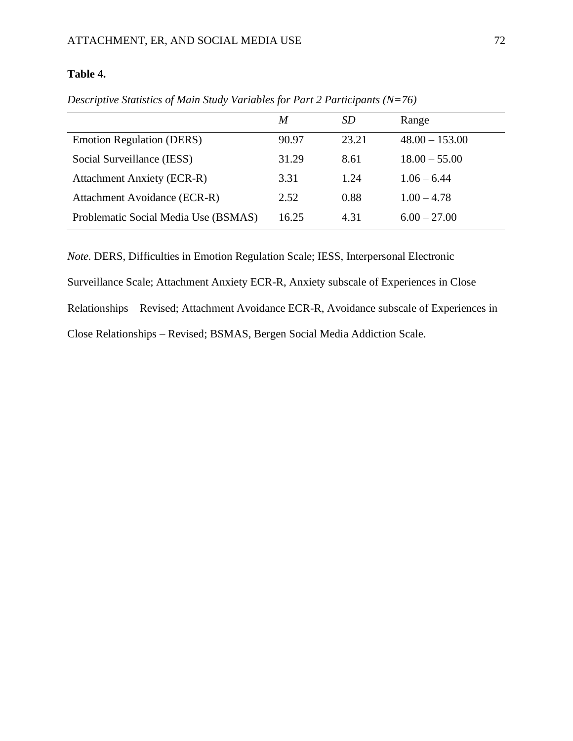#### **Table 4.**

|                                      | M     | SD    | Range            |
|--------------------------------------|-------|-------|------------------|
| <b>Emotion Regulation (DERS)</b>     | 90.97 | 23.21 | $48.00 - 153.00$ |
| Social Surveillance (IESS)           | 31.29 | 8.61  | $18.00 - 55.00$  |
| <b>Attachment Anxiety (ECR-R)</b>    | 3.31  | 1.24  | $1.06 - 6.44$    |
| Attachment Avoidance (ECR-R)         | 2.52  | 0.88  | $1.00 - 4.78$    |
| Problematic Social Media Use (BSMAS) | 16.25 | 4.31  | $6.00 - 27.00$   |

*Descriptive Statistics of Main Study Variables for Part 2 Participants (N=76)*

*Note.* DERS, Difficulties in Emotion Regulation Scale; IESS, Interpersonal Electronic Surveillance Scale; Attachment Anxiety ECR-R, Anxiety subscale of Experiences in Close Relationships – Revised; Attachment Avoidance ECR-R, Avoidance subscale of Experiences in Close Relationships – Revised; BSMAS, Bergen Social Media Addiction Scale.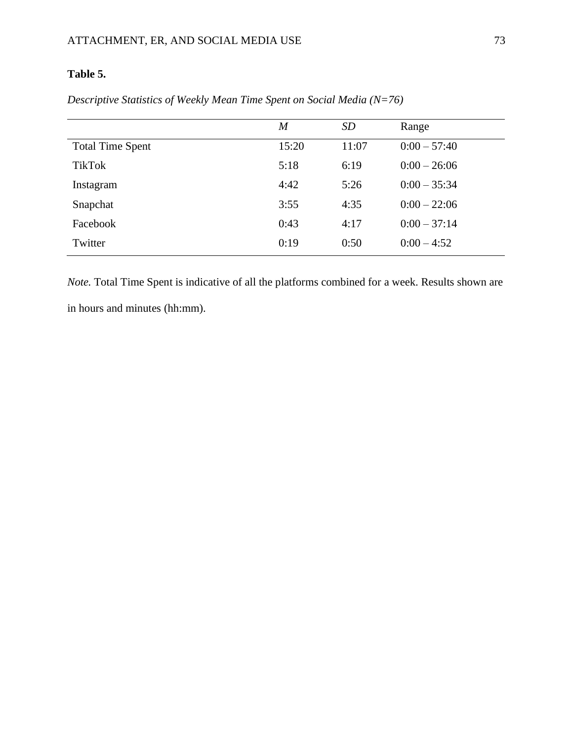## **Table 5.**

|                         | $\boldsymbol{M}$ | <i>SD</i> | Range          |
|-------------------------|------------------|-----------|----------------|
| <b>Total Time Spent</b> | 15:20            | 11:07     | $0:00 - 57:40$ |
| <b>TikTok</b>           | 5:18             | 6:19      | $0:00 - 26:06$ |
| Instagram               | 4:42             | 5:26      | $0:00 - 35:34$ |
| Snapchat                | 3:55             | 4:35      | $0:00 - 22:06$ |
| Facebook                | 0:43             | 4:17      | $0:00 - 37:14$ |
| Twitter                 | 0:19             | 0:50      | $0:00 - 4:52$  |

*Descriptive Statistics of Weekly Mean Time Spent on Social Media (N=76)*

*Note.* Total Time Spent is indicative of all the platforms combined for a week. Results shown are in hours and minutes (hh:mm).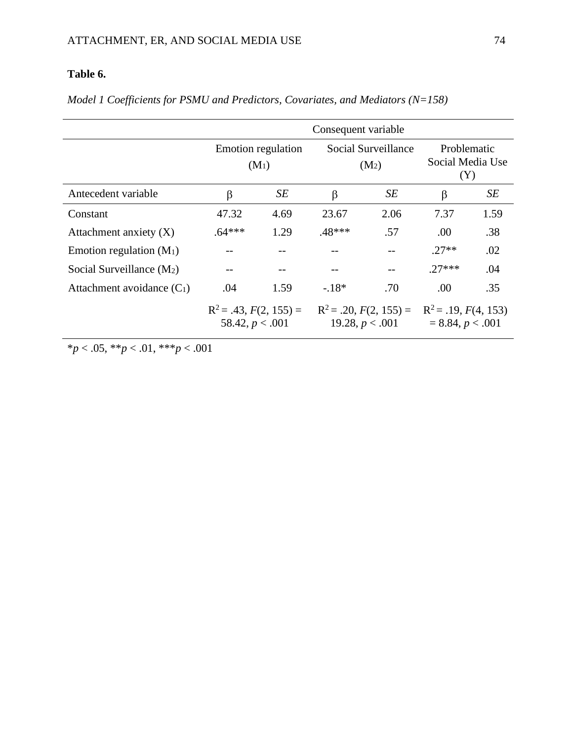# **Table 6.**

|                              | Consequent variable                           |      |                                               |      |                                                |      |  |
|------------------------------|-----------------------------------------------|------|-----------------------------------------------|------|------------------------------------------------|------|--|
|                              | Emotion regulation<br>$(M_1)$                 |      | Social Surveillance<br>$(M_2)$                |      | Problematic<br>Social Media Use<br>(Y)         |      |  |
| Antecedent variable          | β                                             | SE   | β                                             | SЕ   | β                                              | SE   |  |
| Constant                     | 47.32                                         | 4.69 | 23.67                                         | 2.06 | 7.37                                           | 1.59 |  |
| Attachment anxiety $(X)$     | $.64***$                                      | 1.29 | .48***                                        | .57  | .00                                            | .38  |  |
| Emotion regulation $(M_1)$   |                                               |      |                                               |      | $27**$                                         | .02  |  |
| Social Surveillance $(M_2)$  |                                               |      |                                               | $-$  | $27***$                                        | .04  |  |
| Attachment avoidance $(C_1)$ | .04                                           | 1.59 | $-18*$                                        | .70  | .00                                            | .35  |  |
|                              | $R^2 = .43, F(2, 155) =$<br>58.42, $p < .001$ |      | $R^2 = .20, F(2, 155) =$<br>19.28, $p < .001$ |      | $R^2$ = .19, $F(4, 153)$<br>$= 8.84, p < .001$ |      |  |

*Model 1 Coefficients for PSMU and Predictors, Covariates, and Mediators (N=158)*

\**p* < .05, \*\**p* < .01, \*\*\**p* < .001